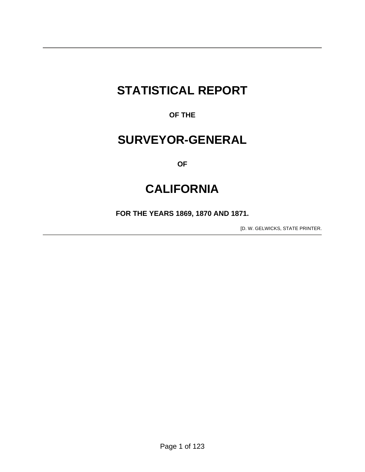# **STATISTICAL REPORT**

**OF THE** 

## **SURVEYOR-GENERAL**

**OF** 

## **CALIFORNIA**

**FOR THE YEARS 1869, 1870 AND 1871.** 

[D. W. GELWICKS, STATE PRINTER.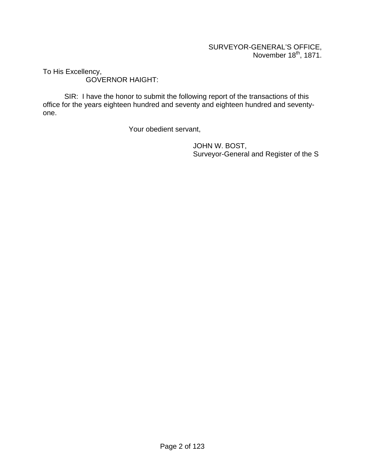To His Excellency, GOVERNOR HAIGHT:

 SIR: I have the honor to submit the following report of the transactions of this office for the years eighteen hundred and seventy and eighteen hundred and seventyone.

Your obedient servant,

 JOHN W. BOST, Surveyor-General and Register of the S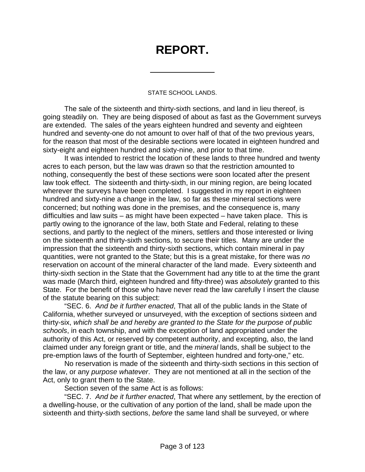# **REPORT.**

 $\overline{a}$ 

#### STATE SCHOOL LANDS.

 The sale of the sixteenth and thirty-sixth sections, and land in lieu thereof, is going steadily on. They are being disposed of about as fast as the Government surveys are extended. The sales of the years eighteen hundred and seventy and eighteen hundred and seventy-one do not amount to over half of that of the two previous years, for the reason that most of the desirable sections were located in eighteen hundred and sixty-eight and eighteen hundred and sixty-nine, and prior to that time.

 It was intended to restrict the location of these lands to three hundred and twenty acres to each person, but the law was drawn so that the restriction amounted to nothing, consequently the best of these sections were soon located after the present law took effect. The sixteenth and thirty-sixth, in our mining region, are being located wherever the surveys have been completed. I suggested in my report in eighteen hundred and sixty-nine a change in the law, so far as these mineral sections were concerned; but nothing was done in the premises, and the consequence is, many difficulties and law suits – as might have been expected – have taken place. This is partly owing to the ignorance of the law, both State and Federal, relating to these sections, and partly to the neglect of the miners, settlers and those interested or living on the sixteenth and thirty-sixth sections, to secure their titles. Many are under the impression that the sixteenth and thirty-sixth sections, which contain mineral in pay quantities, were not granted to the State; but this is a great mistake, for there was *no* reservation on account of the mineral character of the land made. Every sixteenth and thirty-sixth section in the State that the Government had any title to at the time the grant was made (March third, eighteen hundred and fifty-three) was *absolutely* granted to this State. For the benefit of those who have never read the law carefully I insert the clause of the statute bearing on this subject:

 "SEC. 6. *And be it further enacted*, That all of the public lands in the State of California, whether surveyed or unsurveyed, with the exception of sections sixteen and thirty-six, *which shall be and hereby are granted to the State for the purpose of public schools*, in each township, and with the exception of land appropriated under the authority of this Act, or reserved by competent authority, and excepting, also, the land claimed under any foreign grant or title, and the *mineral* lands, shall be subject to the pre-emption laws of the fourth of September, eighteen hundred and forty-one," etc.

 No reservation is made of the sixteenth and thirty-sixth sections in this section of the law, or any *purpose whatever*. They are not mentioned at all in the section of the Act, only to grant them to the State.

Section seven of the same Act is as follows:

 "SEC. 7. *And be it further enacted*, That where any settlement, by the erection of a dwelling-house, or the cultivation of any portion of the land, shall be made upon the sixteenth and thirty-sixth sections, *before* the same land shall be surveyed, or where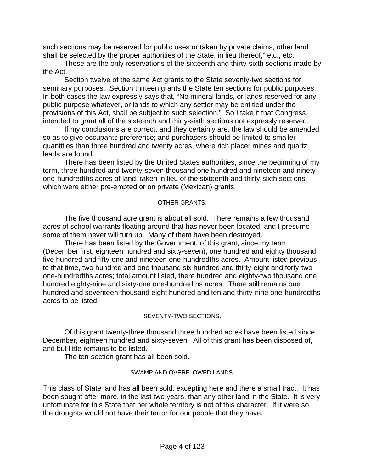such sections may be reserved for public uses or taken by private claims, other land shall be selected by the proper authorities of the State, in lieu thereof," etc., etc.

 These are the only reservations of the sixteenth and thirty-sixth sections made by the Act.

 Section twelve of the same Act grants to the State seventy-two sections for seminary purposes. Section thirteen grants the State ten sections for public purposes. In both cases the law expressly says that, "No mineral lands, or lands reserved for any public purpose whatever, or lands to which any settler may be entitled under the provisions of this Act, shall be subject to such selection." So I take it that Congress intended to grant all of the sixteenth and thirty-sixth sections not expressly reserved.

 If my conclusions are correct, and they certainly are, the law should be amended so as to give occupants preference; and purchasers should be limited to smaller quantities than three hundred and twenty acres, where rich placer mines and quartz leads are found.

 There has been listed by the United States authorities, since the beginning of my term, three hundred and twenty-seven thousand one hundred and nineteen and ninety one-hundredths acres of land, taken in lieu of the sixteenth and thirty-sixth sections, which were either pre-empted or on private (Mexican) grants.

#### OTHER GRANTS.

 The five thousand acre grant is about all sold. There remains a few thousand acres of school warrants floating around that has never been located, and I presume some of them never will turn up. Many of them have been destroyed.

 There has been listed by the Government, of this grant, since my term (December first, eighteen hundred and sixty-seven), one hundred and eighty thousand five hundred and fifty-one and nineteen one-hundredths acres. Amount listed previous to that time, two hundred and one thousand six hundred and thirty-eight and forty-two one-hundredths acres; total amount listed, there hundred and eighty-two thousand one hundred eighty-nine and sixty-one one-hundredths acres. There still remains one hundred and seventeen thousand eight hundred and ten and thirty-nine one-hundredths acres to be listed.

#### SEVENTY-TWO SECTIONS.

 Of this grant twenty-three thousand three hundred acres have been listed since December, eighteen hundred and sixty-seven. All of this grant has been disposed of, and but little remains to be listed.

The ten-section grant has all been sold.

#### SWAMP AND OVERFLOWED LANDS.

This class of State land has all been sold, excepting here and there a small tract. It has been sought after more, in the last two years, than any other land in the State. It is very unfortunate for this State that her whole territory is not of this character. If it were so, the droughts would not have their terror for our people that they have.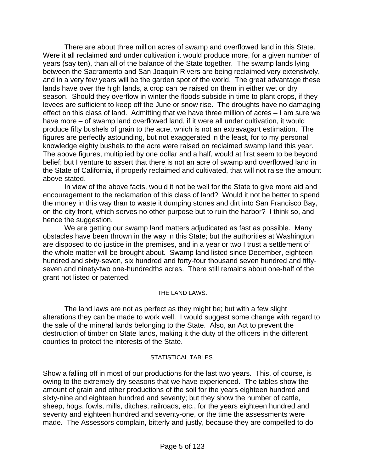There are about three million acres of swamp and overflowed land in this State. Were it all reclaimed and under cultivation it would produce more, for a given number of years (say ten), than all of the balance of the State together. The swamp lands lying between the Sacramento and San Joaquin Rivers are being reclaimed very extensively, and in a very few years will be the garden spot of the world. The great advantage these lands have over the high lands, a crop can be raised on them in either wet or dry season. Should they overflow in winter the floods subside in time to plant crops, if they levees are sufficient to keep off the June or snow rise. The droughts have no damaging effect on this class of land. Admitting that we have three million of acres – I am sure we have more – of swamp land overflowed land, if it were all under cultivation, it would produce fifty bushels of grain to the acre, which is not an extravagant estimation. The figures are perfectly astounding, but not exaggerated in the least, for to my personal knowledge eighty bushels to the acre were raised on reclaimed swamp land this year. The above figures, multiplied by one dollar and a half, would at first seem to be beyond belief; but I venture to assert that there is not an acre of swamp and overflowed land in the State of California, if properly reclaimed and cultivated, that will not raise the amount above stated.

 In view of the above facts, would it not be well for the State to give more aid and encouragement to the reclamation of this class of land? Would it not be better to spend the money in this way than to waste it dumping stones and dirt into San Francisco Bay, on the city front, which serves no other purpose but to ruin the harbor? I think so, and hence the suggestion.

 We are getting our swamp land matters adjudicated as fast as possible. Many obstacles have been thrown in the way in this State; but the authorities at Washington are disposed to do justice in the premises, and in a year or two I trust a settlement of the whole matter will be brought about. Swamp land listed since December, eighteen hundred and sixty-seven, six hundred and forty-four thousand seven hundred and fiftyseven and ninety-two one-hundredths acres. There still remains about one-half of the grant not listed or patented.

#### THE LAND LAWS.

 The land laws are not as perfect as they might be; but with a few slight alterations they can be made to work well. I would suggest some change with regard to the sale of the mineral lands belonging to the State. Also, an Act to prevent the destruction of timber on State lands, making it the duty of the officers in the different counties to protect the interests of the State.

#### STATISTICAL TABLES.

Show a falling off in most of our productions for the last two years. This, of course, is owing to the extremely dry seasons that we have experienced. The tables show the amount of grain and other productions of the soil for the years eighteen hundred and sixty-nine and eighteen hundred and seventy; but they show the number of cattle, sheep, hogs, fowls, mills, ditches, railroads, etc., for the years eighteen hundred and seventy and eighteen hundred and seventy-one, or the time the assessments were made. The Assessors complain, bitterly and justly, because they are compelled to do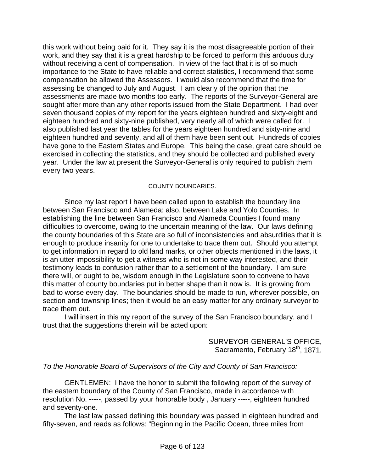this work without being paid for it. They say it is the most disagreeable portion of their work, and they say that it is a great hardship to be forced to perform this arduous duty without receiving a cent of compensation. In view of the fact that it is of so much importance to the State to have reliable and correct statistics, I recommend that some compensation be allowed the Assessors. I would also recommend that the time for assessing be changed to July and August. I am clearly of the opinion that the assessments are made two months too early. The reports of the Surveyor-General are sought after more than any other reports issued from the State Department. I had over seven thousand copies of my report for the years eighteen hundred and sixty-eight and eighteen hundred and sixty-nine published, very nearly all of which were called for. I also published last year the tables for the years eighteen hundred and sixty-nine and eighteen hundred and seventy, and all of them have been sent out. Hundreds of copies have gone to the Eastern States and Europe. This being the case, great care should be exercised in collecting the statistics, and they should be collected and published every year. Under the law at present the Surveyor-General is only required to publish them every two years.

#### COUNTY BOUNDARIES.

 Since my last report I have been called upon to establish the boundary line between San Francisco and Alameda; also, between Lake and Yolo Counties. In establishing the line between San Francisco and Alameda Counties I found many difficulties to overcome, owing to the uncertain meaning of the law. Our laws defining the county boundaries of this State are so full of inconsistencies and absurdities that it is enough to produce insanity for one to undertake to trace them out. Should you attempt to get information in regard to old land marks, or other objects mentioned in the laws, it is an utter impossibility to get a witness who is not in some way interested, and their testimony leads to confusion rather than to a settlement of the boundary. I am sure there will, or ought to be, wisdom enough in the Legislature soon to convene to have this matter of county boundaries put in better shape than it now is. It is growing from bad to worse every day. The boundaries should be made to run, wherever possible, on section and township lines; then it would be an easy matter for any ordinary surveyor to trace them out.

 I will insert in this my report of the survey of the San Francisco boundary, and I trust that the suggestions therein will be acted upon:

> SURVEYOR-GENERAL'S OFFICE, Sacramento, February 18<sup>th</sup>, 1871.

#### *To the Honorable Board of Supervisors of the City and County of San Francisco:*

 GENTLEMEN: I have the honor to submit the following report of the survey of the eastern boundary of the County of San Francisco, made in accordance with resolution No. -----, passed by your honorable body , January -----, eighteen hundred and seventy-one.

 The last law passed defining this boundary was passed in eighteen hundred and fifty-seven, and reads as follows: "Beginning in the Pacific Ocean, three miles from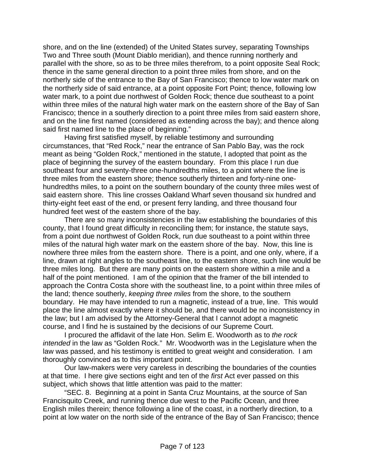shore, and on the line (extended) of the United States survey, separating Townships Two and Three south (Mount Diablo meridian), and thence running northerly and parallel with the shore, so as to be three miles therefrom, to a point opposite Seal Rock; thence in the same general direction to a point three miles from shore, and on the northerly side of the entrance to the Bay of San Francisco; thence to low water mark on the northerly side of said entrance, at a point opposite Fort Point; thence, following low water mark, to a point due northwest of Golden Rock; thence due southeast to a point within three miles of the natural high water mark on the eastern shore of the Bay of San Francisco; thence in a southerly direction to a point three miles from said eastern shore, and on the line first named (considered as extending across the bay); and thence along said first named line to the place of beginning."

 Having first satisfied myself, by reliable testimony and surrounding circumstances, that "Red Rock," near the entrance of San Pablo Bay, was the rock meant as being "Golden Rock," mentioned in the statute, I adopted that point as the place of beginning the survey of the eastern boundary. From this place I run due southeast four and seventy-three one-hundredths miles, to a point where the line is three miles from the eastern shore; thence southerly thirteen and forty-nine onehundredths miles, to a point on the southern boundary of the county three miles west of said eastern shore. This line crosses Oakland Wharf seven thousand six hundred and thirty-eight feet east of the end, or present ferry landing, and three thousand four hundred feet west of the eastern shore of the bay.

 There are so many inconsistencies in the law establishing the boundaries of this county, that I found great difficulty in reconciling them; for instance, the statute says, from a point due northwest of Golden Rock, run due southeast to a point within three miles of the natural high water mark on the eastern shore of the bay. Now, this line is nowhere three miles from the eastern shore. There is a point, and one only, where, if a line, drawn at right angles to the southeast line, to the eastern shore, such line would be three miles long. But there are many points on the eastern shore within a mile and a half of the point mentioned. I am of the opinion that the framer of the bill intended to approach the Contra Costa shore with the southeast line, to a point within three miles of the land; thence southerly, *keeping three miles* from the shore, to the southern boundary. He may have intended to run a magnetic, instead of a true, line. This would place the line almost exactly where it should be, and there would be no inconsistency in the law; but I am advised by the Attorney-General that I cannot adopt a magnetic course, and I find he is sustained by the decisions of our Supreme Court.

 I procured the affidavit of the late Hon. Selim E. Woodworth as to *the rock intended* in the law as "Golden Rock." Mr. Woodworth was in the Legislature when the law was passed, and his testimony is entitled to great weight and consideration. I am thoroughly convinced as to this important point.

 Our law-makers were very careless in describing the boundaries of the counties at that time. I here give sections eight and ten of the *first* Act ever passed on this subject, which shows that little attention was paid to the matter:

 "SEC. 8. Beginning at a point in Santa Cruz Mountains, at the source of San Francisquito Creek, and running thence due west to the Pacific Ocean, and three English miles therein; thence following a line of the coast, in a northerly direction, to a point at low water on the north side of the entrance of the Bay of San Francisco; thence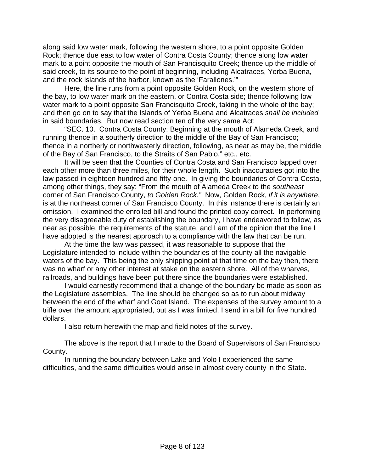along said low water mark, following the western shore, to a point opposite Golden Rock; thence due east to low water of Contra Costa County; thence along low water mark to a point opposite the mouth of San Francisquito Creek; thence up the middle of said creek, to its source to the point of beginning, including Alcatraces, Yerba Buena, and the rock islands of the harbor, known as the 'Farallones.'"

 Here, the line runs from a point opposite Golden Rock, on the western shore of the bay, to low water mark on the eastern, or Contra Costa side; thence following low water mark to a point opposite San Francisquito Creek, taking in the whole of the bay; and then go on to say that the Islands of Yerba Buena and Alcatraces *shall be included* in said boundaries. But now read section ten of the very same Act:

 "SEC. 10. Contra Costa County: Beginning at the mouth of Alameda Creek, and running thence in a southerly direction to the middle of the Bay of San Francisco; thence in a northerly or northwesterly direction, following, as near as may be, the middle of the Bay of San Francisco, to the Straits of San Pablo," etc., etc.

 It will be seen that the Counties of Contra Costa and San Francisco lapped over each other more than three miles, for their whole length. Such inaccuracies got into the law passed in eighteen hundred and fifty-one. In giving the boundaries of Contra Costa, among other things, they say: "From the mouth of Alameda Creek to the *southeast*  corner of San Francisco County, *to Golden Rock."* Now, Golden Rock, *if it is anywhere*, is at the northeast corner of San Francisco County. In this instance there is certainly an omission. I examined the enrolled bill and found the printed copy correct. In performing the very disagreeable duty of establishing the boundary, I have endeavored to follow, as near as possible, the requirements of the statute, and I am of the opinion that the line I have adopted is the nearest approach to a compliance with the law that can be run.

 At the time the law was passed, it was reasonable to suppose that the Legislature intended to include within the boundaries of the county all the navigable waters of the bay. This being the only shipping point at that time on the bay then, there was no wharf or any other interest at stake on the eastern shore. All of the wharves, railroads, and buildings have been put there since the boundaries were established.

 I would earnestly recommend that a change of the boundary be made as soon as the Legislature assembles. The line should be changed so as to run about midway between the end of the wharf and Goat Island. The expenses of the survey amount to a trifle over the amount appropriated, but as I was limited, I send in a bill for five hundred dollars.

I also return herewith the map and field notes of the survey.

 The above is the report that I made to the Board of Supervisors of San Francisco County.

 In running the boundary between Lake and Yolo I experienced the same difficulties, and the same difficulties would arise in almost every county in the State.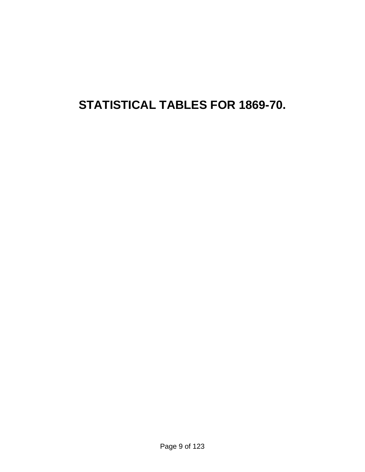# **STATISTICAL TABLES FOR 1869-70.**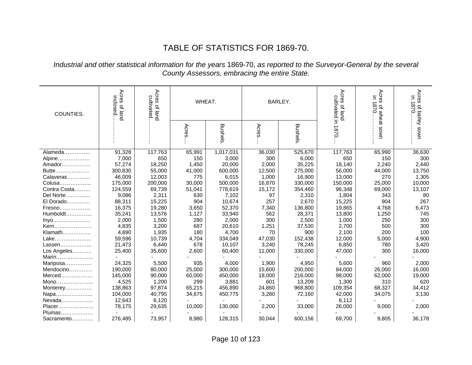## TABLE OF STATISTICS FOR 1869-70.

#### *Industrial and other statistical information for the years* 1869-70, *as reported to the Surveyor-General by the several County Assessors, embracing the entire State.*

| COUNTIES.          | Acres<br>inclosed.<br>of land | Acres of land<br>cultivated | WHEAT.        |                  | BARLEY.         |                   | Acres<br>cultivated in 1870<br>of land | Acres<br>3<br>1870.<br>of wheat sown | Acres<br>E.<br>$\overline{\phantom{0}}$<br>0/8<br>of barley sown |
|--------------------|-------------------------------|-----------------------------|---------------|------------------|-----------------|-------------------|----------------------------------------|--------------------------------------|------------------------------------------------------------------|
|                    |                               |                             |               |                  |                 |                   |                                        |                                      |                                                                  |
|                    |                               |                             | Acres         |                  | Acres           |                   |                                        |                                      |                                                                  |
|                    |                               |                             |               | <b>Bushels</b>   |                 | <b>Bushels</b>    |                                        |                                      |                                                                  |
|                    |                               |                             |               |                  |                 |                   |                                        |                                      |                                                                  |
| Alameda            | 91,328                        | 117,763                     | 65,991        | 1,017,031        | 36,030<br>300   | 525,670           | 117,763                                | 65,990                               | 36,630                                                           |
| Alpine             | 7,000<br>57,274               | 650                         | 150           | 3,000<br>20,000  |                 | 6,000             | 650                                    | 150                                  | 300                                                              |
| Amador             |                               | 18,250                      | 1,450         |                  | 2,000           | 35,225            | 18,140                                 | 2,240                                | 2,440                                                            |
| Butte<br>Calaveras | 300,830                       | 55,000                      | 41,000<br>775 | 600,000          | 12,500          | 275,000           | 56,000                                 | 44,000<br>270                        | 13,750<br>1,305                                                  |
| Colusa             | 46,009<br>175,000             | 12,003<br>200,000           | 30,000        | 6,015<br>500,000 | 1,000<br>16,870 | 16,900<br>330,000 | 13,000<br>150,000                      | 25,000                               | 10,000                                                           |
| Contra Costa       | 124,559                       | 69,739                      | 51,041        | 778,619          | 15,172          | 354,460           | 96,348                                 | 69,000                               | 13,107                                                           |
| Del Norte          | 9,086                         | 2,311                       | 630           | 7,102            | 97              | 2,310             | 1,804                                  | 343                                  | 80                                                               |
| El Dorado          | 88,311                        | 15,225                      | 904           | 10,674           | 257             | 2,670             | 15,225                                 | 904                                  | 267                                                              |
| Fresno             | 16,375                        | 19,280                      | 3,650         | 52,370           | 7,340           | 136,800           | 19,865                                 | 4,768                                | 6,473                                                            |
| Humboldt           | 35,241                        | 13,576                      | 1,127         | 33,940           | 562             | 28,371            | 13,800                                 | 1,250                                | 745                                                              |
| Inyo               | 2,000                         | 1,500                       | 280           | 2,000            | 300             | 2,500             | 1,000                                  | 250                                  | 300                                                              |
| Kern               | 4,835                         | 3,200                       | 687           | 20,610           | 1,251           | 37,530            | 2,700                                  | 500                                  | 300                                                              |
| Klamath            | 4,890                         | 1,935                       | 180           | 4,700            | 70              | 900               | 2,100                                  | 200                                  | 100                                                              |
| Lake               | 59,596                        | 10,739                      | 4,704         | 334,049          | 47,030          | 152,438           | 12,000                                 | 5,000                                | 4,900                                                            |
| Lassen             | 21,473                        | 6,440                       | 678           | 10,107           | 3,240           | 78,245            | 6,850                                  | 780                                  | 3,420                                                            |
| Los Angeles        | 25,400                        | 35,600                      | 2,600         | 60,400           | 11,000          | 330,000           | 47,000                                 | 300                                  | 16,000                                                           |
| Marin              |                               |                             |               |                  |                 |                   |                                        |                                      |                                                                  |
| Mariposa           | 24,325                        | 5,500                       | 935           | 4,000            | 1,900           | 4,950             | 5,600                                  | 960                                  | 2,000                                                            |
| Mendocino          | 190,000                       | 80,000                      | 25,000        | 300,000          | 15,600          | 200,000           | 84,000                                 | 26,000                               | 16,000                                                           |
| $Merced$           | 145,000                       | 90,000                      | 60,000        | 450,000          | 18,000          | 216,000           | 98,000                                 | 62,000                               | 19,000                                                           |
| Mono               | 4,525                         | 1,200                       | 299           | 3,881            | 601             | 13,209            | 1,300                                  | 310                                  | 620                                                              |
| Monterey           | 138,863                       | 97,874                      | 65,215        | 456,890          | 24,860          | 968,800           | 109,354                                | 68,327                               | 34,412                                                           |
| Napa               | 104,000                       | 40,795                      | 34,675        | 450,775          | 3,280           | 72,160            | 42,000                                 | 34,075                               | 3,130                                                            |
| Nevada             | 12,643                        | 6,120                       |               |                  |                 |                   | 6,112                                  |                                      |                                                                  |
| Placer             | 78,175                        | 29,635                      | 10,000        | 130,000          | 2,200           | 33,000            | 26,000                                 | 9,000                                | 2,000                                                            |
| Plumas             |                               |                             |               |                  |                 |                   |                                        |                                      |                                                                  |
| Sacramento         | 276,485                       | 73,957                      | 8,980         | 128,315          | 30,044          | 600,156           | 69,700                                 | 9,805                                | 36,178                                                           |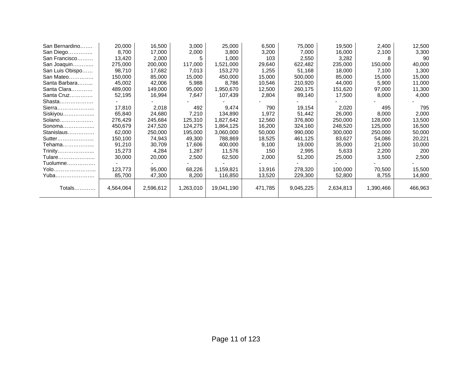| San Bernardino  | 20,000    | 16,500    | 3,000     | 25,000     | 6,500   | 75,000    | 19,500    | 2,400     | 12,500  |
|-----------------|-----------|-----------|-----------|------------|---------|-----------|-----------|-----------|---------|
| San Diego       | 8,700     | 17,000    | 2,000     | 3,800      | 3,200   | 7,000     | 16,000    | 2,100     | 3,300   |
| San Francisco   | 13,420    | 2,000     |           | 1,000      | 103     | 2,550     | 3,282     | 8         | 90      |
| San Joaquin     | 275,000   | 200,000   | 117,000   | 1,521,000  | 29,640  | 622,482   | 235,000   | 150,000   | 40,000  |
| San Luis Obispo | 98,710    | 17,682    | 7,013     | 153,270    | 1,255   | 51,168    | 18,000    | 7,100     | 1,300   |
| San Mateo       | 150,000   | 85,000    | 15,000    | 450,000    | 15,000  | 500,000   | 85,000    | 15,000    | 15,000  |
| Santa Barbara   | 45,002    | 42,006    | 5,988     | 8,786      | 10,546  | 210,920   | 44,000    | 5,900     | 11,000  |
| Santa Clara     | 489,000   | 149,000   | 95,000    | 1,950,670  | 12,500  | 260,175   | 151,620   | 97,000    | 11,300  |
| Santa Cruz      | 52,195    | 16,994    | 7,647     | 107,439    | 2,804   | 89,140    | 17,500    | 8,000     | 4,000   |
| Shasta          |           |           |           |            |         |           |           |           |         |
| Sierra          | 17,810    | 2,018     | 492       | 9,474      | 790     | 19,154    | 2,020     | 495       | 795     |
| Siskiyou        | 65.840    | 24,680    | 7,210     | 134,890    | 1,972   | 51,442    | 26,000    | 8,000     | 2,000   |
| Solano          | 276,429   | 245,684   | 125,310   | 1,827,642  | 12,560  | 376,800   | 250,000   | 128,000   | 13,500  |
| Sonoma          | 450,679   | 247,520   | 124,275   | 1,864,125  | 16,200  | 324,160   | 248,520   | 125,000   | 16,500  |
| Stanislaus      | 62,000    | 250,000   | 195,000   | 3,060,000  | 50,000  | 990,000   | 300,000   | 250,000   | 50,000  |
| Sutter          | 150,100   | 74,943    | 49,300    | 788,869    | 18,525  | 461,125   | 83,627    | 54,086    | 20,221  |
| Tehama          | 91,210    | 30,709    | 17,606    | 400,000    | 9,100   | 19,000    | 35,000    | 21,000    | 10,000  |
| Trinity         | 15,273    | 4,284     | 1,287     | 11,576     | 150     | 2,995     | 5,633     | 2,200     | 200     |
| Tulare          | 30,000    | 20,000    | 2,500     | 62,500     | 2,000   | 51,200    | 25,000    | 3,500     | 2,500   |
| Tuolumne        |           |           |           |            |         |           |           |           |         |
| Yolo            | 123,773   | 95,000    | 68,226    | 1,159,821  | 13,916  | 278,320   | 100,000   | 70,500    | 15,500  |
| Yuba            | 85,700    | 47,300    | 8,200     | 116,850    | 13,520  | 229,300   | 52,800    | 8,755     | 14,800  |
|                 |           |           |           |            |         |           |           |           |         |
| Totals          | 4,564,064 | 2,596,612 | 1,263,010 | 19,041,190 | 471,785 | 9,045,225 | 2,634,813 | 1,390,466 | 466,963 |
|                 |           |           |           |            |         |           |           |           |         |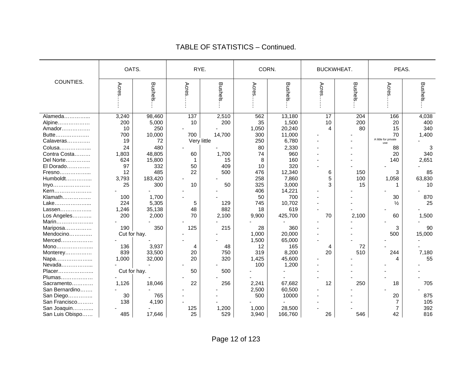|                 | OATS.        |               |                    | RYE.           |          | CORN.          | <b>BUCKWHEAT.</b> |         | PEAS.                |                |
|-----------------|--------------|---------------|--------------------|----------------|----------|----------------|-------------------|---------|----------------------|----------------|
| COUNTIES.       | Acres        | Bushels       | Acres              | <b>Bushels</b> | Acres    | <b>Bushels</b> | Acres             | Bushels | Acres                | <b>Bushels</b> |
| Alameda         | 3,240        | 98,460        | 137                | 2,510          | 562      | 13,180         | 17                | 204     | 166                  | 4,038          |
| Alpine          | 200          | 5,000         | 10                 | 200            | 35       | 1,500          | 10                | 200     | 20                   | 400            |
| Amador          | 10           | 250           |                    |                | 1,050    | 20,240         | 4                 | 80      | 15                   | 340            |
| Butte           | 700          | 10,000        | 700                | 14,700         | 300      | 11,000         |                   |         | 70                   | 1,400          |
| Calaveras       | 19           | 72            |                    | Very little    | 250      | 6,780          |                   |         | A little for private |                |
|                 | 24           | 480           |                    |                |          |                |                   |         | use                  |                |
| Colusa          |              | 48,805        | 60                 | 1,700          | 80<br>74 | 2,330<br>960   |                   |         | 88<br>20             | 3<br>340       |
| Contra Costa    | 1,803        |               |                    |                |          |                |                   |         |                      |                |
| Del Norte       | 624<br>97    | 15,800<br>332 | $\mathbf{1}$<br>50 | 15<br>409      | 8<br>10  | 160<br>320     |                   |         | 140                  | 2,651          |
| El Dorado       |              |               | 22                 |                |          |                |                   |         |                      |                |
| Fresno          | 12           | 485           |                    | 500            | 476      | 12,340         | 6                 | 150     | 3                    | 85             |
| Humboldt        | 3,793        | 183,420       |                    |                | 258      | 7,860          | 5                 | 100     | 1,058                | 63,830         |
| Inyo            | 25           | 300           | 10                 | 50             | 325      | 3,000          | 3                 | 15      | 1                    | 10             |
| Kern            |              |               |                    |                | 406      | 14,221         |                   |         |                      |                |
| Klamath         | 100          | 1,700         |                    |                | 50       | 700            |                   |         | 30                   | 870            |
| Lake            | 224          | 5,305         | 5                  | 129            | 745      | 10,702         |                   |         | $\frac{1}{2}$        | 25             |
| Lassen          | 1,246        | 35,138        | 48                 | 882            | 18       | 619            |                   |         |                      |                |
| Los Angeles     | 200          | 2,000         | 70                 | 2,100          | 9,900    | 425,700        | 70                | 2,100   | 60                   | 1,500          |
| Marin           |              |               |                    |                |          |                |                   |         |                      |                |
| Mariposa        | 190          | 350           | 125                | 215            | 28       | 360            |                   |         | 3                    | 90             |
| Mendocino       |              | Cut for hay.  |                    |                | 1,000    | 20,000         |                   |         | 500                  | 15,000         |
| Merced          |              |               |                    |                | 1,500    | 65,000         |                   |         |                      |                |
| Mono            | 136          | 3,937         | 4                  | 48             | 12       | 165            | 4                 | 72      |                      |                |
| Monterey        | 839          | 33,500        | 20                 | 750            | 319      | 8,200          | 20                | 510     | 244                  | 7,180          |
| Napa            | 1,000        | 32,000        | 20                 | 320            | 1,425    | 45,600         |                   |         | 4                    | 55             |
| Nevada          |              |               |                    |                | 100      | 1,200          |                   |         |                      |                |
| Placer          | Cut for hay. |               | 50                 | 500            |          |                |                   |         |                      |                |
| Plumas          |              |               |                    |                |          |                |                   |         |                      |                |
| Sacramento      | 1,126        | 18,046        | 22                 | 256            | 2,241    | 67,682         | 12                | 250     | 18                   | 705            |
| San Bernardino  |              |               |                    |                | 2,500    | 60,500         |                   |         |                      |                |
| San Diego       | 30           | 765           |                    |                | 500      | 10000          |                   |         | 20                   | 875            |
| San Francisco   | 138          | 4,190         |                    |                |          |                |                   |         | 7                    | 105            |
| San Joaquin     |              |               | 125                | 1,200          | 1,000    | 28,500         |                   |         | 7                    | 392            |
| San Luis Obispo | 485          | 17,646        | 25                 | 529            | 3,940    | 166,760        | 26                | 546     | 42                   | 816            |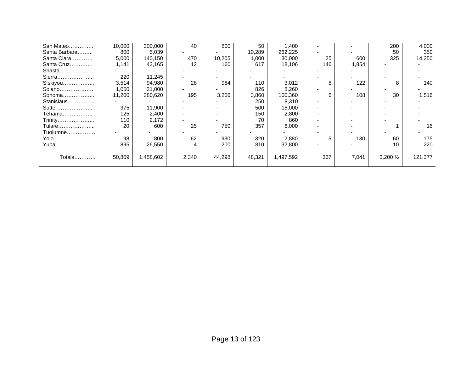| San Mateo     | 10,000 | 300,000   | 40    | 800    | 50     | 1,400     |                          |       | 200       | 4,000   |
|---------------|--------|-----------|-------|--------|--------|-----------|--------------------------|-------|-----------|---------|
| Santa Barbara | 800    | 5,039     |       |        | 10,289 | 262,225   |                          |       | 50        | 350     |
| Santa Clara   | 5,000  | 140,150   | 470   | 10,205 | 1,000  | 30,000    | 25                       | 600   | 325       | 14,250  |
| Santa Cruz    | 1,141  | 43,165    | 12    | 160    | 617    | 18,106    | 146                      | 1,854 |           |         |
| Shasta        |        |           |       |        |        |           |                          |       |           |         |
| Sierra        | 220    | 11,245    |       |        |        |           |                          |       |           |         |
| Siskiyou      | 3,514  | 94,980    | 28    | 984    | 110    | 3,012     | 8                        | 122   | 8         | 140     |
| Solano        | 1,050  | 21,000    |       |        | 826    | 8,260     |                          |       |           |         |
| Sonoma        | 11,200 | 280,620   | 195   | 3,256  | 3,860  | 100,360   | 6                        | 108   | 30        | 1,516   |
| Stanislaus    |        |           |       |        | 250    | 8,310     | $\overline{\phantom{a}}$ |       |           |         |
| Sutter        | 375    | 11,900    |       |        | 500    | 15,000    |                          |       |           |         |
| Tehama        | 125    | 2,400     |       |        | 150    | 2,800     |                          |       |           |         |
| Trinity       | 110    | 2,172     |       |        | 70     | 860       |                          |       |           |         |
| Tulare        | 20     | 600       | 25    | 750    | 357    | 6,000     |                          |       |           | 16      |
| Tuolumne      |        |           |       |        |        |           |                          |       |           |         |
| Yolo          | 98     | 800       | 62    | 930    | 320    | 2,880     |                          | 130   | 60        | 175     |
| Yuba          | 895    | 26,550    | 4     | 200    | 810    | 32,800    |                          |       | 10        | 220     |
|               |        |           |       |        |        |           |                          |       |           |         |
| Totals        | 50,809 | 1,458,602 | 2,340 | 44,298 | 48,321 | 1,497,592 | 367                      | 7,041 | 3,200 1/2 | 121,377 |
|               |        |           |       |        |        |           |                          |       |           |         |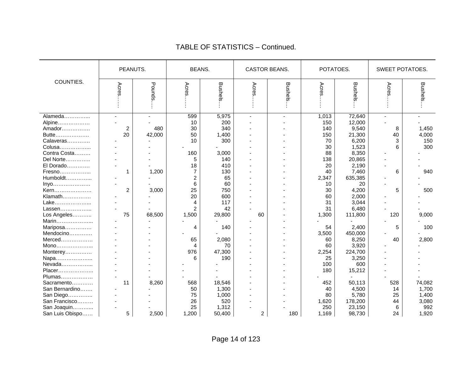|                                                                                | PEANUTS.                      |               | <b>BEANS.</b>                    |                                          | CASTOR BEANS.  |                | POTATOES.                              |                                                       | SWEET POTATOES.           |                                         |
|--------------------------------------------------------------------------------|-------------------------------|---------------|----------------------------------|------------------------------------------|----------------|----------------|----------------------------------------|-------------------------------------------------------|---------------------------|-----------------------------------------|
| COUNTIES.                                                                      | Acre                          | Pounds.       | Acres.                           | <b>Bushels</b>                           | Acres          | <b>Bushels</b> | Acres                                  | <b>Bushels</b>                                        | <b>Acres</b>              | <b>Bushels</b>                          |
| Alameda<br>Alpine<br>Amador<br>Butte<br>Calaveras<br>Colusa                    | $\overline{\mathbf{c}}$<br>20 | 480<br>42,000 | 599<br>10<br>30<br>50<br>10      | 5,975<br>200<br>340<br>1,400<br>300      | $\overline{a}$ | $\overline{a}$ | 1,013<br>150<br>140<br>150<br>70<br>30 | 72,640<br>12,000<br>9,540<br>21,300<br>6,200<br>1,523 | 8<br>40<br>3<br>6         | 1,450<br>4,000<br>150<br>300            |
| Contra Costa<br>Del Norte<br>El Dorado<br>Fresno                               | 1                             | 1,200         | 160<br>5<br>18<br>$\overline{7}$ | 3,000<br>140<br>410<br>130               |                |                | 88<br>138<br>20<br>40                  | 8,350<br>20,865<br>2,190<br>7,460                     | 6                         | 940                                     |
| Humboldt<br>Inyo<br>Kern<br>Klamath                                            | $\overline{c}$                | 3,000         | $\overline{c}$<br>6<br>25<br>20  | 65<br>60<br>750<br>600                   |                |                | 2,347<br>10<br>30<br>60                | 635,385<br>20<br>4,200<br>2,000                       | 5                         | 500                                     |
| Lake<br>Lassen<br>Los Angeles<br>Marin<br>Mariposa                             | 75                            | 68,500        | 4<br>2<br>1,500<br>4             | 117<br>42<br>29,800<br>140               | 60             |                | 31<br>31<br>1,300<br>54                | 3,044<br>6,480<br>111,800<br>2,400                    | 120<br>5                  | 9,000<br>100                            |
| Mendocino<br>Merced<br>$Mono$<br>Monterey                                      |                               |               | 65<br>4<br>976                   | 2,080<br>70<br>47,300                    |                |                | 3,500<br>60<br>60<br>2,254             | 450,000<br>8,250<br>3,920<br>224,700                  | 40                        | 2,800                                   |
| Napa<br>Nevada<br>Placer<br>Plumas<br>Sacramento                               | 11                            | 8,260         | 6<br>568                         | 190<br>18,546                            |                |                | 25<br>100<br>180<br>452                | 3,250<br>600<br>15,212<br>50,113                      | 528                       | 74,082                                  |
| San Bernardino<br>San Diego<br>San Francisco<br>San Joaquin<br>San Luis Obispo | 5                             | 2,500         | 50<br>75<br>26<br>25<br>1,200    | 1,300<br>1,000<br>520<br>1,312<br>50,400 | $\overline{c}$ | 180            | 40<br>80<br>1,620<br>250<br>1,169      | 4,500<br>5,780<br>178,200<br>23,150<br>98,730         | 14<br>25<br>44<br>6<br>24 | 1,700<br>1,400<br>3,080<br>992<br>1,920 |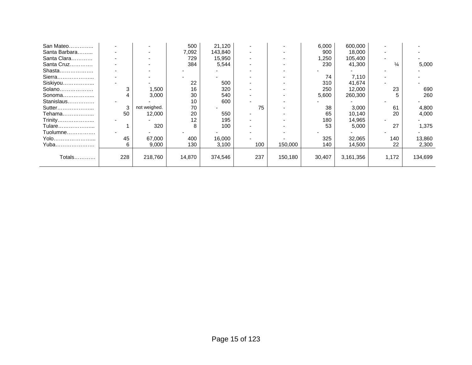| San Mateo     |     |              | 500    | 21,120  |     |         | 6,000  | 600,000   |               |         |
|---------------|-----|--------------|--------|---------|-----|---------|--------|-----------|---------------|---------|
| Santa Barbara |     |              | 7,092  | 143,840 |     |         | 900    | 18,000    |               |         |
| Santa Clara   |     |              | 729    | 15,950  |     |         | ,250   | 105,400   |               |         |
| Santa Cruz    |     |              | 384    | 5,544   |     |         | 230    | 41,300    | $\frac{1}{4}$ | 5,000   |
| Shasta        |     |              |        |         |     |         |        |           |               |         |
| Sierra        |     |              |        |         |     |         | 74     | 7,110     |               |         |
| Siskiyou      |     |              | 22     | 500     |     |         | 310    | 41,674    |               |         |
| Solano        |     | 1,500        | 16     | 320     |     |         | 250    | 12,000    | 23            | 690     |
| Sonoma        |     | 3,000        | 30     | 540     |     |         | 5,600  | 260,300   |               | 260     |
| Stanislaus    |     |              | 10     | 600     |     |         |        |           |               |         |
| Sutter        |     | not weighed. | 70     |         | 75  |         | 38     | 3,000     | 61            | 4,800   |
| Tehama        | 50  | 12,000       | 20     | 550     |     |         | 65     | 10,140    | 20            | 4,000   |
| Trinity       |     |              | 12     | 195     |     |         | 180    | 14,965    |               |         |
| Tulare        |     | 320          | 8      | 100     |     |         | 53     | 5,000     | 27            | 1,375   |
| Tuolumne      |     |              |        |         |     |         |        |           |               |         |
| Yolo          | 45  | 67,000       | 400    | 16,000  |     |         | 325    | 32,065    | 140           | 13,860  |
| Yuba          | 6   | 9,000        | 130    | 3,100   | 100 | 150,000 | 140    | 14,500    | 22            | 2,300   |
|               |     |              |        |         |     |         |        |           |               |         |
| Totals        | 228 | 218,760      | 14,870 | 374,546 | 237 | 150,180 | 30,407 | 3,161,356 | 1,172         | 134,699 |
|               |     |              |        |         |     |         |        |           |               |         |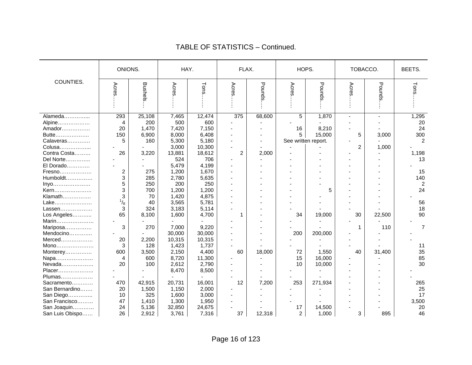|                 | ONIONS.        |                | HAY.   |        | FLAX. |        | HOPS.               |         | TOBACCO.       |        | BEETS.         |
|-----------------|----------------|----------------|--------|--------|-------|--------|---------------------|---------|----------------|--------|----------------|
| COUNTIES.       | Acres          | <b>Bushels</b> | Acres  | Tons   | Acres | Pounds | Acres               | Pounds. | Acres          | Pounds | Tons           |
| Alameda         | 293            | 25,108         | 7,465  | 12,474 | 375   | 68,600 | $\overline{5}$      | 1,870   |                | ÷,     | 1,295          |
| Alpine          | $\overline{4}$ | 200            | 500    | 600    |       |        |                     |         |                |        | 20             |
| Amador          | 20             | 1,470          | 7,420  | 7,150  |       |        | 16                  | 8,210   |                |        | 24             |
| Butte           | 150            | 6,900          | 8,000  | 6,408  |       |        | 5                   | 15,000  | 5              | 3,000  | 300            |
| Calaveras       | 5              | 160            | 5,300  | 5,180  |       |        | See written report. |         |                |        | $\overline{c}$ |
| Colusa          |                |                | 3,000  | 10,300 |       |        |                     |         | $\overline{c}$ | 1,000  |                |
| Contra Costa    | 26             | 3,220          | 13,881 | 18,612 | 2     | 2,000  |                     |         |                |        | 1,198          |
| Del Norte       |                |                | 524    | 706    |       |        |                     |         |                |        | 13             |
| El Dorado       |                |                | 5,479  | 4,199  |       |        |                     |         |                |        |                |
| Fresno          | $\overline{c}$ | 275            | 1,200  | 1,670  |       |        |                     |         |                |        | 15             |
| Humboldt        | 3              | 285            | 2,780  | 5,635  |       |        |                     |         |                |        | 140            |
| Inyo            | 5              | 250            | 200    | 250    |       |        |                     |         |                |        | $\overline{2}$ |
| Kern            | 3              | 700            | 1,200  | 1,200  |       |        |                     | 5       |                |        | 24             |
| Klamath         | 3              | 70             | 1,420  | 4,875  |       |        |                     |         |                |        |                |
| Lake            | $\frac{1}{8}$  | 40             | 3,565  | 5,781  |       |        |                     |         |                |        | 56             |
| Lassen          | 3              | 324            | 3,183  | 5,114  |       |        |                     |         |                |        | 18             |
| Los Angeles     | 65             | 8,100          | 1,600  | 4,700  | 1     |        | 34                  | 19,000  | 30             | 22,500 | 90             |
| Marin           |                |                |        |        |       |        |                     |         |                |        |                |
| Mariposa        | 3              | 270            | 7,000  | 9,220  |       |        |                     |         | 1              | 110    | $\overline{7}$ |
| Mendocino       |                |                | 30,000 | 30,000 |       |        | 200                 | 200,000 |                |        |                |
| Merced          | 20             | 2,200          | 10,315 | 10,315 |       |        |                     |         |                |        |                |
| Mono            | 3              | 128            | 1,423  | 1,737  |       |        |                     |         |                |        | 11             |
| Monterey        | 600            | 3,500          | 2,150  | 4,400  | 60    | 18,000 | 72                  | 1,550   | 40             | 31,400 | 35             |
| Napa            | 4              | 600            | 8,720  | 11,300 |       |        | 15                  | 16,000  |                |        | 85             |
| Nevada          | 20             | 100            | 2,612  | 2,790  |       |        | 10                  | 10,000  |                |        | 30             |
| Placer          |                |                | 8,470  | 8,500  |       |        |                     |         |                |        |                |
| Plumas          |                |                |        |        |       |        |                     |         |                |        |                |
| Sacramento      | 470            | 42,915         | 20,731 | 16,001 | 12    | 7,200  | 253                 | 271,934 |                |        | 265            |
| San Bernardino  | 20             | 1,500          | 1,150  | 2,000  |       |        |                     |         |                |        | 25             |
| San Diego       | 10             | 325            | 1,600  | 3,000  |       |        |                     |         |                |        | 17             |
| San Francisco   | 47             | 1,410          | 1,300  | 1,950  |       |        |                     |         |                |        | 3,500          |
| San Joaquin     | 24             | 5,136          | 32,850 | 24,675 |       |        | 17                  | 14,500  |                |        | 20             |
| San Luis Obispo | 26             | 2,912          | 3,761  | 7,316  | 37    | 12,318 | $\overline{c}$      | 1,000   | 3              | 895    | 46             |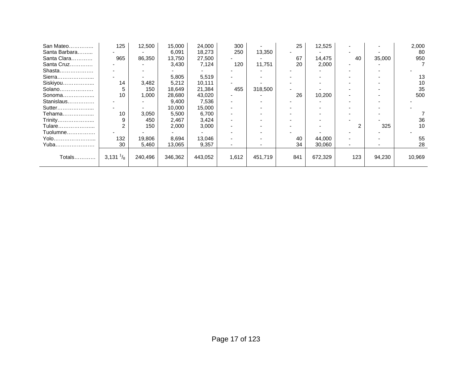| San Mateo     | 125                 | 12,500  | 15,000  | 24,000  | 300   |         | 25  | 12,525  |     |        | 2,000  |
|---------------|---------------------|---------|---------|---------|-------|---------|-----|---------|-----|--------|--------|
| Santa Barbara |                     |         | 6,091   | 18,273  | 250   | 13,350  |     |         |     |        | 80     |
| Santa Clara   | 965                 | 86,350  | 13,750  | 27,500  |       |         | 67  | 14,475  | 40  | 35,000 | 950    |
| Santa Cruz    |                     |         | 3,430   | 7,124   | 120   | 11,751  | 20  | 2,000   |     |        |        |
| Shasta        |                     |         |         |         |       |         |     |         |     |        |        |
| Sierra        |                     |         | 5,805   | 5,519   |       |         |     |         |     |        | 13     |
| Siskiyou      | 14                  | 3,482   | 5,212   | 10,111  |       |         |     |         |     |        | 10     |
| Solano        | 5                   | 150     | 18,649  | 21,384  | 455   | 318,500 |     |         |     |        | 35     |
| Sonoma        | 10                  | 1,000   | 28,680  | 43,020  |       |         | 26  | 10,200  |     |        | 500    |
| Stanislaus    |                     |         | 9,400   | 7,536   |       |         |     |         |     |        |        |
| Sutter        |                     |         | 10,000  | 15,000  |       |         |     |         |     |        |        |
| Tehama        | 10                  | 3,050   | 5,500   | 6,700   |       |         |     |         |     |        |        |
| Trinity       | 9                   | 450     | 2,467   | 3,424   |       |         |     |         |     |        | 36     |
| Tulare        | 2                   | 150     | 2,000   | 3,000   |       |         |     |         |     | 325    | 10     |
| Tuolumne      |                     |         |         |         |       |         |     |         |     |        |        |
| Yolo          | 132                 | 19,806  | 8,694   | 13,046  |       |         | 40  | 44,000  |     |        | 55     |
| Yuba          | 30                  | 5,460   | 13,065  | 9,357   |       |         | 34  | 30,060  |     |        | 28     |
|               |                     |         |         |         |       |         |     |         |     |        |        |
| Totals        | 3,131 $\frac{1}{8}$ | 240,496 | 346,362 | 443,052 | 1,612 | 451,719 | 841 | 672,329 | 123 | 94,230 | 10,969 |
|               |                     |         |         |         |       |         |     |         |     |        |        |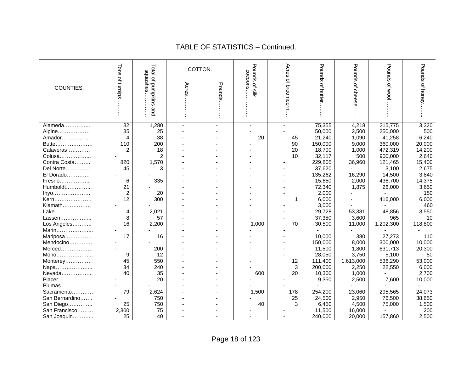|                | Tons           | Total of pumpkins<br>sausahes | COTTON. |        | Pounds of silk<br>cocoons | Acres     | Pounds   | Pounds    | Pounds of wool | Pounds of honey |
|----------------|----------------|-------------------------------|---------|--------|---------------------------|-----------|----------|-----------|----------------|-----------------|
|                | $\vec{\sigma}$ |                               |         |        |                           | <u>이</u>  |          |           |                |                 |
| COUNTIES.      |                |                               | Acres   |        |                           |           |          |           |                |                 |
|                | turnips        |                               |         | Pounds |                           | broomcorn | of butte | of cheese |                |                 |
|                |                |                               |         |        |                           |           |          |           |                |                 |
|                |                |                               |         |        |                           |           |          |           |                |                 |
|                |                | and                           |         |        |                           |           |          |           |                |                 |
|                |                |                               |         |        |                           |           |          |           |                |                 |
| Alameda        | 32             | 1,280                         | $\sim$  |        |                           |           | 75,355   | 4,218     | 215,775        | 3,320           |
| Alpine         | 35             | 25                            |         |        |                           |           | 50,000   | 2,500     | 250,000        | 500             |
| Amador         | 4              | 38                            |         |        | 20                        | 45        | 21,240   | 1,090     | 41,258         | 6,240           |
| Butte          | 110            | 200                           |         |        |                           | 90        | 150,000  | 9,000     | 360,000        | 20,000          |
| Calaveras      | $\overline{2}$ | 18                            |         |        |                           | 20        | 18,700   | 1,000     | 472,319        | 14,200          |
| Colusa         |                | 2                             |         |        |                           | 10        | 32,117   | 500       | 900,000        | 2,640           |
| Contra Costa   | 820            | 1,570                         |         |        |                           |           | 229,805  | 36,960    | 121,465        | 15,400          |
| Del Norte      | 45             | 3                             |         |        |                           |           | 37,620   |           | 3,100          | 2,675           |
| El Dorado      |                |                               |         |        |                           |           | 135,262  | 16,290    | 14,500         | 3,840           |
| Fresno         | 6              | 335                           |         |        |                           |           | 15,650   | 2,000     | 436,700        | 14,375          |
| $Humboldt$     | 21             |                               |         |        |                           |           | 72,340   | 1,875     | 26,000         | 3,650           |
| Inyo           | $\overline{c}$ | 20                            |         |        |                           |           | 2,000    |           |                | 150             |
| Kern           | 12             | 300                           |         |        |                           | 1         | 6,000    |           | 416,000        | 6,000           |
| Klamath        |                |                               |         |        |                           |           | 3,000    |           |                | 460             |
| Lake           | 4              | 2,021                         |         |        |                           |           | 29,728   | 53,381    | 48,856         | 3,550           |
| Lassen         | 8              | 57                            |         |        |                           |           | 37,350   | 3,600     | 965            | 10              |
| Los Angeles    | 16             | 2,200                         |         |        | 1,000                     | 70        | 30,500   | 11,000    | 1,202,300      | 118,800         |
| Marin          |                |                               |         |        |                           |           |          |           |                |                 |
| Mariposa       | 17             | 16                            |         |        |                           |           | 10,000   | 380       | 27,273         | 110             |
| Mendocino      |                |                               |         |        |                           |           | 150,000  | 8,000     | 300,000        | 10,000          |
| Merced         |                | 200                           |         |        |                           |           | 11,500   | 1,800     | 631,713        | 20,300          |
| Mono           | 9              | 12                            |         |        |                           |           | 28,050   | 3,750     | 5,100          | 50              |
| Monterey       | 45             | 550                           |         |        |                           | 12        | 111,400  | 1,613,000 | 536,290        | 53,000          |
| Napa           | 34             | 240                           |         |        |                           | 3         | 200,000  | 2,250     | 22,550         | 6,000           |
| Nevada         | 40             | 35                            |         |        | 600                       | 20        | 10,300   | 1,000     |                | 2,700           |
| Placer         |                | 20                            |         |        |                           |           | 9,350    | 2,500     | 7,600          | 10,000          |
| Plumas         |                |                               |         |        |                           |           |          |           |                |                 |
| Sacramento     | 79             | 2,624                         |         |        | 1,500                     | 178       | 254,200  | 23,060    | 295,565        | 24,073          |
| San Bernardino |                | 750                           |         |        |                           | 25        | 24,500   | 2,950     | 76,500         | 38,650          |
| San Diego      | 25             | 750                           |         |        | 40                        | 3         | 6,450    | 4,500     | 75,000         | 1,500           |
| San Francisco  | 2,300          | 75                            |         |        |                           |           | 11,500   | 16,000    |                | 200             |
| San Joaquin    | 25             | 40                            |         |        |                           |           | 240,000  | 20,000    | 157,860        | 2,500           |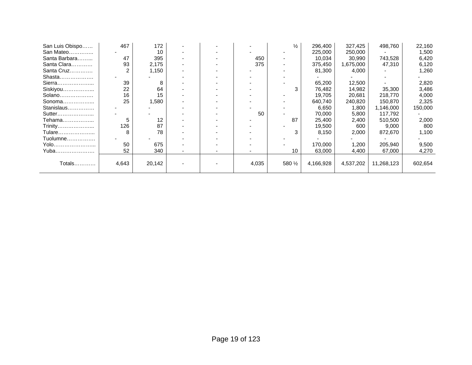| San Luis Obispo | 467   | 172    |  |       | $\frac{1}{2}$     | 296,400   | 327,425   | 498,760    | 22,160  |
|-----------------|-------|--------|--|-------|-------------------|-----------|-----------|------------|---------|
| San Mateo       |       | 10     |  |       |                   | 225,000   | 250,000   |            | 1,500   |
| Santa Barbara   | 47    | 395    |  | 450   |                   | 10,034    | 30,990    | 743,528    | 6,420   |
| Santa Clara     | 93    | 2,175  |  | 375   | ۰.                | 375,450   | 1,675,000 | 47,310     | 6,120   |
| Santa Cruz      | 2     | 1.150  |  |       |                   | 81,300    | 4,000     |            | 1,260   |
| Shasta          |       |        |  |       |                   |           |           |            |         |
| Sierra          | 39    | 8      |  |       |                   | 65,200    | 12,500    |            | 2,820   |
| Siskiyou        | 22    | 64     |  |       | 3                 | 76,482    | 14,982    | 35,300     | 3,486   |
| Solano          | 16    | 15     |  |       |                   | 19,705    | 20,681    | 218,770    | 4,000   |
| Sonoma          | 25    | 1,580  |  |       |                   | 640,740   | 240,820   | 150,870    | 2,325   |
| Stanislaus      |       |        |  |       |                   | 6,650     | 1,800     | 1,146,000  | 150,000 |
| Sutter          |       |        |  | 50    |                   | 70,000    | 5,800     | 117,792    |         |
| Tehama          | 5     | 12     |  |       | 87                | 25,400    | 2,400     | 510,500    | 2,000   |
| Trinity         | 126   | 87     |  |       |                   | 19,500    | 600       | 9,000      | 800     |
| Tulare          |       | 78     |  |       |                   | 8,150     | 2,000     | 872,670    | 1,100   |
| Tuolumne        |       |        |  |       |                   |           |           |            |         |
| Yolo            | 50    | 675    |  |       |                   | 170,000   | 1,200     | 205,940    | 9,500   |
| Yuba            | 52    | 340    |  |       | 10                | 63,000    | 4,400     | 67,000     | 4,270   |
|                 |       |        |  |       |                   |           |           |            |         |
| Totals          | 4,643 | 20,142 |  | 4,035 | 580 $\frac{1}{2}$ | 4,166,928 | 4,537,202 | 11,268,123 | 602,654 |
|                 |       |        |  |       |                   |           |           |            |         |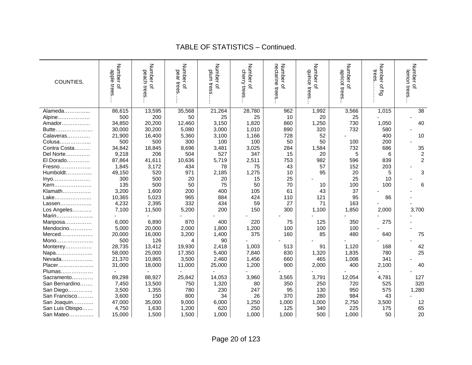| COUNTIES.       | Number<br>apple<br>trees<br>$\Omega$ | Number of<br>peach<br>trees | Number of<br>pear trees | Number of<br>plum tress | Number of<br>cherry trees | nectarine trees<br>Number of | Number of<br>duince<br>trees | Number of<br>apricot trees | Number<br>trees<br>of fig | Number of<br>lemon trees |
|-----------------|--------------------------------------|-----------------------------|-------------------------|-------------------------|---------------------------|------------------------------|------------------------------|----------------------------|---------------------------|--------------------------|
| Alameda         | 86,615                               | 13,595                      | 35,568                  | 21,264                  | 28,780                    | 962                          | 1,992                        | 3,566                      | 1,015                     | 38                       |
| Alpine          | 500                                  | 200                         | 50                      | 25                      | 25                        | 10                           | 20                           | 25                         |                           |                          |
| Amador          | 34,850                               | 20,200                      | 12,460                  | 3,150                   | 1,820                     | 860                          | 1,250                        | 730                        | 1,050                     | 40                       |
| Butte           | 30,000                               | 30,200                      | 5,080                   | 3,000                   | 1,010                     | 890                          | 320                          | 732                        | 580                       |                          |
| Calaveras       | 21,900                               | 16,400                      | 5,360                   | 3,100                   | 1,166                     | 728                          | 52                           |                            | 400                       | 10                       |
| Colusa          | 500                                  | 500                         | 300                     | 100                     | 100                       | 50                           | 50                           | 100                        | 200                       |                          |
| Contra Costa    | 34,842                               | 18,845                      | 8,696                   | 3,481                   | 3,025                     | 284                          | 1,584                        | 732                        | 686                       | 35                       |
| Del Norte       | 9,218                                | 206                         | 504                     | 527                     | 347                       | 15                           | 20                           | 5                          | 6                         | $\sqrt{2}$               |
| El Dorado       | 87,864                               | 41,611                      | 10,636                  | 5,719                   | 2,511                     | 753                          | 982                          | 596                        | 839                       | $\overline{c}$           |
| Fresno          | 1,845                                | 3,172                       | 434                     | 78                      | 75                        | 43                           | 57                           | 152                        | 203                       |                          |
| Humboldt        | 49,150                               | 520                         | 971                     | 2,185                   | 1,275                     | 10                           | 95                           | 20                         | 5                         | 3                        |
| Inyo            | 300                                  | 500                         | 20                      | 20                      | 15                        | 25                           |                              | 25                         | 10                        |                          |
| Kern            | 135                                  | 500                         | 50                      | 75                      | 50                        | 70                           | 10                           | 100                        | 100                       | 6                        |
| Klamath         | 3,200                                | 1,600                       | 200                     | 400                     | 105                       | 61                           | 43                           | 37                         |                           |                          |
| Lake            | 10,365                               | 5,023                       | 965                     | 884                     | 424                       | 110                          | 121                          | 95                         | 86                        |                          |
| Lassen          | 4,232                                | 2,395                       | 332                     | 434                     | 59                        | 27                           | 71                           | 163                        |                           |                          |
| Los Angeles     | 7,100                                | 11,500                      | 5,200                   | 200                     | 150                       | 300                          | 1,100                        | 1,850                      | 2,000                     | 3,700                    |
| Marin           |                                      |                             |                         |                         |                           |                              |                              |                            |                           |                          |
| Mariposa        | 6,000                                | 6,890                       | 870                     | 400                     | 220                       | 75                           | 125                          | 350                        | 275                       |                          |
| Mendocino       | 5,000                                | 20,000                      | 2,000                   | 1,800                   | 1,200                     | 100                          | 100                          | 100                        |                           |                          |
| $Merced$        | 20,000                               | 16,000                      | 3,200                   | 1,400                   | 375                       | 160                          | 85                           | 480                        | 640                       | 75                       |
| Mono            | 500                                  | 126                         | 4                       | 90                      |                           |                              |                              |                            |                           |                          |
| Monterey        | 28,735                               | 13,412                      | 19,930                  | 2,418                   | 1,003                     | 513                          | 91                           | 1,120                      | 168                       | 42                       |
| Napa            | 58,000                               | 25,000                      | 17,350                  | 5,400                   | 7,840                     | 830                          | 1,320                        | 1,835                      | 780                       | 25                       |
| Nevada          | 21,370                               | 10,865                      | 3,500                   | 2,460                   | 1,456                     | 660                          | 465                          | 1,008                      | 341                       |                          |
| Placer          | 31,000                               | 18,000                      | 11,000                  | 25,000                  | 1,200                     | 900                          | 2,000                        | 400                        | 2,100                     | 40                       |
| Plumas          |                                      |                             |                         |                         |                           |                              |                              |                            |                           |                          |
| Sacramento      | 89,298                               | 88,927                      | 25,842                  | 14,053                  | 3,960                     | 3,565                        | 3,791                        | 12,054                     | 4,781                     | 127                      |
| San Bernardino  | 7,450                                | 13,500                      | 750                     | 1,320                   | 80                        | 350                          | 250                          | 720                        | 525                       | 320                      |
| San Diego       | 3,500                                | 1,355                       | 780                     | 230                     | 247                       | 95                           | 130                          | 950                        | 575                       | 1,280                    |
| San Francisco   | 3,600                                | 150                         | 800                     | 34                      | 26                        | 370                          | 280                          | 984                        | 43                        |                          |
| San Joaquin     | 47,000                               | 35,000                      | 9,000                   | 6,000                   | 1,250                     | 1,000                        | 1,000                        | 2,750                      | 3,500                     | 12                       |
| San Luis Obispo | 4,750                                | 1,630                       | 1,200                   | 620                     | 250                       | 125                          | 340                          | 225                        | 175                       | 65                       |
| San Mateo       | 15,000                               | 1,500                       | 1,500                   | 1,000                   | 1,000                     | 1,000                        | 500                          | 1,000                      | 50                        | 20                       |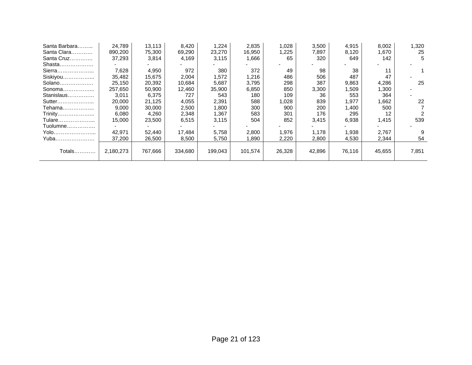| Santa Barbara | 24.789    | 13,113  | 8,420   | 1,224   | 2,835   | 1,028  | 3,500  | 4,915  | 8,002  | 1,320 |
|---------------|-----------|---------|---------|---------|---------|--------|--------|--------|--------|-------|
| Santa Clara   | 890,200   | 75,300  | 69,290  | 23,270  | 16,950  | 1,225  | 7,897  | 8,120  | 1,670  | 25    |
| Santa Cruz    | 37,293    | 3,814   | 4,169   | 3,115   | 1,666   | 65     | 320    | 649    | 142    | 5     |
| Shasta        |           |         |         |         |         |        |        |        |        |       |
| Sierra        | 7,628     | 4,950   | 972     | 380     | 372     | 49     | 98     | 38     | 11     |       |
| Siskiyou      | 35,482    | 15,675  | 2,004   | 1,572   | 1,216   | 486    | 506    | 487    | 47     |       |
| Solano        | 25,150    | 20,392  | 10,684  | 5,687   | 3,795   | 298    | 387    | 9,863  | 4,286  | 25    |
| Sonoma        | 257,650   | 50,900  | 12,460  | 35,900  | 6,850   | 850    | 3,300  | ,509   | 1,300  |       |
| Stanislaus    | 3,011     | 6,375   | 727     | 543     | 180     | 109    | 36     | 553    | 364    |       |
| Sutter        | 20,000    | 21,125  | 4,055   | 2,391   | 588     | 1,028  | 839    | ,977   | 1,662  | 22    |
| Tehama        | 9,000     | 30,000  | 2,500   | 1,800   | 300     | 900    | 200    | .400   | 500    |       |
| Trinity       | 6,080     | 4,260   | 2,348   | 1,367   | 583     | 301    | 176    | 295    | 12     |       |
| Tulare        | 15,000    | 23,500  | 6,515   | 3,115   | 504     | 852    | 3,415  | 6,938  | 1,415  | 539   |
| Tuolumne      |           |         |         |         |         |        |        |        |        |       |
| Yolo          | 42.971    | 52,440  | 17.484  | 5,758   | 2,800   | 1,976  | 1.178  | 1,938  | 2.767  |       |
| Yuba          | 37,200    | 26,500  | 8,500   | 5,750   | 1,890   | 2,220  | 2,800  | 4,530  | 2,344  | 54    |
|               |           |         |         |         |         |        |        |        |        |       |
| Totals        | 2,180,273 | 767,666 | 334,680 | 199,043 | 101,574 | 26,328 | 42,896 | 76,116 | 45,655 | 7,851 |
|               |           |         |         |         |         |        |        |        |        |       |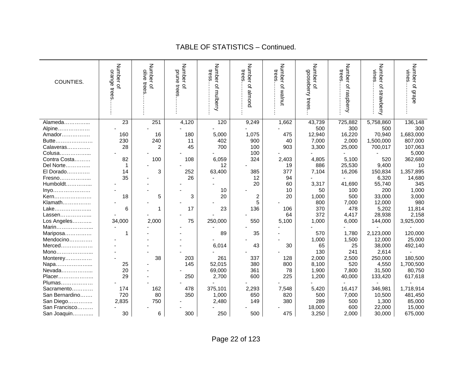| COUNTIES.      | Number of<br>orange<br>trees | Number of<br>olive<br>trees | Number of<br>prune<br>trees | Number of mulberry<br>tress | Number of almond<br>trees | Number of walnut<br>trees | Number of<br>gooseberry trees | Number<br>trees<br>of raspberry | Number of strawberry<br>vines | Number of grape<br>vines |
|----------------|------------------------------|-----------------------------|-----------------------------|-----------------------------|---------------------------|---------------------------|-------------------------------|---------------------------------|-------------------------------|--------------------------|
|                |                              |                             |                             |                             |                           |                           |                               |                                 |                               |                          |
| Alameda        | 23                           | 251                         | 4,120                       | 120                         | 9,249                     | 1,662                     | 43,739                        | 725,882                         | 5,758,860                     | 136,148                  |
| Alpine         |                              |                             |                             |                             |                           |                           | 500                           | 300                             | 500                           | 300                      |
| Amador         | 160                          | 16                          | 180                         | 5,000                       | 1,075                     | 475                       | 12,940                        | 16,220                          | 70,940                        | 1,683,000                |
| Butte          | 230                          | 240                         | 11                          | 402                         | 900                       | 40                        | 7,000                         | 2,000                           | 1,500,000                     | 807,000                  |
| Calaveras      | 28                           | $\overline{c}$              | 45                          | 700                         | 100                       | 903                       | 3,300                         | 25,000                          | 700,017                       | 107,063                  |
| Colusa         |                              |                             |                             |                             | 100                       |                           |                               |                                 |                               | 5,000                    |
| Contra Costa   | 82                           | 100                         | 108                         | 6,059                       | 324                       | 2,403                     | 4,805                         | 5,100                           | 520                           | 362,680                  |
| Del Norte      | 1                            |                             |                             | 12                          |                           | 19                        | 886                           | 25,530                          | 9,400                         | 10                       |
| El Dorado      | 14                           | 3                           | 252                         | 63,400                      | 385                       | 377                       | 7,104                         | 16,206                          | 150,834                       | 1,357,895                |
| Fresno         | 35                           |                             | 26                          |                             | 12                        | 94                        |                               |                                 | 6,320                         | 14,680                   |
| Humboldt       |                              |                             |                             |                             | 20                        | 60                        | 3,317                         | 41,690                          | 55,740                        | 345                      |
| Inyo           |                              |                             |                             | 10                          |                           | 10                        | 50                            | 100                             | 200                           | 1,000                    |
| Kern           | 18                           | 5                           | 3                           | 20                          | 2                         | 20                        | 1,000                         | 500                             | 33,000                        | 3,000                    |
| Klamath        |                              |                             |                             |                             | 5                         |                           | 800                           | 7,000                           | 12,000                        | 980                      |
| Lake           | 6                            |                             | 17                          | 23                          | 136                       | 106                       | 370                           | 478                             | 5,202                         | 11,814                   |
| Lassen         |                              |                             |                             |                             |                           | 64                        | 372                           | 4,417                           | 28,938                        | 2,158                    |
| Los Angeles    | 34,000                       | 2,000                       | 75                          | 250,000                     | 550                       | 5,100                     | 1,000                         | 6,000                           | 144,000                       | 3,925,000                |
| Marin          |                              |                             |                             |                             |                           |                           |                               |                                 |                               |                          |
| Mariposa       | 1                            |                             |                             | 89                          | 35                        |                           | 570                           | 1,780                           | 2,123,000                     | 120,000                  |
| Mendocino      |                              |                             |                             |                             |                           |                           | 1,000                         | 1,500                           | 12,000                        | 25,000                   |
| $Merced$       |                              |                             |                             | 6,014                       | 43                        | 30                        | 65                            | 25                              | 38,000                        | 492,140                  |
| Mono           |                              |                             |                             |                             |                           |                           | 130                           | 241                             | 2,614                         |                          |
| Monterey       |                              | 38                          | 203                         | 261                         | 337                       | 128                       | 2,000                         | 2,500                           | 250,000                       | 180,500                  |
| Napa           | 25                           |                             | 145                         | 52,015                      | 380                       | 800                       | 8,100                         | 520                             | 4,550                         | 1,700,500                |
| Nevada         | 20                           |                             |                             | 69,000                      | 361                       | 78                        | 1,900                         | 7,800                           | 31,500                        | 80,750                   |
| Placer         | 29                           |                             | 250                         | 2,700                       | 600                       | 225                       | 1,200                         | 40,000                          | 133,420                       | 617,618                  |
| Plumas         |                              |                             |                             |                             |                           |                           |                               |                                 |                               |                          |
| Sacramento     | 174                          | 162                         | 478                         | 375,101                     | 2,293                     | 7,548                     | 5,420                         | 16,417                          | 346,981                       | 1,718,914                |
| San Bernardino | 720                          | 80                          | 350                         | 1,000                       | 650                       | 820                       | 500                           | 7,000                           | 10,500                        | 481,450                  |
| San Diego      | 2,835                        | 750                         |                             | 2,480                       | 149                       | 380                       | 289                           | 500                             | 1,300                         | 85,000                   |
| San Francisco  |                              |                             |                             |                             |                           |                           | 18,000                        | 600                             | 22,000                        | 15,000                   |
| San Joaquin    | 30                           | 6                           | 300                         | 250                         | 500                       | 475                       | 3,250                         | 2,000                           | 30,000                        | 675,000                  |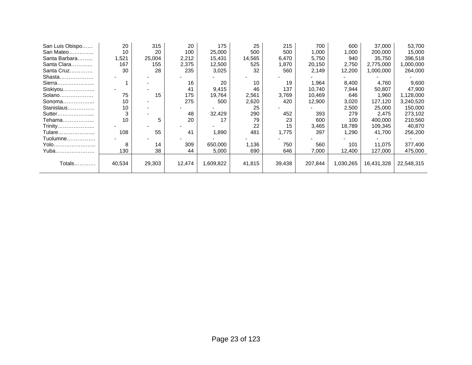| San Luis Obispo | 20     | 315    | 20     | 175       | 25     | 215    | 700     | 600       | 37,000     | 53,700     |
|-----------------|--------|--------|--------|-----------|--------|--------|---------|-----------|------------|------------|
| San Mateo       | 10     | 20     | 100    | 25,000    | 500    | 500    | 1,000   | 1,000     | 200,000    | 15,000     |
| Santa Barbara   | 1,521  | 25,004 | 2,212  | 15,431    | 14,565 | 6,470  | 5,750   | 940       | 35,750     | 396,518    |
| Santa Clara     | 167    | 155    | 2,375  | 12,500    | 525    | 1,870  | 20,150  | 2,750     | 2,775,000  | ,000,000   |
| Santa Cruz      | 30     | 28     | 235    | 3,025     | 32     | 560    | 2,149   | 12,200    | 1,000,000  | 264,000    |
| Shasta          |        |        |        |           |        |        |         |           |            |            |
| Sierra          |        |        | 16     | 20        | 10     | 19     | 1,964   | 8,400     | 4,760      | 9,600      |
| Siskiyou        |        |        | 41     | 9,415     | 46     | 137    | 10,740  | 7,944     | 50,807     | 47,900     |
| Solano          | 75     | 15     | 175    | 19,764    | 2,561  | 3,769  | 10,469  | 646       | 1,960      | 1,128,000  |
| Sonoma          | 10     |        | 275    | 500       | 2,620  | 420    | 12,900  | 3,020     | 127,120    | 3,240,520  |
| Stanislaus      | 10     |        |        |           | 25     |        |         | 2,500     | 25,000     | 150,000    |
| Sutter          | 3      |        | 48     | 32,429    | 290    | 452    | 393     | 279       | 2,475      | 273,102    |
| Tehama          | 10     | 5      | 20     | 17        | 79     | 23     | 600     | 100       | 400,000    | 210,560    |
| Trinity         |        |        |        |           | 22     | 15     | 3,465   | 18,789    | 109,345    | 40,870     |
| Tulare          | 108    | 55     | 41     | 1,890     | 481    | 1,775  | 397     | 1,290     | 41,700     | 256,200    |
| Tuolumne        |        |        |        |           |        |        |         |           |            |            |
| Yolo……………………    | 8      | 14     | 309    | 650,000   | 1,136  | 750    | 560     | 101       | 11.075     | 377,400    |
| Yuba            | 130    | 38     | 44     | 5,000     | 690    | 646    | 7,000   | 12,400    | 127,000    | 475,000    |
|                 |        |        |        |           |        |        |         |           |            |            |
| Totals…………      | 40,534 | 29,303 | 12,474 | 1,609,822 | 41,815 | 39,438 | 207,844 | 1,030,265 | 16,431,328 | 22,548,315 |
|                 |        |        |        |           |        |        |         |           |            |            |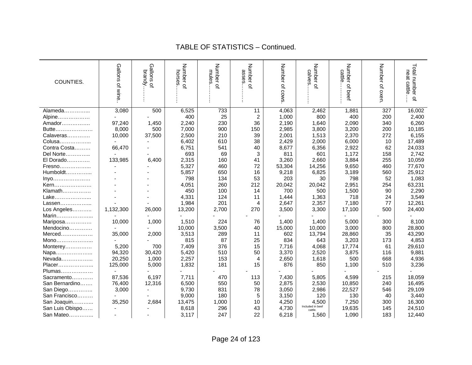| COUNTIES.       | Gallons of wine | Gallons<br>brandy.<br>$\Omega$ | Number of<br>horses | Number<br>mules<br>$\Omega$ | Number of<br>asses | Number of cows | Number of<br>calve          | <b>Number</b><br>cattle<br>$\Omega$<br>beet | Number of oxen | Total number<br>neat cattle<br>$\overline{a}$ |
|-----------------|-----------------|--------------------------------|---------------------|-----------------------------|--------------------|----------------|-----------------------------|---------------------------------------------|----------------|-----------------------------------------------|
| Alameda         | 3,080           | 500                            | 6,525               | 733                         | 11                 | 4,063          | 2,462                       | 1,881                                       | 327            | 16,002                                        |
| Alpine          |                 |                                | 400                 | 25                          | 2                  | 1,000          | 800                         | 400                                         | 200            | 2,400                                         |
| Amador          | 97,240          | 1,450                          | 2,240               | 230                         | 36                 | 2,190          | 1,640                       | 2,090                                       | 340            | 6,260                                         |
| Butte           | 8,000           | 500                            | 7,000               | 900                         | 150                | 2,985          | 3,800                       | 3,200                                       | 200            | 10,185                                        |
| Calaveras       | 10,000          | 37,500                         | 2,500               | 210                         | 39                 | 2,001          | 1,513                       | 2,370                                       | 272            | 6,155                                         |
| Colusa          |                 |                                | 6,402               | 610                         | 38                 | 2,429          | 2,000                       | 6,000                                       | 10             | 17,489                                        |
| Contra Costa    | 66,470          |                                | 6,751               | 541                         | 40                 | 8,677          | 6,356                       | 2,922                                       | 62             | 24,033                                        |
| Del Norte       |                 |                                | 693                 | 69                          | 3                  | 811            | 601                         | 1,172                                       | 158            | 2,742                                         |
| El Dorado       | 133,985         | 6.400                          | 2,315               | 160                         | 41                 | 3,260          | 2,660                       | 3,884                                       | 255            | 10,059                                        |
| Fresno          |                 |                                | 5,327               | 460                         | 72                 | 53,304         | 14,256                      | 9,650                                       | 460            | 77,670                                        |
| Humboldt        |                 |                                | 5,857               | 650                         | 16                 | 9,218          | 6,825                       | 3,189                                       | 560            | 25,912                                        |
| Inyo            |                 |                                | 798                 | 134                         | 53                 | 203            | 30                          | 798                                         | 52             | 1,083                                         |
| Kern            |                 |                                | 4,051               | 260                         | 212                | 20,042         | 20,042                      | 2,951                                       | 254            | 63,231                                        |
| Klamath         |                 |                                | 450                 | 100                         | 14                 | 700            | 500                         | 1,500                                       | 90             | 2,290                                         |
| Lake            |                 |                                | 4,331               | 124                         | 11                 | 1,444          | 1,363                       | 718                                         | 24             | 3,549                                         |
| Lassen          |                 |                                | 1,984               | 201                         | 4                  | 2,647          | 2,357                       | 7,180                                       | 77             | 12,261                                        |
| Los Angeles     | 1,132,300       | 26,000                         | 13,200              | 2,700                       | 270                | 3,500          | 3,300                       | 17,100                                      | 500            | 24,400                                        |
| Marin           |                 |                                |                     |                             |                    |                |                             |                                             |                |                                               |
| Mariposa        | 10,000          | 1,000                          | 1,510               | 224                         | 76                 | 1,400          | 1,400                       | 5,000                                       | 300            | 8,100                                         |
| Mendocino       |                 |                                | 10,000              | 3,500                       | 40                 | 15,000         | 10,000                      | 3,000                                       | 800            | 28,800                                        |
| Merced          | 35,000          | 2,000                          | 3,513               | 289                         | 11                 | 602            | 13,794                      | 28,860                                      | 35             | 43,290                                        |
| Mono            |                 |                                | 815                 | 87                          | 25                 | 834            | 643                         | 3,203                                       | 173            | 4,853                                         |
| Monterey        | 5,200           | 700                            | 7,409               | 376                         | 15                 | 7,716          | 4,068                       | 17,774                                      | 61             | 29,610                                        |
| Napa            | 94,320          | 30,420                         | 5,420               | 510                         | 50                 | 3,370          | 2,520                       | 3,875                                       | 116            | 9,881                                         |
| Nevada          | 20,250          | 1,000                          | 2,257               | 153                         | 4                  | 2,650          | 1,618                       | 500                                         | 668            | 4,936                                         |
| Placer          | 125,000         | 5,000                          | 1,832               | 181                         | 15                 | 876            | 850                         | 1,100                                       | 510            | 3,236                                         |
| Plumas          |                 |                                |                     |                             |                    |                |                             |                                             |                |                                               |
| Sacramento      | 87,536          | 6,197                          | 7,711               | 470                         | 113                | 7,430          | 5,805                       | 4,599                                       | 215            | 18,059                                        |
| San Bernardino  | 76,400          | 12,316                         | 6,500               | 550                         | 50                 | 2,875          | 2,530                       | 10,850                                      | 240            | 16,495                                        |
| San Diego       | 3,000           |                                | 9,730               | 831                         | 78                 | 3,050          | 2,986                       | 22,527                                      | 546            | 29,109                                        |
| San Francisco   |                 |                                | 9,000               | 180                         | 5                  | 3,150          | 120                         | 130                                         | 40             | 3,440                                         |
| San Joaquin     | 35,250          | 2,684                          | 13,475              | 1,000                       | 10                 | 4,250          | 4,500                       | 7,250                                       | 300            | 16,300                                        |
| San Luis Obispo |                 |                                | 8,618               | 296                         | 43                 | 4,730          | Included in beef<br>cattle. | 19,635                                      | 145            | 24,510                                        |
| San Mateo       |                 |                                | 3,117               | 247                         | 22                 | 6,218          | 1,560                       | 1,090                                       | 183            | 12,440                                        |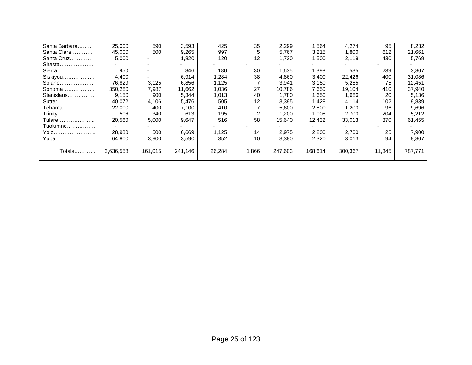| Santa Barbara | 25,000    | 590     | 3,593   | 425    | 35    | 2,299   | 1,564   | 4,274   | 95     | 8,232   |
|---------------|-----------|---------|---------|--------|-------|---------|---------|---------|--------|---------|
| Santa Clara   | 45,000    | 500     | 9,265   | 997    | 5     | 5,767   | 3,215   | 1,800   | 612    | 21,661  |
| Santa Cruz    | 5,000     |         | 1,820   | 120    | 12    | 1,720   | 1,500   | 2,119   | 430    | 5,769   |
| Shasta        |           |         |         |        |       |         |         |         |        |         |
| Sierra        | 950       |         | 846     | 180    | 30    | 1,635   | 1,398   | 535     | 239    | 3,807   |
| Siskiyou      | 4,400     |         | 6,914   | 1,284  | 38    | 4,860   | 3,400   | 22,426  | 400    | 31,086  |
| Solano        | 76,829    | 3,125   | 6,856   | 1,125  |       | 3,941   | 3,150   | 5,285   | 75     | 12,451  |
| Sonoma        | 350,280   | 7,987   | 11,662  | 1,036  | 27    | 10,786  | 7,650   | 19,104  | 410    | 37,940  |
| Stanislaus    | 9,150     | 900     | 5,344   | 1,013  | 40    | 1,780   | 1,650   | 1,686   | 20     | 5,136   |
| Sutter        | 40.072    | 4,106   | 5,476   | 505    | 12    | 3,395   | 1,428   | 4,114   | 102    | 9,839   |
| Tehama        | 22,000    | 400     | 7,100   | 410    |       | 5,600   | 2,800   | 1,200   | 96     | 9,696   |
| Trinity       | 506       | 340     | 613     | 195    | 2     | 1,200   | 1,008   | 2,700   | 204    | 5,212   |
| Tulare        | 20,560    | 5,000   | 9,647   | 516    | 58    | 15,640  | 12,432  | 33,013  | 370    | 61,455  |
| Tuolumne      |           |         |         |        |       |         |         |         |        |         |
| Yolo          | 28,980    | 500     | 6,669   | 1,125  | 14    | 2,975   | 2,200   | 2,700   | 25     | 7,900   |
| Yuba          | 64.800    | 3,900   | 3,590   | 352    | 10    | 3,380   | 2,320   | 3,013   | 94     | 8,807   |
|               |           |         |         |        |       |         |         |         |        |         |
| Totals        | 3,636,558 | 161,015 | 241,146 | 26,284 | 1,866 | 247,603 | 168,614 | 300,367 | 11,345 | 787,771 |
|               |           |         |         |        |       |         |         |         |        |         |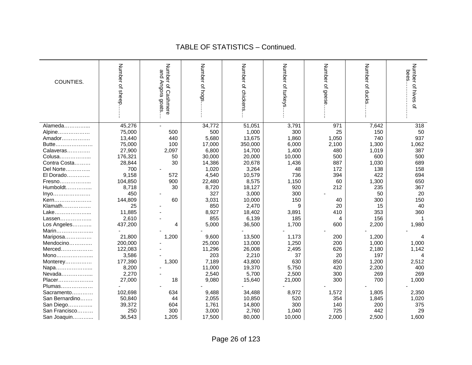#### Number of sheep Number of sheep…….. and Angora goats…. Number of Cashmere Number of Cashmere Number of hogs. Number of hogs……… Number of chickens Number of chickens…. Number of turkeys Number of turkeys…… Number of geese.. Number of geese…….. Number of ducks.. Number of ducks…….. bees………………… Number of hives of Number of hives of and Angora bees. COUNTIES. **goats**  $\ddot{\phantom{a}}$ Alameda……………... | 45.276 | - | 34.772 | 51.051 | 3.791 | 971 | 7.642 | 318 Alpine……………… | 75,000 | 500 | 500 | 1,000 | 300 | 25 | 150 | 50<br>Amador……………… | 13,440 | 440 | 5.680 | 13,675 | 1.860 | 1.050 | 740 | 937 Amador……………. Butte………………… 75,000 100 17,000 350,000 6,000 2,100 1,300 1,062 Calaveras………… | 27,900 | 2,097 | 6,800 | 14,700 | 1,400 | 480 | 1,019 | 387 Colusa……………... 176,321 50 30,000 20,000 10,000 500 600 500 Contra Costa……… 28,844 | 30 | 14,386 | 20,678 | 1,436 | 887 | 1,030 | 689 | <br>Del Norte…………… 700 | - 1,020 | 3,264 | 48 | 172 | 138 | 158 Del Norte………….. 700 - 1,020 3,264 48 172 138 158 El Dorado…………. 9,158 572 4,540 10,579 736 394 422 694 Fresno……………… | 104,850 | 900 | 22,480 | 8,575 | 1,150 | 60 | 1,300 | 650 Humboldt……………. 8,718 | 30 | 8,720 | 18,127 | 920 | 212 | 235 | 367 Inyo………………… 450 - 327 3,000 300 - 50 20 Kern……………… 144,809 | 60 | 3,031 | 10,000 | 150 | 40 | 300 | 150 Klamath……………… | 25 | - 850 | 2.470 | 9 | 20 | 15 | 40 Lake………………… 11,885 | 8,927 | 18,402 | 3,891 | 410 | 353 | 360 Lassen……………… 2,610 | 855 | 6,139 | 185 | 4 | 156 | 1 Los Angeles……….. | 437,200 | 4 | 5,000 | 36,500 | 1,700 | 600 | 2,200 | 1,980 Marin..................... Mariposa…………… | 21,800 | 1,200 | 9,600 | 13,500 | 1,173 | 200 | 1,200 | 4 Mendocino…………. | 200,000 | - 25,000 | 13,000 | 1,250 | 200 | 1,000 | 1,000 Merced……………… | 122,083 | - 11,296 | 26,008 | 2,495 | 626 | 2,180 | 1,142 Mono………………… | 3,586 | - 203 | 2,210 | 37 | 20 | 197 | 4 Monterey…………… | 177,390 | 1,300 | 7,189 | 43,800 | 630 | 850 | 1,200 | 2,512 Napa………………... 8,200 - 11,000 19,370 5,750 420 2,200 400 Nevada……………... 2,270 - 2,540 5,700 2,500 300 269 269 Placer……………….. | 27,000 | 18 | 9,080 | 15,640 | 21,000 | 300 | 700 | 1,000 Plumas.................. Sacramento………… | 102,698 | 634 | 9,488 | 34,488 | 8,972 | 1,572 | 1,805 | 2,350 San Bernardino……. 50,840 44 2,055 10,850 520 354 1,845 1,020 San Diego…………... | 39,372 | 604 | 1,761 | 14,800 | 300 | 140 | 200 | 375 San Francisco……… | 250 | 300 | 3,000 | 2,760 | 1,040 | 725 | 442 | 29 San Joaquin…………. | 36,543 | 1,205 | 17,500 | 80,000 | 10,000 | 2,000 | 2,500 | 1,600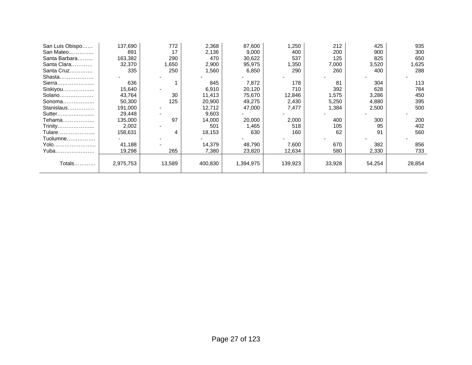| San Luis Obispo | 137,690   | 772    | 2,368   | 87,600    | ,250    | 212    | 425    | 935    |
|-----------------|-----------|--------|---------|-----------|---------|--------|--------|--------|
| San Mateo       | 891       | 17     | 2,136   | 9,000     | 400     | 200    | 900    | 300    |
| Santa Barbara   | 163,382   | 290    | 470     | 30,622    | 537     | 125    | 825    | 650    |
| Santa Clara     | 32,370    | 1,650  | 2,900   | 95,975    | ,350    | 7,000  | 3,520  | 1,625  |
| Santa Cruz      | 335       | 250    | 1,560   | 6,850     | 290     | 260    | 400    | 288    |
| Shasta          |           |        |         |           |         |        |        |        |
| Sierra          | 636       |        | 845     | 7,872     | 178     | 81     | 304    | 113    |
| Siskiyou        | 15,640    |        | 6,910   | 20,120    | 710     | 392    | 628    | 784    |
| Solano          | 43,764    | 30     | 11,413  | 75,670    | 12,846  | 1,575  | 3,286  | 450    |
| Sonoma          | 50,300    | 125    | 20,900  | 49,275    | 2,430   | 5,250  | 4,880  | 395    |
| Stanislaus      | 191,000   |        | 12,712  | 47,000    | 7,477   | 1,384  | 2,500  | 500    |
| Sutter          | 29,448    |        | 9,603   |           |         |        |        |        |
| Tehama          | 135,000   | 97     | 14,000  | 20,000    | 2,000   | 400    | 300    | 200    |
| Trinity         | 2,002     |        | 501     | 1,465     | 518     | 105    | 95     | 402    |
| Tulare          | 158,631   | 4      | 18,153  | 630       | 160     | 62     | 91     | 560    |
| Tuolumne        |           |        |         |           |         |        |        |        |
| Yolo            | 41,188    |        | 14,379  | 48,790    | 7,600   | 670    | 382    | 856    |
| Yuba            | 19,298    | 265    | 7,380   | 23,820    | 12,634  | 580    | 2,330  | 733    |
|                 |           |        |         |           |         |        |        |        |
| Totals…………      | 2,975,753 | 13,589 | 400,830 | 1,394,975 | 139,923 | 33,928 | 54,254 | 28,854 |
|                 |           |        |         |           |         |        |        |        |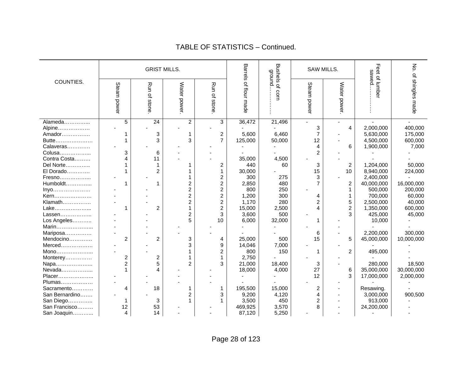|                |                | <b>GRIST MILLS.</b> |                |                         | Barrels          | <b>Qround</b>   |                | SAW MILLS.     | sawed.        | λó.              |
|----------------|----------------|---------------------|----------------|-------------------------|------------------|-----------------|----------------|----------------|---------------|------------------|
| COUNTIES.      | Steam power    | Run of stone        | Water power    | Run of stone            | of flour<br>made | Bushels of corn | Steam power    | Water power.   | Feet of lumbe | of shingles made |
| Alameda        | 5              | $\overline{24}$     | $\overline{c}$ | 3                       | 36,472           | 21,496          |                |                |               |                  |
| Alpine         |                |                     |                |                         |                  |                 | 3              | 4              | 2,000,000     | 400,000          |
| Amador         |                | 3                   | 1              | $\overline{c}$          | 5,600            | 6,460           | $\overline{7}$ |                | 5,630,000     | 175,000          |
| Butte          |                | 3                   | 3              | $\overline{7}$          | 125,000          | 50,000          | 12             |                | 4,500,000     | 600,000          |
| Calaveras      |                |                     |                |                         |                  |                 | 4              | 6              | 1,900,000     | 7,000            |
| Colusa         | 3              | 6                   |                |                         |                  |                 | 2              |                |               |                  |
| Contra Costa   | 4              | 11                  |                |                         | 35,000           | 4,500           |                |                |               |                  |
| Del Norte      |                | 1                   |                | $\overline{\mathbf{c}}$ | 440              | 60              | 3              | $\overline{c}$ | 1,204,000     | 50,000           |
| El Dorado      |                | $\overline{c}$      |                |                         | 30,000           |                 | 15             | 10             | 8,940,000     | 224,000          |
| Fresno         |                |                     |                | 2                       | 300              | 275             | 3              |                | 2,400,000     |                  |
| Humboldt       |                | 1                   | 2              | 2                       | 2,850            | 480             |                | 2              | 40,000,000    | 16,000,000       |
| Inyo           |                |                     | $\overline{2}$ | 2                       | 800              | 250             |                | 1              | 500,000       | 200,000          |
| Kern           |                |                     | $\overline{2}$ | $\overline{c}$          | 1,200            | 300             | 4              |                | 700,000       | 60,000           |
| Klamath        |                |                     | $\overline{2}$ | $\overline{c}$          | 1,170            | 280             | $\overline{2}$ | 5              | 2,500,000     | 40,000           |
| Lake           |                | $\overline{c}$      |                | $\overline{2}$          | 15,000           | 2,500           |                | $\overline{2}$ | 1,350,000     | 600,000          |
| Lassen         |                |                     | $\overline{c}$ | 3                       | 3,600            | 500             |                | 3              | 425,000       | 45,000           |
| Los Angeles    |                |                     | 5              | 10                      | 6,000            | 32,000          |                |                | 10,000        |                  |
| Marin          |                |                     |                |                         |                  |                 |                |                |               |                  |
| Mariposa       |                |                     |                |                         |                  |                 | 6              |                | 2,200,000     | 300,000          |
| Mendocino      | $\overline{2}$ | $\overline{2}$      | 3              | 4                       | 25,000           | 500             | 15             | 5              | 45,000,000    | 10,000,000       |
| Merced         |                |                     | 3              | 9                       | 14,046           | 7,000           |                |                |               |                  |
| Mono           |                |                     |                | 2                       | 800              | 150             |                | 2              | 495,000       |                  |
| Monterey       | $\overline{c}$ | $\overline{c}$      |                |                         | 2,750            |                 |                |                |               |                  |
| Napa           | $\overline{2}$ | 5                   | $\overline{c}$ | 3                       | 21,000           | 18,400          | 3              |                | 280,000       | 18,500           |
| Nevada         |                | 4                   |                |                         | 18,000           | 4,000           | 27             | 6              | 35,000,000    | 30,000,000       |
| Placer         |                |                     |                |                         |                  |                 | 12             | 3              | 17,000,000    | 2,000,000        |
| Plumas         |                |                     |                |                         |                  |                 |                |                |               |                  |
| Sacramento     | 4              | 18                  |                | 1                       | 195,500          | 15,000          | 2              |                | Resawing.     |                  |
| San Bernardino |                |                     | 2              | 3                       | 9,200            | 4,120           | $\overline{4}$ |                | 3,000,000     | 900,500          |
| San Diego      |                | 3                   |                |                         | 3,500            | 450             | 2              |                | 913,000       |                  |
| San Francisco  | 12             | 53                  |                |                         | 469,925          | 3,570           | 8              |                | 24,200,000    |                  |
| San Joaquin    | 4              | 14                  |                |                         | 87,120           | 5,250           |                |                |               |                  |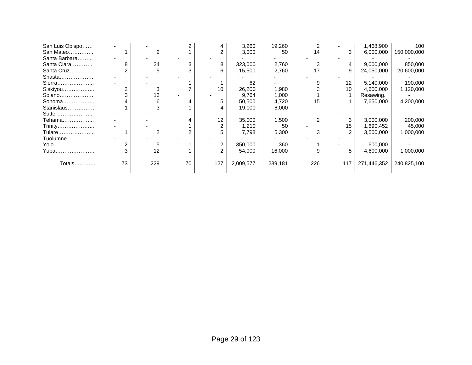| San Luis Obispo |    |     |    |     | 3,260     | 19,260  |     |                | 1,468,900   | 100         |
|-----------------|----|-----|----|-----|-----------|---------|-----|----------------|-------------|-------------|
| San Mateo       |    | 2   |    |     | 3,000     | 50      | 14  | 3              | 6,000,000   | 150,000,000 |
| Santa Barbara   |    |     |    |     |           |         |     |                |             |             |
| Santa Clara     | 8  | 24  |    | 8   | 323,000   | 2,760   |     | 4              | 9,000,000   | 850,000     |
| Santa Cruz      |    | 5   |    |     | 15,500    | 2,760   | 17  | 9              | 24,050,000  | 20,600,000  |
| Shasta          |    |     |    |     |           |         |     |                |             |             |
| Sierra          |    |     |    |     | 62        |         |     | 12             | 5,140,000   | 190,000     |
| Siskiyou        |    | 3   |    | 10  | 26,200    | 1,980   |     | 10             | 4,600,000   | 1,120,000   |
| Solano          |    | 13  |    |     | 9,764     | 1,000   |     |                | Resawing.   |             |
| Sonoma          |    | 6   |    |     | 50,500    | 4,720   | 15  |                | 7,650,000   | 4,200,000   |
| Stanislaus      |    |     |    |     | 19,000    | 6,000   |     |                |             |             |
| Sutter          |    |     |    |     |           |         |     |                |             |             |
| Tehama          |    |     |    | 12  | 35,000    | 1,500   |     | 3              | 3,000,000   | 200,000     |
| Trinity         |    |     |    |     | 1,210     | 50      |     | 15             | 1,690,452   | 45,000      |
| Tulare          |    |     |    |     | 7,798     | 5,300   |     | $\overline{2}$ | 3,500,000   | 1,000,000   |
| Tuolumne        |    |     |    |     |           |         |     |                |             |             |
| Yolo            |    |     |    |     | 350,000   | 360     |     |                | 600,000     |             |
| Yuba            |    | 12  |    |     | 54,000    | 16,000  |     |                | 4,600,000   | 1,000,000   |
|                 |    |     |    |     |           |         |     |                |             |             |
| Totals…………      | 73 | 229 | 70 | 127 | 2,009,577 | 239,181 | 226 | 117            | 271,446,352 | 240,825,100 |
|                 |    |     |    |     |           |         |     |                |             |             |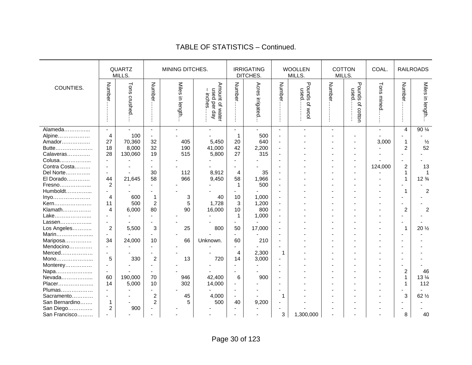|                                                            |                                                                      | <b>QUARTZ</b><br>MILLS.           |                                                                | MINING DITCHES.       |                                          |                                                                 | <b>IRRIGATING</b><br>DITCHES.  |                                                                                        | <b>WOOLLEN</b><br>MILLS.  | MILLS.         | <b>COTTON</b>               | COAL.         |                                  | <b>RAILROADS</b>                      |
|------------------------------------------------------------|----------------------------------------------------------------------|-----------------------------------|----------------------------------------------------------------|-----------------------|------------------------------------------|-----------------------------------------------------------------|--------------------------------|----------------------------------------------------------------------------------------|---------------------------|----------------|-----------------------------|---------------|----------------------------------|---------------------------------------|
| COUNTIES.                                                  | Numbe                                                                | Tons<br>crushed                   | Number.                                                        | Miles in length       | Amount of wate<br>used per day<br>inches | Number.                                                         | Acres irrigated                | Number.                                                                                | Pounds<br>used<br>Of WOOl | Number.        | Pounds<br>nsed<br>of cotton | Tons<br>mined | Number                           | Miles in length                       |
| Alameda<br>Alpine<br>Amador<br>Butte<br>Calaveras          | $\sim$<br>$\overline{\mathbf{4}}$<br>27<br>18<br>28                  | 100<br>70,360<br>8,000<br>130,060 | $\blacksquare$<br>$\sim$<br>32<br>32<br>19                     | 405<br>190<br>515     | 5,450<br>41,000<br>5,800                 | $\sim$<br>$\mathbf 1$<br>20<br>42<br>27                         | 500<br>640<br>2,200<br>315     | $\blacksquare$<br>$\overline{a}$<br>$\blacksquare$<br>$\blacksquare$<br>$\blacksquare$ |                           | $\blacksquare$ |                             | 3,000         | 4<br>1<br>$\overline{c}$         | 90 1/4<br>$\frac{1}{2}$<br>52         |
| Colusa<br>Contra Costa<br>Del Norte<br>El Dorado<br>Fresno | $\sim$<br>$\blacksquare$<br>$\blacksquare$<br>44<br>$\boldsymbol{2}$ | 21,645                            | $\blacksquare$<br>$\blacksquare$<br>30<br>58<br>$\blacksquare$ | 112<br>966            | 8,912<br>9,450                           | $\sim$<br>$\blacksquare$<br>4<br>58<br>$\mathbf{1}$             | 35<br>1,966<br>500             | $\blacksquare$<br>٠<br>$\overline{\phantom{a}}$<br>$\blacksquare$<br>$\blacksquare$    |                           |                |                             | 124,000       | $\boldsymbol{2}$<br>$\mathbf{1}$ | 13<br>$\mathbf{1}$<br>$12\frac{3}{4}$ |
| Humboldt<br>Inyo<br>Kern<br>Klamath<br>Lake                | $\overline{4}$<br>11<br>$\overline{4}$<br>$\mathbf{r}$               | 600<br>500<br>6,000               | $\mathbf{1}$<br>$\boldsymbol{2}$<br>80<br>$\overline{a}$       | 3<br>5<br>90          | 40<br>1,728<br>16,000                    | 10<br>3<br>10<br>$\mathbf{1}$                                   | 1,000<br>1,200<br>800<br>1,000 | $\blacksquare$<br>$\blacksquare$<br>$\overline{a}$<br>$\overline{\phantom{a}}$         |                           |                |                             |               | $\overline{c}$                   | $\overline{c}$<br>$\overline{c}$      |
| Lassen<br>Los Angeles<br>Marin<br>Mariposa                 | $\overline{c}$<br>$\sim$<br>34                                       | 5,500<br>24,000                   | 3<br>10                                                        | 25<br>66              | 800<br>Unknown.                          | 50<br>$\sim$<br>60                                              | 17,000<br>210                  | $\overline{\phantom{a}}$<br>۰<br>$\overline{a}$                                        |                           |                |                             |               |                                  | 20 $\frac{1}{2}$                      |
| Mendocino<br>Merced<br>Mono<br>Monterey<br>Napa            | $\mathbf{r}$<br>$\sim$<br>5<br>$\mathbf{r}$<br>$\blacksquare$        | 330                               | $\blacksquare$<br>$\sim$<br>$\overline{c}$<br>÷,               | 13                    | 720                                      | $\overline{\phantom{a}}$<br>4<br>14<br>$\sim$<br>$\blacksquare$ | 2,300<br>3,000                 | 1<br>٠<br>$\overline{\phantom{a}}$<br>$\blacksquare$                                   |                           |                |                             |               | $\overline{c}$                   | 46                                    |
| Nevada<br>Placer<br>Plumas<br>Sacramento<br>San Bernardino | 60<br>14<br>$\sim$<br>$\blacksquare$<br>$\mathbf{1}$                 | 190,000<br>5,000                  | 70<br>10<br>÷.<br>2<br>$\overline{2}$                          | 946<br>302<br>45<br>5 | 42,400<br>14,000<br>4,000<br>500         | 6<br>$\overline{\phantom{0}}$<br>$\blacksquare$<br>40           | 900<br>9,200                   | ٠<br>$\blacksquare$<br>1<br>$\overline{\phantom{a}}$                                   |                           |                |                             |               | 1<br>$\overline{a}$<br>3         | $13\frac{1}{4}$<br>112<br>62 1/2      |
| San Diego<br>San Francisco                                 | 2                                                                    | 900                               |                                                                |                       |                                          |                                                                 |                                | $\blacksquare$<br>3                                                                    | 1,300,000                 |                |                             |               | 8                                | 40                                    |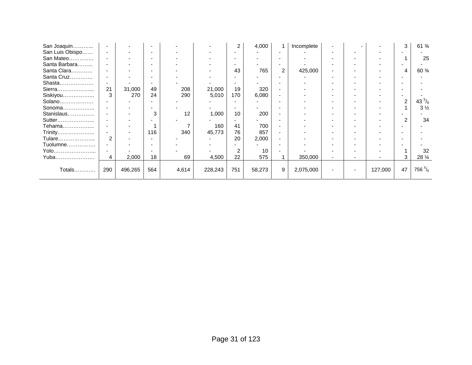| San Joaquin     |                |         |                          |       |         | 2                        | 4,000  |                          | Incomplete |    |                          |         | 3              | $61\frac{3}{4}$   |
|-----------------|----------------|---------|--------------------------|-------|---------|--------------------------|--------|--------------------------|------------|----|--------------------------|---------|----------------|-------------------|
| San Luis Obispo |                |         |                          |       |         |                          |        |                          |            |    |                          |         |                |                   |
| San Mateo       |                |         | $\overline{\phantom{0}}$ |       |         | $\overline{\phantom{0}}$ |        | $\overline{\phantom{0}}$ |            |    | $\overline{\phantom{0}}$ |         |                | 25                |
| Santa Barbara   |                |         |                          |       |         |                          |        |                          |            |    |                          |         |                |                   |
| Santa Clara     |                |         |                          |       |         | 43                       | 765    | 2                        | 425,000    |    | $\overline{\phantom{0}}$ |         | 4              | 60 %              |
| Santa Cruz      |                |         | $\overline{\phantom{0}}$ |       |         |                          |        | $\overline{\phantom{0}}$ |            |    | $\overline{\phantom{0}}$ |         |                |                   |
| Shasta          |                |         |                          |       |         |                          |        |                          |            |    |                          |         |                |                   |
| Sierra          | 21             | 31,000  | 49                       | 208   | 21,000  | 19                       | 320    |                          |            |    | $\overline{\phantom{0}}$ |         |                |                   |
| Siskiyou        | 3              | 270     | 24                       | 290   | 5,010   | 170                      | 6,080  | $\overline{\phantom{0}}$ |            | ۰. | $\overline{\phantom{0}}$ |         |                |                   |
| Solano          |                |         |                          |       |         |                          |        |                          |            |    |                          |         | $\overline{2}$ | 43 $\frac{5}{6}$  |
| Sonoma          |                |         |                          |       |         |                          |        |                          |            |    | $\overline{\phantom{0}}$ |         |                | $3\frac{1}{2}$    |
| Stanislaus      |                |         | 3                        | 12    | 1,000   | 10                       | 200    |                          |            |    |                          |         |                |                   |
| Sutter          |                |         |                          |       |         |                          |        |                          |            |    |                          |         | 2              | 34                |
| Tehama          |                |         |                          |       | 160     | 41                       | 700    |                          |            |    |                          |         |                |                   |
| Trinity         |                |         | 116                      | 340   | 45,773  | 76                       | 857    |                          |            |    |                          |         |                |                   |
| Tulare          | $\mathfrak{p}$ |         |                          |       |         | 20                       | 2,000  |                          |            |    |                          |         |                |                   |
| Tuolumne        |                |         |                          |       |         |                          |        |                          |            |    |                          |         |                |                   |
| Yolo            |                |         |                          |       |         | 2                        | 10     |                          |            |    |                          |         |                | 32                |
| Yuba            | 4              | 2,000   | 18                       | 69    | 4,500   | 22                       | 575    |                          | 350,000    |    |                          |         | 3              | 28 $\frac{1}{4}$  |
|                 |                |         |                          |       |         |                          |        |                          |            |    |                          |         |                |                   |
| Totals          | 290            | 496,265 | 564                      | 4,614 | 228,243 | 751                      | 58,273 | 9                        | 2,075,000  |    | $\overline{\phantom{0}}$ | 127,000 | 47             | 756 $\frac{5}{6}$ |
|                 |                |         |                          |       |         |                          |        |                          |            |    |                          |         |                |                   |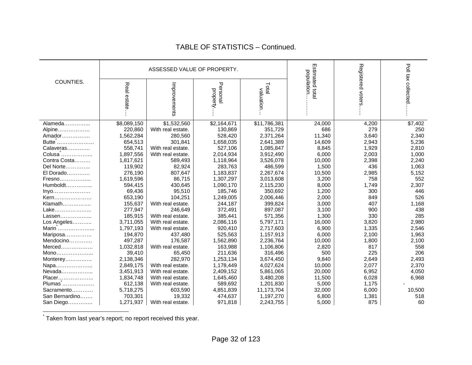|                |             | ASSESSED VALUE OF PROPERTY. |                      |                     |                               |                   |                     |
|----------------|-------------|-----------------------------|----------------------|---------------------|-------------------------------|-------------------|---------------------|
| COUNTIES.      | Real estate | Improvements                | Persona<br>property. | Total<br>valuation. | Estimated total<br>population | Registered voters | Poll tax collected  |
| Alameda        | \$8,089,150 | \$1,532,560                 | \$2,164,671          | \$11,786,381        | 24,000                        | 4,200             | $\overline{$7,402}$ |
| Alpine         | 220,860     | With real estate.           | 130,869              | 351,729             | 686                           | 279               | 250                 |
| Amador         | 1,562,284   | 280,560                     | 528,420              | 2,371,264           | 11,340                        | 3,640             | 2,340               |
| Butte          | 654,513     | 301.841                     | 1,658,035            | 2,641,389           | 14,609                        | 2,943             | 5,236               |
| Calaveras      | 558,741     | With real estate.           | 527,106              | 1,085,847           | 8,845                         | 1,929             | 2,810               |
| Colusa         | 1,897,556   | With real estate.           | 2,014,934            | 3,912,490           | 6,000                         | 2,003             | 1,000               |
| Contra Costa   | 1,817,621   | 589,493                     | 1,118,964            | 3,526,078           | 10,000                        | 2,398             | 2,240               |
| Del Norte      | 119,902     | 82,924                      | 283,763              | 486,599             | 1,500                         | 436               | 1,063               |
| El Dorado      | 276,190     | 807,647                     | 1,183,837            | 2,267,674           | 10,500                        | 2,985             | 5,152               |
| Fresno         | 1,619,596   | 86,715                      | 1,307,297            | 3,013,608           | 3,200                         | 758               | 552                 |
| $Humboldt$     | 594,415     | 430,645                     | 1,090,170            | 2,115,230           | 8,000                         | 1,749             | 2,307               |
| Inyo           | 69,436      | 95,510                      | 185,746              | 350,692             | 1,200                         | 300               | 446                 |
| Kern           | 653,190     | 104,251                     | 1,249,005            | 2,006,446           | 2,000                         | 849               | 526                 |
| Klamath        | 155,637     | With real estate.           | 244,187              | 399,824             | 3,000                         | 407               | 1,168               |
| Lake           | 277,947     | 246,649                     | 372,491              | 897,087             | 3,100                         | 900               | 438                 |
| Lassen         | 185,915     | With real estate.           | 385,441              | 571,356             | 1,300                         | 330               | 285                 |
| Los Angeles    | 3,711,055   | With real estate.           | 2,086,116            | 5,797,171           | 16,000                        | 3,820             | 2,980               |
| Marin          | 1,797,193   | With real estate.           | 920,410              | 2,717,603           | 6,900                         | 1,335             | 2,546               |
| Mariposa       | 194,870     | 437,480                     | 525,563              | 1,157,913           | 6,000                         | 2,100             | 1,963               |
| Mendocino      | 497,287     | 176,587                     | 1,562,890            | 2,236,764           | 10,000                        | 1,800             | 2,100               |
| $Merced$       | 1,032,818   | With real estate.           | 163,988              | 1,106,806           | 2,820                         | 817               | 558                 |
| Mono           | 39,410      | 65,450                      | 211,636              | 316,496             | 500                           | 225               | 206                 |
| Monterey       | 2,138,346   | 282,970                     | 1,253,134            | 3,674,450           | 9,840                         | 2,649             | 2,493               |
| Napa           | 2,849,175   | With real estate.           | 1,178,449            | 4,027,624           | 10,000                        | 2,077             | 2,370               |
| Nevada         | 3,451,913   | With real estate.           | 2,409,152            | 5,861,065           | 20,000                        | 6,952             | 4,050               |
| Placer         | 1,834,748   | With real estate.           | 1,645,460            | 3,480,208           | 11,500                        | 6,028             | 6,968               |
| Plumas         | 612,138     | With real estate.           | 589,692              | 1,201,830           | 5,000                         | 1,175             |                     |
| Sacramento     | 5,718,275   | 603,590                     | 4,851,839            | 11,173,704          | 32,000                        | 6,000             | 10,500              |
| San Bernardino | 703,301     | 19,332                      | 474,637              | 1,197,270           | 6,800                         | 1,381             | 518                 |
| San Diego      | 1,271,937   | With real estate.           | 971,818              | 2,243,755           | 5,000                         | 875               | 60                  |

\* Taken from last year's report; no report received this year.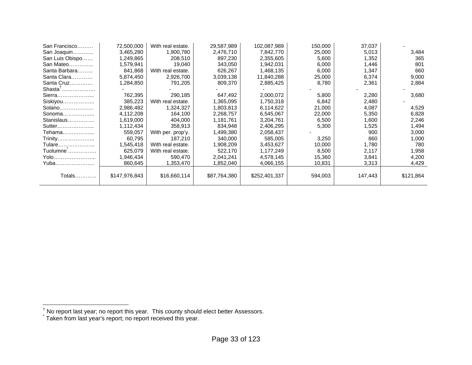| San Francisco   | 72,500,000    | With real estate. | 29,587,989   | 102,087,989   | 150,000 | 37,037  |           |
|-----------------|---------------|-------------------|--------------|---------------|---------|---------|-----------|
| San Joaquin     | 3,465,280     | 1,900,780         | 2,476,710    | 7,842,770     | 25,000  | 5,013   | 3,484     |
| San Luis Obispo | 1,249,865     | 208,510           | 897,230      | 2,355,605     | 5,600   | 1,352   | 365       |
| San Mateo       | 1,579,941     | 19,040            | 343,050      | 1,942,031     | 6,000   | 1,446   | 801       |
| Santa Barbara   | 841,868       | With real estate. | 626,267      | 1,468,135     | 6,000   | 1,347   | 660       |
| Santa Clara     | 5,874,450     | 2,926,700         | 3,039,138    | 11,840,288    | 25,000  | 6,374   | 9,000     |
| Santa Cruz      | 1,284,850     | 791,205           | 809,370      | 2,885,425     | 8,780   | 2,361   | 2,884     |
| $ShastaT$       |               |                   |              |               |         |         |           |
| Sierra          | 762,395       | 290,185           | 647,492      | 2,000,072     | 5,800   | 2,280   | 3,680     |
| Siskiyou        | 385,223       | With real estate. | 1,365,095    | 1,750,318     | 6,842   | 2,480   |           |
| Solano          | 2,986,482     | 1,324,327         | 1,803,813    | 6,114,622     | 21,000  | 4,087   | 4,529     |
| Sonoma          | 4,112,208     | 164,100           | 2,268,757    | 6,545,067     | 22,000  | 5,350   | 6,828     |
| Stanislaus      | 1,619,000     | 404,000           | 1,181,761    | 3,204,761     | 6,500   | 1,600   | 2,246     |
| Sutter          | 1,112,434     | 358,913           | 834,948      | 2,406,295     | 5,300   | 1,525   | 1,494     |
| Tehama………………    | 559,057       | With per. prop'y. | 1,499,380    | 2,058,437     |         | 900     | 3,000     |
| Trinity         | 60,795        | 187,210           | 340,000      | 585,005       | 3,250   | 860     | 1,000     |
| Tulare          | 1,545,418     | With real estate. | 1,908,209    | 3,453,627     | 10,000  | 1,780   | 780       |
| Tuolumne        | 625,079       | With real estate. | 522,170      | 1,177,249     | 8,500   | 2,117   | 1,958     |
| Yolo            | 1,946,434     | 590,470           | 2,041,241    | 4,578,145     | 15,360  | 3,841   | 4,200     |
| Yuba            | 860,645       | 1,353,470         | 1,852,040    | 4,066,155     | 10,831  | 3,313   | 4,429     |
|                 |               |                   |              |               |         |         |           |
| Totals…………      | \$147,976,843 | \$16,660,114      | \$87,764,380 | \$252,401,337 | 594,003 | 147,443 | \$121,864 |
|                 |               |                   |              |               |         |         |           |

<sup>&</sup>lt;sup>†</sup> No report last year; no report this year. This county should elect better Assessors. <br><sup>\*</sup> Taken from last year's report; no report received this year.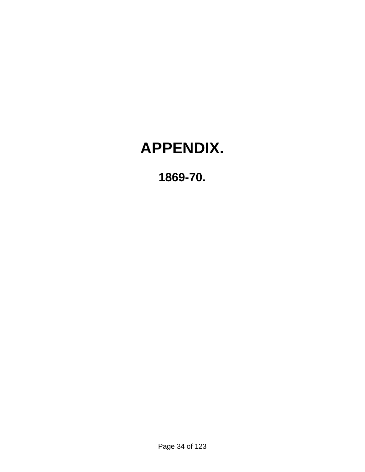# **APPENDIX.**

**1869-70.**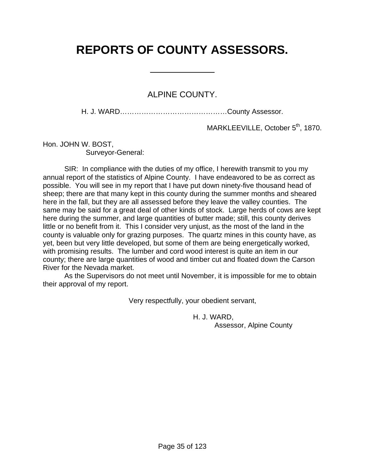# **REPORTS OF COUNTY ASSESSORS.**

 $\overline{a}$ 

### ALPINE COUNTY.

H. J. WARD………………………………………County Assessor.

MARKLEEVILLE, October 5<sup>th</sup>, 1870.

Hon. JOHN W. BOST, Surveyor-General:

 SIR: In compliance with the duties of my office, I herewith transmit to you my annual report of the statistics of Alpine County. I have endeavored to be as correct as possible. You will see in my report that I have put down ninety-five thousand head of sheep; there are that many kept in this county during the summer months and sheared here in the fall, but they are all assessed before they leave the valley counties. The same may be said for a great deal of other kinds of stock. Large herds of cows are kept here during the summer, and large quantities of butter made; still, this county derives little or no benefit from it. This I consider very unjust, as the most of the land in the county is valuable only for grazing purposes. The quartz mines in this county have, as yet, been but very little developed, but some of them are being energetically worked, with promising results. The lumber and cord wood interest is quite an item in our county; there are large quantities of wood and timber cut and floated down the Carson River for the Nevada market.

 As the Supervisors do not meet until November, it is impossible for me to obtain their approval of my report.

Very respectfully, your obedient servant,

 H. J. WARD, Assessor, Alpine County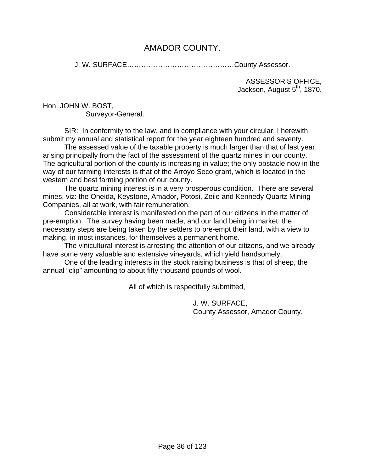## AMADOR COUNTY.

J. W. SURFACE………………………………………County Assessor.

ASSESSOR'S OFFICE, Jackson, August 5<sup>th</sup>, 1870.

Hon. JOHN W. BOST, Surveyor-General:

 SIR: In conformity to the law, and in compliance with your circular, I herewith submit my annual and statistical report for the year eighteen hundred and seventy.

 The assessed value of the taxable property is much larger than that of last year, arising principally from the fact of the assessment of the quartz mines in our county. The agricultural portion of the county is increasing in value; the only obstacle now in the way of our farming interests is that of the Arroyo Seco grant, which is located in the western and best farming portion of our county.

 The quartz mining interest is in a very prosperous condition. There are several mines, viz: the Oneida, Keystone, Amador, Potosi, Zeile and Kennedy Quartz Mining Companies, all at work, with fair remuneration.

 Considerable interest is manifested on the part of our citizens in the matter of pre-emption. The survey having been made, and our land being in market, the necessary steps are being taken by the settlers to pre-empt their land, with a view to making, in most instances, for themselves a permanent home.

 The vinicultural interest is arresting the attention of our citizens, and we already have some very valuable and extensive vineyards, which yield handsomely.

 One of the leading interests in the stock raising business is that of sheep, the annual "clip" amounting to about fifty thousand pounds of wool.

All of which is respectfully submitted,

 J. W. SURFACE, County Assessor, Amador County.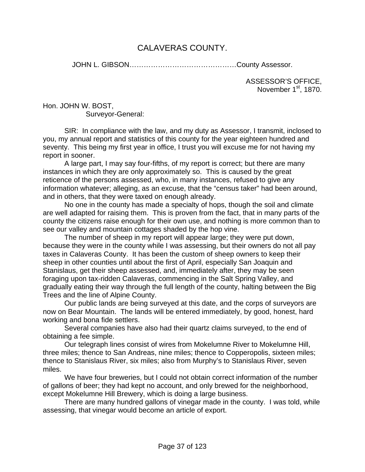# CALAVERAS COUNTY.

JOHN L. GIBSON………………………………………County Assessor.

ASSESSOR'S OFFICE, November 1<sup>st</sup>, 1870.

Hon. JOHN W. BOST, Surveyor-General:

 SIR: In compliance with the law, and my duty as Assessor, I transmit, inclosed to you, my annual report and statistics of this county for the year eighteen hundred and seventy. This being my first year in office, I trust you will excuse me for not having my report in sooner.

 A large part, I may say four-fifths, of my report is correct; but there are many instances in which they are only approximately so. This is caused by the great reticence of the persons assessed, who, in many instances, refused to give any information whatever; alleging, as an excuse, that the "census taker" had been around, and in others, that they were taxed on enough already.

 No one in the county has made a specialty of hops, though the soil and climate are well adapted for raising them. This is proven from the fact, that in many parts of the county the citizens raise enough for their own use, and nothing is more common than to see our valley and mountain cottages shaded by the hop vine.

 The number of sheep in my report will appear large; they were put down, because they were in the county while I was assessing, but their owners do not all pay taxes in Calaveras County. It has been the custom of sheep owners to keep their sheep in other counties until about the first of April, especially San Joaquin and Stanislaus, get their sheep assessed, and, immediately after, they may be seen foraging upon tax-ridden Calaveras, commencing in the Salt Spring Valley, and gradually eating their way through the full length of the county, halting between the Big Trees and the line of Alpine County.

 Our public lands are being surveyed at this date, and the corps of surveyors are now on Bear Mountain. The lands will be entered immediately, by good, honest, hard working and bona fide settlers.

 Several companies have also had their quartz claims surveyed, to the end of obtaining a fee simple.

 Our telegraph lines consist of wires from Mokelumne River to Mokelumne Hill, three miles; thence to San Andreas, nine miles; thence to Copperopolis, sixteen miles; thence to Stanislaus River, six miles; also from Murphy's to Stanislaus River, seven miles.

 We have four breweries, but I could not obtain correct information of the number of gallons of beer; they had kept no account, and only brewed for the neighborhood, except Mokelumne Hill Brewery, which is doing a large business.

 There are many hundred gallons of vinegar made in the county. I was told, while assessing, that vinegar would become an article of export.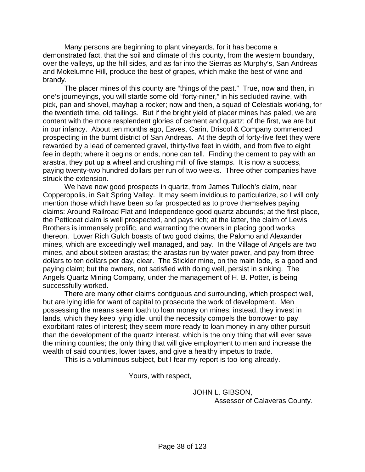Many persons are beginning to plant vineyards, for it has become a demonstrated fact, that the soil and climate of this county, from the western boundary, over the valleys, up the hill sides, and as far into the Sierras as Murphy's, San Andreas and Mokelumne Hill, produce the best of grapes, which make the best of wine and brandy.

 The placer mines of this county are "things of the past." True, now and then, in one's journeyings, you will startle some old "forty-niner," in his secluded ravine, with pick, pan and shovel, mayhap a rocker; now and then, a squad of Celestials working, for the twentieth time, old tailings. But if the bright yield of placer mines has paled, we are content with the more resplendent glories of cement and quartz; of the first, we are but in our infancy. About ten months ago, Eaves, Carin, Driscol & Company commenced prospecting in the burnt district of San Andreas. At the depth of forty-five feet they were rewarded by a lead of cemented gravel, thirty-five feet in width, and from five to eight fee in depth; where it begins or ends, none can tell. Finding the cement to pay with an arastra, they put up a wheel and crushing mill of five stamps. It is now a success, paying twenty-two hundred dollars per run of two weeks. Three other companies have struck the extension.

 We have now good prospects in quartz, from James Tulloch's claim, near Copperopolis, in Salt Spring Valley. It may seem invidious to particularize, so I will only mention those which have been so far prospected as to prove themselves paying claims: Around Railroad Flat and Independence good quartz abounds; at the first place, the Petticoat claim is well prospected, and pays rich; at the latter, the claim of Lewis Brothers is immensely prolific, and warranting the owners in placing good works thereon. Lower Rich Gulch boasts of two good claims, the Palomo and Alexander mines, which are exceedingly well managed, and pay. In the Village of Angels are two mines, and about sixteen arastas; the arastas run by water power, and pay from three dollars to ten dollars per day, clear. The Stickler mine, on the main lode, is a good and paying claim; but the owners, not satisfied with doing well, persist in sinking. The Angels Quartz Mining Company, under the management of H. B. Potter, is being successfully worked.

 There are many other claims contiguous and surrounding, which prospect well, but are lying idle for want of capital to prosecute the work of development. Men possessing the means seem loath to loan money on mines; instead, they invest in lands, which they keep lying idle, until the necessity compels the borrower to pay exorbitant rates of interest; they seem more ready to loan money in any other pursuit than the development of the quartz interest, which is the only thing that will ever save the mining counties; the only thing that will give employment to men and increase the wealth of said counties, lower taxes, and give a healthy impetus to trade.

This is a voluminous subject, but I fear my report is too long already.

Yours, with respect,

 JOHN L. GIBSON, Assessor of Calaveras County.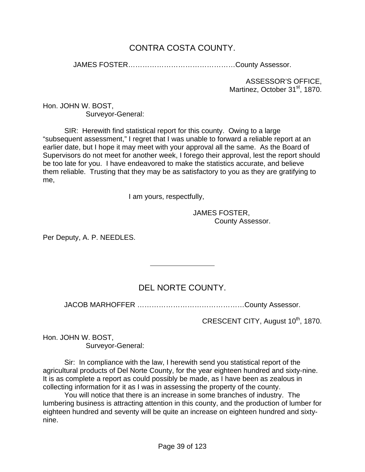# CONTRA COSTA COUNTY.

JAMES FOSTER………………………………………County Assessor.

ASSESSOR'S OFFICE, Martinez, October 31<sup>st</sup>, 1870.

Hon. JOHN W. BOST, Surveyor-General:

 SIR: Herewith find statistical report for this county. Owing to a large "subsequent assessment," I regret that I was unable to forward a reliable report at an earlier date, but I hope it may meet with your approval all the same. As the Board of Supervisors do not meet for another week, I forego their approval, lest the report should be too late for you. I have endeavored to make the statistics accurate, and believe them reliable. Trusting that they may be as satisfactory to you as they are gratifying to me,

I am yours, respectfully,

 $\overline{a}$ 

 JAMES FOSTER, County Assessor.

Per Deputy, A. P. NEEDLES.

# DEL NORTE COUNTY.

JACOB MARHOFFER ………………………………………County Assessor.

CRESCENT CITY, August 10<sup>th</sup>, 1870.

Hon. JOHN W. BOST, Surveyor-General:

Sir: In compliance with the law, I herewith send you statistical report of the agricultural products of Del Norte County, for the year eighteen hundred and sixty-nine. It is as complete a report as could possibly be made, as I have been as zealous in collecting information for it as I was in assessing the property of the county.

 You will notice that there is an increase in some branches of industry. The lumbering business is attracting attention in this county, and the production of lumber for eighteen hundred and seventy will be quite an increase on eighteen hundred and sixtynine.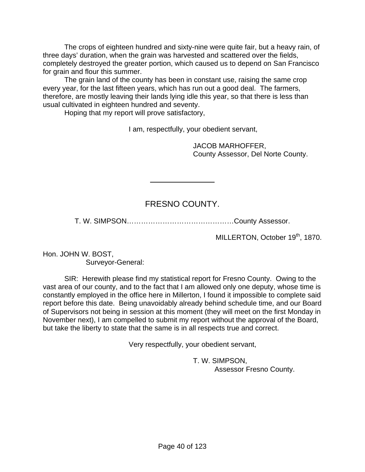The crops of eighteen hundred and sixty-nine were quite fair, but a heavy rain, of three days' duration, when the grain was harvested and scattered over the fields, completely destroyed the greater portion, which caused us to depend on San Francisco for grain and flour this summer.

 The grain land of the county has been in constant use, raising the same crop every year, for the last fifteen years, which has run out a good deal. The farmers, therefore, are mostly leaving their lands lying idle this year, so that there is less than usual cultivated in eighteen hundred and seventy.

Hoping that my report will prove satisfactory,

l

I am, respectfully, your obedient servant,

 JACOB MARHOFFER, County Assessor, Del Norte County.

# FRESNO COUNTY.

T. W. SIMPSON………………………………………County Assessor.

MILLERTON, October 19<sup>th</sup>, 1870.

Hon. JOHN W. BOST, Surveyor-General:

 SIR: Herewith please find my statistical report for Fresno County. Owing to the vast area of our county, and to the fact that I am allowed only one deputy, whose time is constantly employed in the office here in Millerton, I found it impossible to complete said report before this date. Being unavoidably already behind schedule time, and our Board of Supervisors not being in session at this moment (they will meet on the first Monday in November next), I am compelled to submit my report without the approval of the Board, but take the liberty to state that the same is in all respects true and correct.

Very respectfully, your obedient servant,

 T. W. SIMPSON, Assessor Fresno County.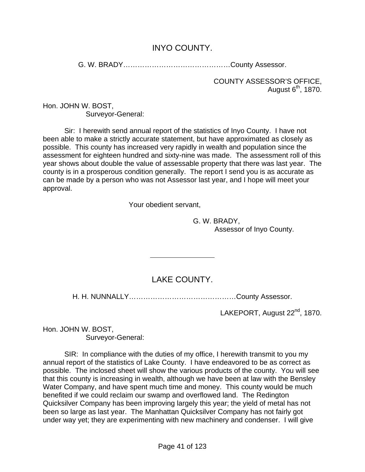# INYO COUNTY.

G. W. BRADY………………………………………County Assessor.

COUNTY ASSESSOR'S OFFICE, August  $6<sup>th</sup>$ , 1870.

Hon. JOHN W. BOST, Surveyor-General:

Sir: I herewith send annual report of the statistics of Inyo County. I have not been able to make a strictly accurate statement, but have approximated as closely as possible. This county has increased very rapidly in wealth and population since the assessment for eighteen hundred and sixty-nine was made. The assessment roll of this year shows about double the value of assessable property that there was last year. The county is in a prosperous condition generally. The report I send you is as accurate as can be made by a person who was not Assessor last year, and I hope will meet your approval.

Your obedient servant,

 $\overline{a}$ 

 G. W. BRADY, Assessor of Inyo County.

# LAKE COUNTY.

H. H. NUNNALLY………………………………………County Assessor.

LAKEPORT, August 22<sup>nd</sup>, 1870.

Hon. JOHN W. BOST, Surveyor-General:

 SIR: In compliance with the duties of my office, I herewith transmit to you my annual report of the statistics of Lake County. I have endeavored to be as correct as possible. The inclosed sheet will show the various products of the county. You will see that this county is increasing in wealth, although we have been at law with the Bensley Water Company, and have spent much time and money. This county would be much benefited if we could reclaim our swamp and overflowed land. The Redington Quicksilver Company has been improving largely this year; the yield of metal has not been so large as last year. The Manhattan Quicksilver Company has not fairly got under way yet; they are experimenting with new machinery and condenser. I will give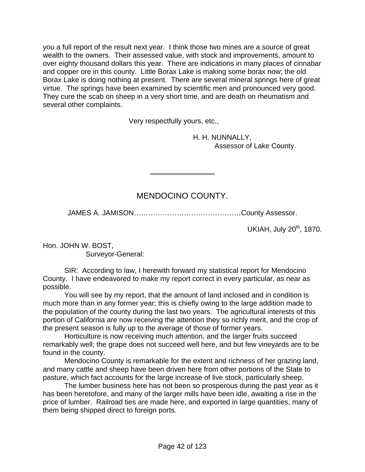you a full report of the result next year. I think those two mines are a source of great wealth to the owners. Their assessed value, with stock and improvements, amount to over eighty thousand dollars this year. There are indications in many places of cinnabar and copper ore in this county. Little Borax Lake is making some borax now; the old Borax Lake is doing nothing at present. There are several mineral springs here of great virtue. The springs have been examined by scientific men and pronounced very good. They cure the scab on sheep in a very short time, and are death on rheumatism and several other complaints.

Very respectfully yours, etc.,

l

 H. H. NUNNALLY, Assessor of Lake County.

## MENDOCINO COUNTY.

JAMES A. JAMISON………………………………………County Assessor.

UKIAH, July 20<sup>th</sup>, 1870.

Hon. JOHN W. BOST, Surveyor-General:

 SIR: According to law, I herewith forward my statistical report for Mendocino County. I have endeavored to make my report correct in every particular, as near as possible.

 You will see by my report, that the amount of land inclosed and in condition is much more than in any former year; this is chiefly owing to the large addition made to the population of the county during the last two years. The agricultural interests of this portion of California are now receiving the attention they so richly merit, and the crop of the present season is fully up to the average of those of former years.

 Horticulture is now receiving much attention, and the larger fruits succeed remarkably well; the grape does not succeed well here, and but few vineyards are to be found in the county.

 Mendocino County is remarkable for the extent and richness of her grazing land, and many cattle and sheep have been driven here from other portions of the State to pasture, which fact accounts for the large increase of live stock, particularly sheep.

 The lumber business here has not been so prosperous during the past year as it has been heretofore, and many of the larger mills have been idle, awaiting a rise in the price of lumber. Railroad ties are made here, and exported in large quantities, many of them being shipped direct to foreign ports.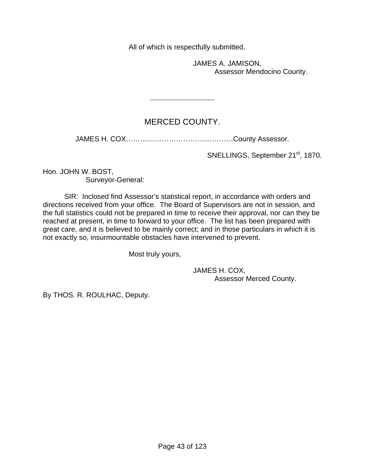All of which is respectfully submitted,

 JAMES A. JAMISON, Assessor Mendocino County.

# MERCED COUNTY.

JAMES H. COX………………………………………County Assessor.

SNELLINGS, September 21<sup>st</sup>, 1870.

Hon. JOHN W. BOST, Surveyor-General:

 SIR: Inclosed find Assessor's statistical report, in accordance with orders and directions received from your office. The Board of Supervisors are not in session, and the full statistics could not be prepared in time to receive their approval, nor can they be reached at present, in time to forward to your office. The list has been prepared with great care, and it is believed to be mainly correct; and in those particulars in which it is not exactly so, insurmountable obstacles have intervened to prevent.

Most truly yours,

l

 JAMES H. COX, Assessor Merced County.

By THOS. R. ROULHAC, Deputy.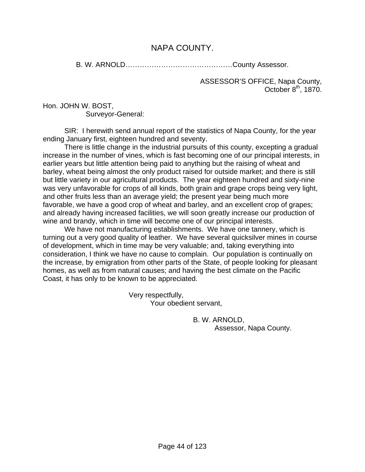## NAPA COUNTY.

B. W. ARNOLD………………………………………County Assessor.

ASSESSOR'S OFFICE, Napa County, October 8<sup>th</sup>, 1870.

Hon. JOHN W. BOST, Surveyor-General:

 SIR: I herewith send annual report of the statistics of Napa County, for the year ending January first, eighteen hundred and seventy.

 There is little change in the industrial pursuits of this county, excepting a gradual increase in the number of vines, which is fast becoming one of our principal interests, in earlier years but little attention being paid to anything but the raising of wheat and barley, wheat being almost the only product raised for outside market; and there is still but little variety in our agricultural products. The year eighteen hundred and sixty-nine was very unfavorable for crops of all kinds, both grain and grape crops being very light, and other fruits less than an average yield; the present year being much more favorable, we have a good crop of wheat and barley, and an excellent crop of grapes; and already having increased facilities, we will soon greatly increase our production of wine and brandy, which in time will become one of our principal interests.

 We have not manufacturing establishments. We have one tannery, which is turning out a very good quality of leather. We have several quicksilver mines in course of development, which in time may be very valuable; and, taking everything into consideration, I think we have no cause to complain. Our population is continually on the increase, by emigration from other parts of the State, of people looking for pleasant homes, as well as from natural causes; and having the best climate on the Pacific Coast, it has only to be known to be appreciated.

> Very respectfully, Your obedient servant,

> > B. W. ARNOLD, Assessor, Napa County.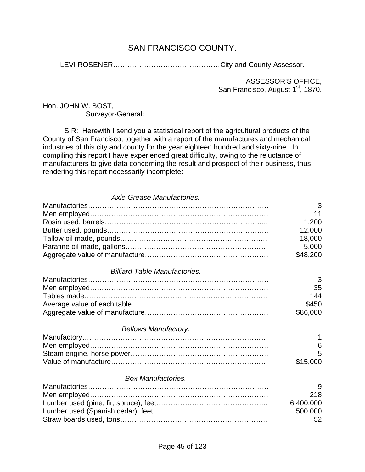# SAN FRANCISCO COUNTY.

LEVI ROSENER………………………………………City and County Assessor.

ASSESSOR'S OFFICE, San Francisco, August 1<sup>st</sup>, 1870.

Hon. JOHN W. BOST, Surveyor-General:

 SIR: Herewith I send you a statistical report of the agricultural products of the County of San Francisco, together with a report of the manufactures and mechanical industries of this city and county for the year eighteen hundred and sixty-nine. In compiling this report I have experienced great difficulty, owing to the reluctance of manufacturers to give data concerning the result and prospect of their business, thus rendering this report necessarily incomplete:

| Axle Grease Manufactories.           |           |
|--------------------------------------|-----------|
|                                      | 3         |
|                                      | 11        |
|                                      |           |
|                                      | 1,200     |
|                                      | 12,000    |
|                                      | 18,000    |
|                                      | 5,000     |
|                                      | \$48,200  |
| <b>Billiard Table Manufactories.</b> |           |
|                                      | 3         |
|                                      | 35        |
|                                      | 144       |
|                                      | \$450     |
|                                      | \$86,000  |
|                                      |           |
| <b>Bellows Manufactory.</b>          |           |
|                                      | 1         |
|                                      | 6         |
|                                      | 5         |
|                                      | \$15,000  |
| <b>Box Manufactories.</b>            |           |
|                                      | 9         |
|                                      | 218       |
|                                      | 6,400,000 |
|                                      | 500,000   |
|                                      | 52        |
|                                      |           |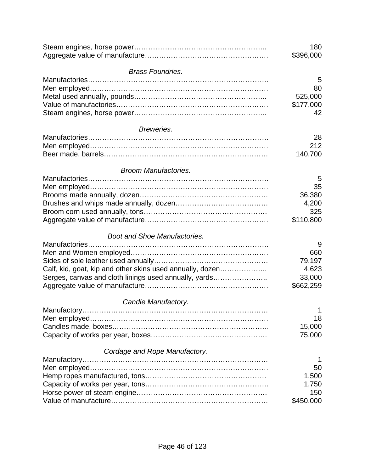|                                                           | 180<br>\$396,000 |
|-----------------------------------------------------------|------------------|
| <b>Brass Foundries.</b>                                   |                  |
|                                                           | 5                |
|                                                           | 80               |
|                                                           | 525,000          |
|                                                           | \$177,000        |
|                                                           | 42               |
| Breweries.                                                |                  |
|                                                           | 28               |
|                                                           | 212              |
|                                                           | 140,700          |
| <b>Broom Manufactories.</b>                               |                  |
|                                                           | 5                |
|                                                           | 35               |
|                                                           | 36,380           |
|                                                           | 4,200            |
|                                                           | 325              |
|                                                           | \$110,800        |
| <b>Boot and Shoe Manufactories.</b>                       |                  |
|                                                           | 9                |
|                                                           | 660              |
|                                                           | 79,197           |
| Calf, kid, goat, kip and other skins used annually, dozen | 4,623            |
| Serges, canvas and cloth linings used annually, yards     | 33,000           |
|                                                           | \$662,259        |
|                                                           |                  |
| Candle Manufactory.                                       | $\mathbf{1}$     |
|                                                           |                  |
|                                                           | 18               |
|                                                           | 15,000           |
|                                                           | 75,000           |
| Cordage and Rope Manufactory.                             |                  |
|                                                           | 1                |
|                                                           | 50               |
|                                                           | 1,500            |
|                                                           | 1,750            |
|                                                           | 150              |
|                                                           | \$450,000        |
|                                                           |                  |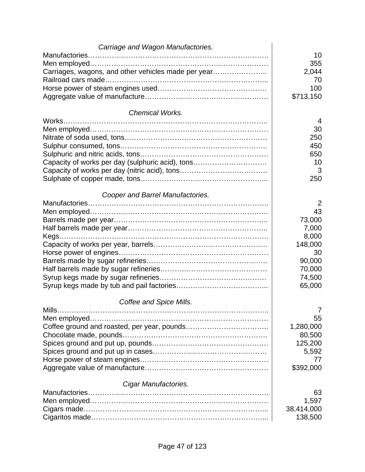| Carriage and Wagon Manufactories.                   |            |
|-----------------------------------------------------|------------|
|                                                     | 10         |
|                                                     | 355        |
| Carriages, wagons, and other vehicles made per year | 2,044      |
|                                                     | 70         |
|                                                     | 100        |
|                                                     | \$713,150  |
| <b>Chemical Works.</b>                              |            |
|                                                     | 4          |
|                                                     | 30         |
|                                                     | 250        |
|                                                     | 450        |
|                                                     | 650        |
| Capacity of works per day (sulphuric acid), tons    | 10         |
|                                                     | 3          |
|                                                     | 250        |
| Cooper and Barrel Manufactories.                    |            |
|                                                     | 2          |
|                                                     | 43         |
|                                                     | 73,000     |
|                                                     | 7,000      |
|                                                     | 8,000      |
|                                                     | 148,000    |
|                                                     | 30         |
|                                                     | 90,000     |
|                                                     | 70,000     |
|                                                     | 74,500     |
|                                                     | 65,000     |
| Coffee and Spice Mills.                             |            |
| Mills                                               | 7          |
|                                                     | 55         |
|                                                     | 1,280,000  |
|                                                     | 80,500     |
|                                                     | 125,200    |
|                                                     | 5,592      |
|                                                     | 77         |
|                                                     | \$392,000  |
| Cigar Manufactories.                                |            |
|                                                     | 63         |
|                                                     | 1,597      |
|                                                     | 38,414,000 |
|                                                     | 138,500    |
|                                                     |            |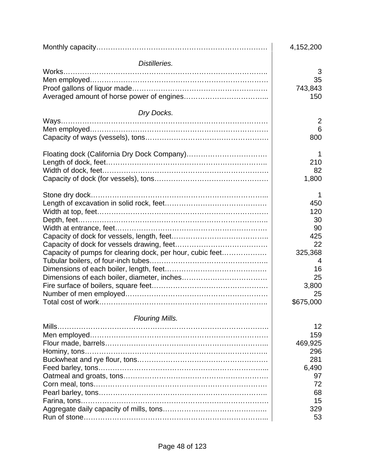|                                                           | 4,152,200   |
|-----------------------------------------------------------|-------------|
| Distilleries.                                             |             |
|                                                           | 3           |
|                                                           | 35          |
|                                                           | 743,843     |
|                                                           | 150         |
| Dry Docks.                                                |             |
|                                                           | 2           |
|                                                           | 6           |
|                                                           | 800         |
|                                                           | 1           |
|                                                           | 210         |
|                                                           | 82          |
|                                                           | 1,800       |
|                                                           |             |
|                                                           | 450         |
|                                                           | 120         |
|                                                           | 30          |
|                                                           | 90          |
|                                                           | 425         |
|                                                           | 22          |
| Capacity of pumps for clearing dock, per hour, cubic feet | 325,368     |
|                                                           | 4           |
|                                                           | 16          |
|                                                           | 25<br>3,800 |
|                                                           | 25          |
|                                                           | \$675,000   |
|                                                           |             |
| <b>Flouring Mills.</b>                                    | 12          |
|                                                           | 159         |
|                                                           | 469,925     |
|                                                           | 296         |
|                                                           | 281         |
|                                                           | 6,490       |
|                                                           | 97          |
|                                                           | 72          |
|                                                           | 68          |
|                                                           | 15          |
|                                                           | 329         |
|                                                           | 53          |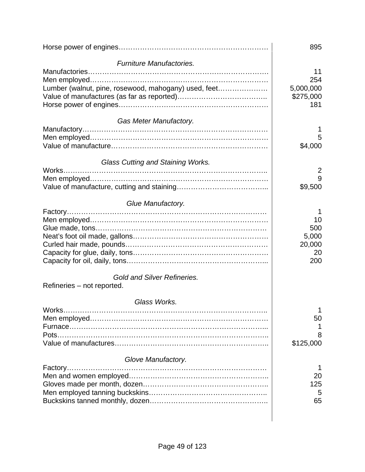|                                                      | 895       |
|------------------------------------------------------|-----------|
| Furniture Manufactories.                             |           |
|                                                      | 11        |
|                                                      | 254       |
| Lumber (walnut, pine, rosewood, mahogany) used, feet | 5,000,000 |
|                                                      | \$275,000 |
|                                                      | 181       |
| Gas Meter Manufactory.                               |           |
|                                                      |           |
|                                                      | 5         |
|                                                      | \$4,000   |
| Glass Cutting and Staining Works.                    |           |
|                                                      | 2         |
|                                                      | 9         |
|                                                      | \$9,500   |
| Glue Manufactory.                                    |           |
|                                                      | 1         |
|                                                      | 10        |
|                                                      | 500       |
|                                                      | 5,000     |
|                                                      | 20,000    |
|                                                      | 20        |
|                                                      | 200       |
| <b>Gold and Silver Refineries.</b>                   |           |
| Refineries - not reported.                           |           |
| Glass Works.                                         |           |
|                                                      | 1         |
|                                                      | 50        |
|                                                      |           |
|                                                      | 8         |
|                                                      | \$125,000 |
| Glove Manufactory.                                   |           |
|                                                      | 1         |
|                                                      | 20        |
|                                                      | 125       |
|                                                      | 5         |
|                                                      | 65        |
|                                                      |           |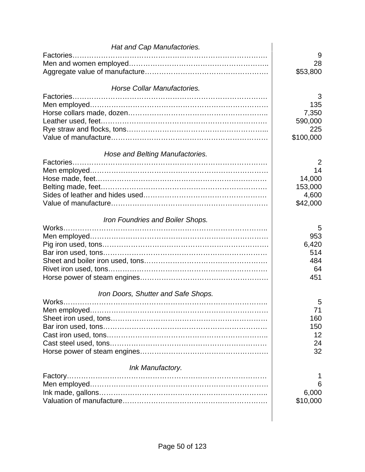| Hat and Cap Manufactories.          |           |
|-------------------------------------|-----------|
|                                     | 9         |
|                                     | 28        |
|                                     | \$53,800  |
|                                     |           |
| Horse Collar Manufactories.         |           |
|                                     | 3         |
|                                     | 135       |
|                                     | 7,350     |
|                                     | 590,000   |
|                                     | 225       |
|                                     | \$100,000 |
|                                     |           |
| Hose and Belting Manufactories.     |           |
|                                     | 2         |
|                                     | 14        |
|                                     | 14,000    |
|                                     | 153,000   |
|                                     | 4,600     |
|                                     | \$42,000  |
| Iron Foundries and Boiler Shops.    |           |
|                                     | 5         |
|                                     | 953       |
|                                     | 6,420     |
|                                     | 514       |
|                                     | 484       |
|                                     | 64        |
|                                     | 451       |
|                                     |           |
| Iron Doors, Shutter and Safe Shops. |           |
|                                     | 5         |
|                                     | 71        |
|                                     | 160       |
|                                     | 150       |
|                                     | 12        |
|                                     | 24        |
|                                     | 32        |
|                                     |           |
| Ink Manufactory.                    | 1         |
|                                     | 6         |
|                                     | 6,000     |
|                                     | \$10,000  |
|                                     |           |
|                                     |           |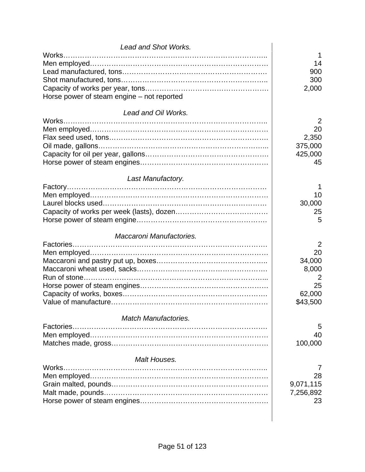| Lead and Shot Works.                       |           |
|--------------------------------------------|-----------|
|                                            | 1         |
|                                            | 14        |
|                                            | 900       |
|                                            | 300       |
|                                            | 2,000     |
| Horse power of steam engine – not reported |           |
| Lead and Oil Works.                        |           |
|                                            | 2         |
|                                            | 20        |
|                                            | 2,350     |
|                                            | 375,000   |
|                                            | 425,000   |
|                                            | 45        |
|                                            |           |
| Last Manufactory.                          |           |
|                                            | 1         |
|                                            | 10        |
|                                            | 30,000    |
|                                            | 25        |
|                                            | 5         |
| Maccaroni Manufactories.                   |           |
|                                            | 2         |
|                                            | 20        |
|                                            | 34,000    |
|                                            | 8,000     |
|                                            | 2         |
|                                            | 25        |
|                                            | 62,000    |
|                                            | \$43,500  |
|                                            |           |
| <b>Match Manufactories.</b>                |           |
|                                            | 5         |
|                                            | 40        |
|                                            | 100,000   |
| Malt Houses.                               |           |
| Works.                                     | $\prime$  |
|                                            | 28        |
|                                            | 9,071,115 |
|                                            | 7,256,892 |
|                                            | 23        |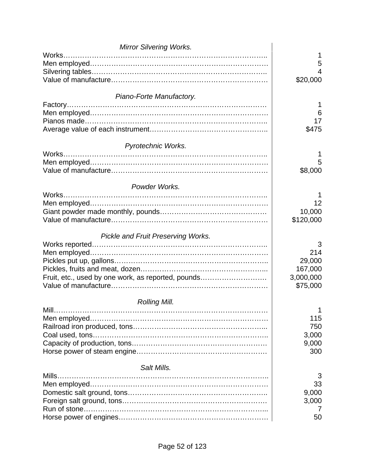| <b>Mirror Silvering Works.</b>                     |           |
|----------------------------------------------------|-----------|
|                                                    |           |
|                                                    | 5         |
|                                                    | 4         |
|                                                    | \$20,000  |
| Piano-Forte Manufactory.                           |           |
|                                                    |           |
|                                                    | 6         |
|                                                    | 17        |
|                                                    | \$475     |
| Pyrotechnic Works.                                 |           |
|                                                    |           |
|                                                    | 5         |
|                                                    | \$8,000   |
| Powder Works.                                      |           |
|                                                    |           |
|                                                    | 12        |
|                                                    | 10,000    |
|                                                    | \$120,000 |
| Pickle and Fruit Preserving Works.                 |           |
|                                                    | 3         |
|                                                    | 214       |
|                                                    | 29,000    |
|                                                    | 167,000   |
| Fruit, etc., used by one work, as reported, pounds | 3,000,000 |
|                                                    | \$75,000  |
| Rolling Mill.                                      |           |
| $Mill$                                             | 1         |
|                                                    | 115       |
|                                                    | 750       |
|                                                    | 3,000     |
|                                                    | 9,000     |
|                                                    | 300       |
| Salt Mills.                                        |           |
|                                                    | 3         |
|                                                    | 33        |
|                                                    | 9,000     |
|                                                    | 3,000     |
|                                                    | 7         |
|                                                    | 50        |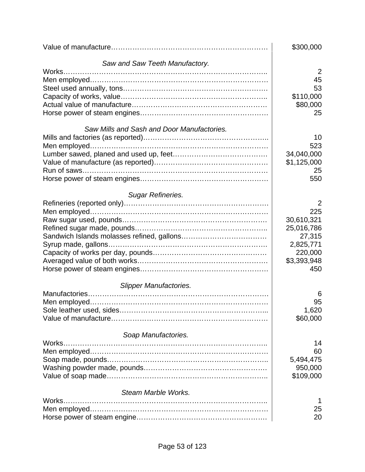|                                            | \$300,000   |
|--------------------------------------------|-------------|
| Saw and Saw Teeth Manufactory.             |             |
|                                            | 2           |
|                                            | 45          |
|                                            | 53          |
|                                            | \$110,000   |
|                                            | \$80,000    |
|                                            | 25          |
| Saw Mills and Sash and Door Manufactories. |             |
|                                            | 10          |
|                                            | 523         |
|                                            | 34,040,000  |
|                                            | \$1,125,000 |
|                                            | 25          |
|                                            | 550         |
| <b>Sugar Refineries.</b>                   |             |
|                                            | 2           |
|                                            | 225         |
|                                            | 30,610,321  |
|                                            | 25,016,786  |
|                                            | 27,315      |
|                                            | 2,825,771   |
|                                            | 220,000     |
|                                            | \$3,393,948 |
|                                            | 450         |
|                                            |             |
| <b>Slipper Manufactories.</b>              |             |
|                                            | 6           |
|                                            | 95          |
|                                            | 1,620       |
|                                            | \$60,000    |
| Soap Manufactories.                        |             |
| Works.                                     | 14          |
|                                            | 60          |
|                                            | 5,494,475   |
|                                            | 950,000     |
|                                            | \$109,000   |
| Steam Marble Works.                        |             |
| Works                                      | 1           |
|                                            | 25          |
|                                            | 20          |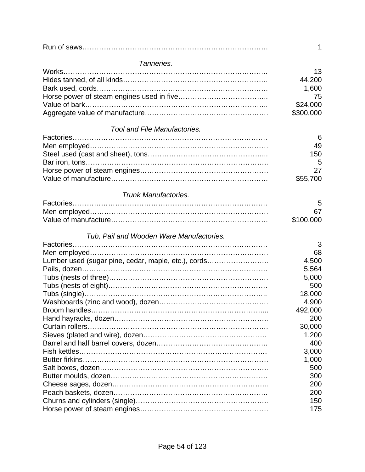|                                                     | 1         |
|-----------------------------------------------------|-----------|
| Tanneries.                                          |           |
|                                                     | 13        |
|                                                     | 44,200    |
|                                                     | 1,600     |
|                                                     | 75        |
|                                                     | \$24,000  |
|                                                     | \$300,000 |
| <b>Tool and File Manufactories.</b>                 |           |
|                                                     | 6         |
|                                                     | 49        |
|                                                     | 150       |
|                                                     | 5         |
|                                                     | 27        |
|                                                     | \$55,700  |
| <b>Trunk Manufactories.</b>                         |           |
|                                                     | 5         |
|                                                     | 67        |
|                                                     | \$100,000 |
|                                                     |           |
| Tub, Pail and Wooden Ware Manufactories.            |           |
|                                                     | 3         |
|                                                     | 68        |
| Lumber used (sugar pine, cedar, maple, etc.), cords | 4,500     |
|                                                     | 5,564     |
|                                                     | 5,000     |
|                                                     | 500       |
|                                                     | 18,000    |
|                                                     | 4,900     |
|                                                     | 492,000   |
|                                                     | 200       |
|                                                     | 30,000    |
|                                                     | 1,200     |
|                                                     | 400       |
|                                                     | 3,000     |
|                                                     | 1,000     |
|                                                     | 500       |
|                                                     | 300       |
|                                                     | 200       |
|                                                     | 200       |
|                                                     | 150       |
|                                                     | 175       |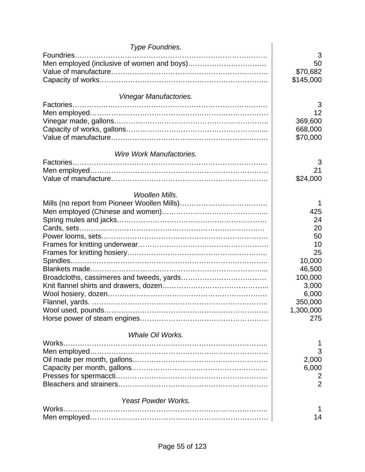| Type Foundries.            |                |
|----------------------------|----------------|
| Foundries                  | 3              |
|                            | 50             |
|                            | \$70,682       |
|                            | \$145,000      |
|                            |                |
| Vinegar Manufactories.     | 3              |
|                            | 12             |
|                            |                |
|                            | 369,600        |
|                            | 668,000        |
|                            | \$70,000       |
| Wire Work Manufactories.   |                |
|                            | 3              |
|                            | 21             |
|                            | \$24,000       |
| <b>Woollen Mills.</b>      |                |
|                            |                |
|                            | 425            |
|                            | 24             |
|                            | 20             |
|                            |                |
|                            | 50             |
|                            | 10             |
|                            | 25             |
|                            | 10,000         |
|                            | 46,500         |
|                            | 100,000        |
|                            | 3,000          |
|                            | 6,000          |
|                            | 350,000        |
| Wool used, pounds          | 1,300,000      |
|                            | 275            |
| Whale Oil Works.           |                |
| Works.                     |                |
|                            |                |
|                            | 2,000          |
|                            | 6,000          |
|                            | 2              |
|                            | $\overline{2}$ |
|                            |                |
| <b>Yeast Powder Works.</b> |                |
|                            |                |
|                            | 14             |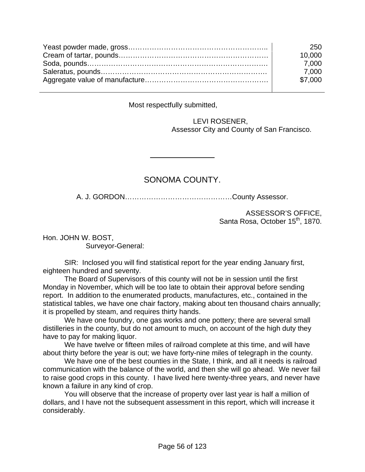| 250     |
|---------|
| 10.000  |
| 7.000   |
| 7.000   |
| \$7,000 |
|         |

Most respectfully submitted,

l

 LEVI ROSENER, Assessor City and County of San Francisco.

## SONOMA COUNTY.

A. J. GORDON………………………………………County Assessor.

ASSESSOR'S OFFICE, Santa Rosa, October 15<sup>th</sup>, 1870.

Hon. JOHN W. BOST, Surveyor-General:

 SIR: Inclosed you will find statistical report for the year ending January first, eighteen hundred and seventy.

 The Board of Supervisors of this county will not be in session until the first Monday in November, which will be too late to obtain their approval before sending report. In addition to the enumerated products, manufactures, etc., contained in the statistical tables, we have one chair factory, making about ten thousand chairs annually; it is propelled by steam, and requires thirty hands.

 We have one foundry, one gas works and one pottery; there are several small distilleries in the county, but do not amount to much, on account of the high duty they have to pay for making liquor.

 We have twelve or fifteen miles of railroad complete at this time, and will have about thirty before the year is out; we have forty-nine miles of telegraph in the county.

 We have one of the best counties in the State, I think, and all it needs is railroad communication with the balance of the world, and then she will go ahead. We never fail to raise good crops in this county. I have lived here twenty-three years, and never have known a failure in any kind of crop.

 You will observe that the increase of property over last year is half a million of dollars, and I have not the subsequent assessment in this report, which will increase it considerably.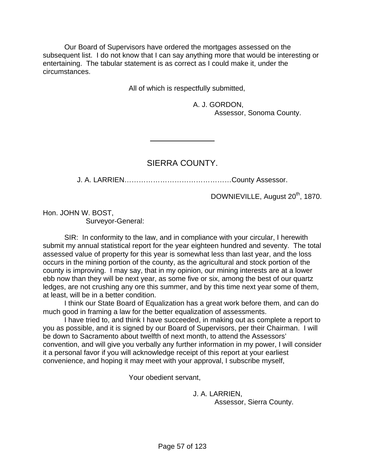Our Board of Supervisors have ordered the mortgages assessed on the subsequent list. I do not know that I can say anything more that would be interesting or entertaining. The tabular statement is as correct as I could make it, under the circumstances.

All of which is respectfully submitted,

 A. J. GORDON, Assessor, Sonoma County.

#### SIERRA COUNTY.

l

J. A. LARRIEN………………………………………County Assessor.

DOWNIEVILLE, August 20<sup>th</sup>, 1870.

Hon. JOHN W. BOST, Surveyor-General:

 SIR: In conformity to the law, and in compliance with your circular, I herewith submit my annual statistical report for the year eighteen hundred and seventy. The total assessed value of property for this year is somewhat less than last year, and the loss occurs in the mining portion of the county, as the agricultural and stock portion of the county is improving. I may say, that in my opinion, our mining interests are at a lower ebb now than they will be next year, as some five or six, among the best of our quartz ledges, are not crushing any ore this summer, and by this time next year some of them, at least, will be in a better condition.

 I think our State Board of Equalization has a great work before them, and can do much good in framing a law for the better equalization of assessments.

 I have tried to, and think I have succeeded, in making out as complete a report to you as possible, and it is signed by our Board of Supervisors, per their Chairman. I will be down to Sacramento about twelfth of next month, to attend the Assessors' convention, and will give you verbally any further information in my power, I will consider it a personal favor if you will acknowledge receipt of this report at your earliest convenience, and hoping it may meet with your approval, I subscribe myself,

Your obedient servant,

 J. A. LARRIEN, Assessor, Sierra County.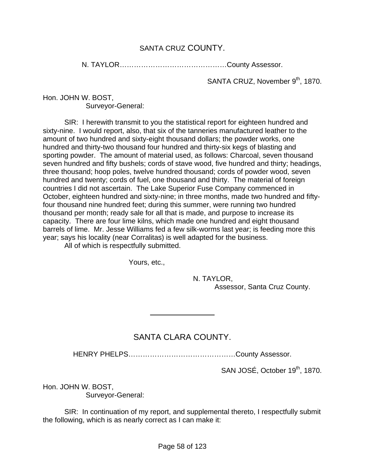#### SANTA CRUZ COUNTY.

N. TAYLOR………………………………………County Assessor.

SANTA CRUZ, November 9<sup>th</sup>, 1870.

Hon. JOHN W. BOST, Surveyor-General:

 SIR: I herewith transmit to you the statistical report for eighteen hundred and sixty-nine. I would report, also, that six of the tanneries manufactured leather to the amount of two hundred and sixty-eight thousand dollars; the powder works, one hundred and thirty-two thousand four hundred and thirty-six kegs of blasting and sporting powder. The amount of material used, as follows: Charcoal, seven thousand seven hundred and fifty bushels; cords of stave wood, five hundred and thirty; headings, three thousand; hoop poles, twelve hundred thousand; cords of powder wood, seven hundred and twenty; cords of fuel, one thousand and thirty. The material of foreign countries I did not ascertain. The Lake Superior Fuse Company commenced in October, eighteen hundred and sixty-nine; in three months, made two hundred and fiftyfour thousand nine hundred feet; during this summer, were running two hundred thousand per month; ready sale for all that is made, and purpose to increase its capacity. There are four lime kilns, which made one hundred and eight thousand barrels of lime. Mr. Jesse Williams fed a few silk-worms last year; is feeding more this year; says his locality (near Corralitas) is well adapted for the business.

All of which is respectfully submitted.

Yours, etc.,

l

 N. TAYLOR, Assessor, Santa Cruz County.

#### SANTA CLARA COUNTY.

HENRY PHELPS………………………………………County Assessor.

SAN JOSÉ, October 19<sup>th</sup>, 1870.

Hon. JOHN W. BOST,

Surveyor-General:

 SIR: In continuation of my report, and supplemental thereto, I respectfully submit the following, which is as nearly correct as I can make it: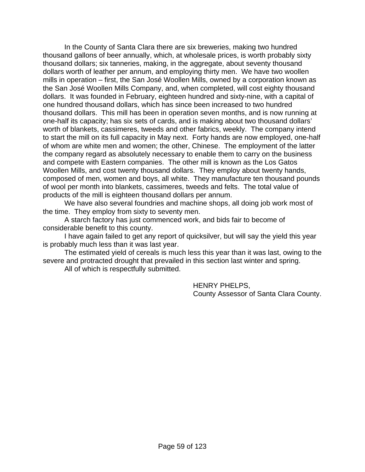In the County of Santa Clara there are six breweries, making two hundred thousand gallons of beer annually, which, at wholesale prices, is worth probably sixty thousand dollars; six tanneries, making, in the aggregate, about seventy thousand dollars worth of leather per annum, and employing thirty men. We have two woollen mills in operation – first, the San José Woollen Mills, owned by a corporation known as the San José Woollen Mills Company, and, when completed, will cost eighty thousand dollars. It was founded in February, eighteen hundred and sixty-nine, with a capital of one hundred thousand dollars, which has since been increased to two hundred thousand dollars. This mill has been in operation seven months, and is now running at one-half its capacity; has six sets of cards, and is making about two thousand dollars' worth of blankets, cassimeres, tweeds and other fabrics, weekly. The company intend to start the mill on its full capacity in May next. Forty hands are now employed, one-half of whom are white men and women; the other, Chinese. The employment of the latter the company regard as absolutely necessary to enable them to carry on the business and compete with Eastern companies. The other mill is known as the Los Gatos Woollen Mills, and cost twenty thousand dollars. They employ about twenty hands, composed of men, women and boys, all white. They manufacture ten thousand pounds of wool per month into blankets, cassimeres, tweeds and felts. The total value of products of the mill is eighteen thousand dollars per annum.

 We have also several foundries and machine shops, all doing job work most of the time. They employ from sixty to seventy men.

 A starch factory has just commenced work, and bids fair to become of considerable benefit to this county.

 I have again failed to get any report of quicksilver, but will say the yield this year is probably much less than it was last year.

 The estimated yield of cereals is much less this year than it was last, owing to the severe and protracted drought that prevailed in this section last winter and spring.

All of which is respectfully submitted.

 HENRY PHELPS, County Assessor of Santa Clara County.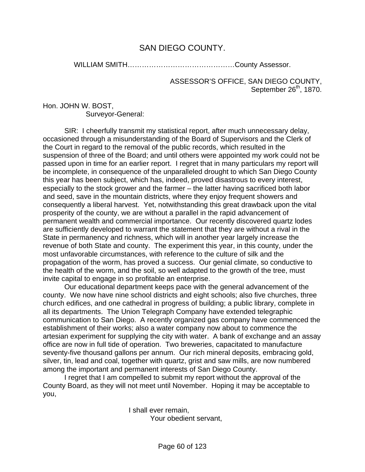# SAN DIEGO COUNTY.

WILLIAM SMITH………………………………………County Assessor.

ASSESSOR'S OFFICE, SAN DIEGO COUNTY, September 26<sup>th</sup>, 1870.

Hon. JOHN W. BOST, Surveyor-General:

 SIR: I cheerfully transmit my statistical report, after much unnecessary delay, occasioned through a misunderstanding of the Board of Supervisors and the Clerk of the Court in regard to the removal of the public records, which resulted in the suspension of three of the Board; and until others were appointed my work could not be passed upon in time for an earlier report. I regret that in many particulars my report will be incomplete, in consequence of the unparalleled drought to which San Diego County this year has been subject, which has, indeed, proved disastrous to every interest, especially to the stock grower and the farmer – the latter having sacrificed both labor and seed, save in the mountain districts, where they enjoy frequent showers and consequently a liberal harvest. Yet, notwithstanding this great drawback upon the vital prosperity of the county, we are without a parallel in the rapid advancement of permanent wealth and commercial importance. Our recently discovered quartz lodes are sufficiently developed to warrant the statement that they are without a rival in the State in permanency and richness, which will in another year largely increase the revenue of both State and county. The experiment this year, in this county, under the most unfavorable circumstances, with reference to the culture of silk and the propagation of the worm, has proved a success. Our genial climate, so conductive to the health of the worm, and the soil, so well adapted to the growth of the tree, must invite capital to engage in so profitable an enterprise.

 Our educational department keeps pace with the general advancement of the county. We now have nine school districts and eight schools; also five churches, three church edifices, and one cathedral in progress of building; a public library, complete in all its departments. The Union Telegraph Company have extended telegraphic communication to San Diego. A recently organized gas company have commenced the establishment of their works; also a water company now about to commence the artesian experiment for supplying the city with water. A bank of exchange and an assay office are now in full tide of operation. Two breweries, capacitated to manufacture seventy-five thousand gallons per annum. Our rich mineral deposits, embracing gold, silver, tin, lead and coal, together with quartz, grist and saw mills, are now numbered among the important and permanent interests of San Diego County.

 I regret that I am compelled to submit my report without the approval of the County Board, as they will not meet until November. Hoping it may be acceptable to you,

> I shall ever remain, Your obedient servant,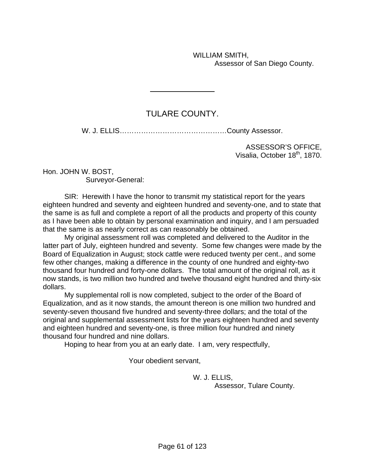WILLIAM SMITH, Assessor of San Diego County.

# TULARE COUNTY.

l

W. J. ELLIS………………………………………County Assessor.

ASSESSOR'S OFFICE, Visalia, October 18<sup>th</sup>, 1870.

Hon. JOHN W. BOST, Surveyor-General:

 SIR: Herewith I have the honor to transmit my statistical report for the years eighteen hundred and seventy and eighteen hundred and seventy-one, and to state that the same is as full and complete a report of all the products and property of this county as I have been able to obtain by personal examination and inquiry, and I am persuaded that the same is as nearly correct as can reasonably be obtained.

 My original assessment roll was completed and delivered to the Auditor in the latter part of July, eighteen hundred and seventy. Some few changes were made by the Board of Equalization in August; stock cattle were reduced twenty per cent., and some few other changes, making a difference in the county of one hundred and eighty-two thousand four hundred and forty-one dollars. The total amount of the original roll, as it now stands, is two million two hundred and twelve thousand eight hundred and thirty-six dollars.

 My supplemental roll is now completed, subject to the order of the Board of Equalization, and as it now stands, the amount thereon is one million two hundred and seventy-seven thousand five hundred and seventy-three dollars; and the total of the original and supplemental assessment lists for the years eighteen hundred and seventy and eighteen hundred and seventy-one, is three million four hundred and ninety thousand four hundred and nine dollars.

Hoping to hear from you at an early date. I am, very respectfully,

Your obedient servant,

 W. J. ELLIS, Assessor, Tulare County.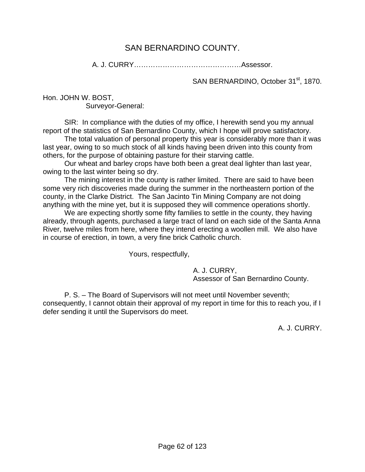## SAN BERNARDINO COUNTY.

A. J. CURRY………………………………………Assessor.

SAN BERNARDINO, October 31<sup>st</sup>, 1870.

Hon. JOHN W. BOST, Surveyor-General:

 SIR: In compliance with the duties of my office, I herewith send you my annual report of the statistics of San Bernardino County, which I hope will prove satisfactory.

 The total valuation of personal property this year is considerably more than it was last year, owing to so much stock of all kinds having been driven into this county from others, for the purpose of obtaining pasture for their starving cattle.

 Our wheat and barley crops have both been a great deal lighter than last year, owing to the last winter being so dry.

 The mining interest in the county is rather limited. There are said to have been some very rich discoveries made during the summer in the northeastern portion of the county, in the Clarke District. The San Jacinto Tin Mining Company are not doing anything with the mine yet, but it is supposed they will commence operations shortly.

We are expecting shortly some fifty families to settle in the county, they having already, through agents, purchased a large tract of land on each side of the Santa Anna River, twelve miles from here, where they intend erecting a woollen mill. We also have in course of erection, in town, a very fine brick Catholic church.

Yours, respectfully,

 A. J. CURRY, Assessor of San Bernardino County.

 P. S. – The Board of Supervisors will not meet until November seventh; consequently, I cannot obtain their approval of my report in time for this to reach you, if I defer sending it until the Supervisors do meet.

A. J. CURRY.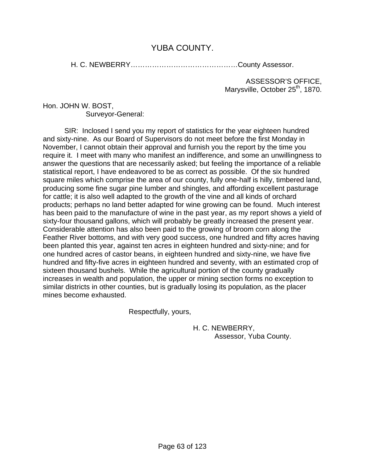## YUBA COUNTY.

H. C. NEWBERRY………………………………………County Assessor.

ASSESSOR'S OFFICE, Marysville, October 25<sup>th</sup>, 1870.

Hon. JOHN W. BOST, Surveyor-General:

 SIR: Inclosed I send you my report of statistics for the year eighteen hundred and sixty-nine. As our Board of Supervisors do not meet before the first Monday in November, I cannot obtain their approval and furnish you the report by the time you require it. I meet with many who manifest an indifference, and some an unwillingness to answer the questions that are necessarily asked; but feeling the importance of a reliable statistical report, I have endeavored to be as correct as possible. Of the six hundred square miles which comprise the area of our county, fully one-half is hilly, timbered land, producing some fine sugar pine lumber and shingles, and affording excellent pasturage for cattle; it is also well adapted to the growth of the vine and all kinds of orchard products; perhaps no land better adapted for wine growing can be found. Much interest has been paid to the manufacture of wine in the past year, as my report shows a yield of sixty-four thousand gallons, which will probably be greatly increased the present year. Considerable attention has also been paid to the growing of broom corn along the Feather River bottoms, and with very good success, one hundred and fifty acres having been planted this year, against ten acres in eighteen hundred and sixty-nine; and for one hundred acres of castor beans, in eighteen hundred and sixty-nine, we have five hundred and fifty-five acres in eighteen hundred and seventy, with an estimated crop of sixteen thousand bushels. While the agricultural portion of the county gradually increases in wealth and population, the upper or mining section forms no exception to similar districts in other counties, but is gradually losing its population, as the placer mines become exhausted.

Respectfully, yours,

 H. C. NEWBERRY, Assessor, Yuba County.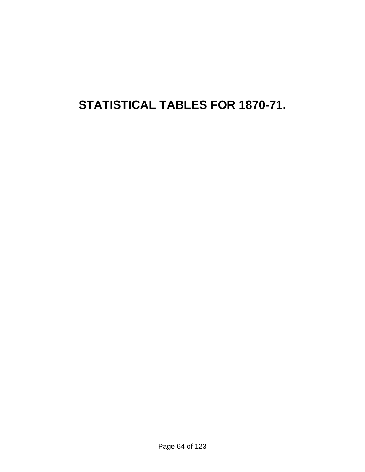# **STATISTICAL TABLES FOR 1870-71.**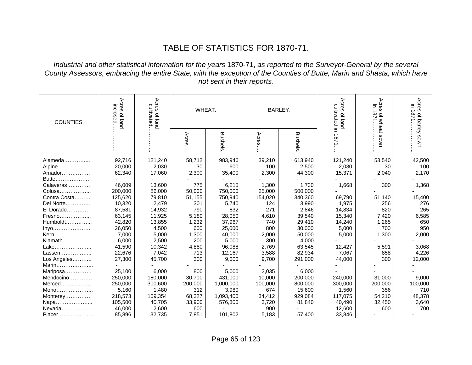# TABLE OF STATISTICS FOR 1870-71.

#### *Industrial and other statistical information for the years* 1870-71, *as reported to the Surveyor-General by the several County Assessors, embracing the entire State, with the exception of the Counties of Butte, Marin and Shasta, which have not sent in their reports.*

| COUNTIES.    | Acres<br>Acres<br>inclosed<br>cultivated<br>of land<br>of land |         | WHEAT.  |                |         | BARLEY.        | Acres<br>cultivated in<br>$\overline{\mathcal{O}}$<br>puej | Acres<br>E.<br>∸<br>571 | Acres<br>E.<br>→<br>87<br>of barley |
|--------------|----------------------------------------------------------------|---------|---------|----------------|---------|----------------|------------------------------------------------------------|-------------------------|-------------------------------------|
|              |                                                                |         | Acres   | <b>Bushels</b> | Acres   | <b>Bushels</b> | 1871                                                       | of wheat sown           | uwos                                |
| Alameda      | 92,716                                                         | 121,240 | 58,712  | 983,946        | 39,210  | 613,940        | 121,240                                                    | 53,540                  | 42,500                              |
| Alpine       | 20,000                                                         | 2,030   | 30      | 600            | 100     | 2,500          | 2,030                                                      | 30                      | 100                                 |
| Amador       | 62,340                                                         | 17,060  | 2,300   | 35,400         | 2,300   | 44,300         | 15,371                                                     | 2,040                   | 2,170                               |
| Butte        |                                                                |         |         |                |         |                |                                                            |                         |                                     |
| Calaveras    | 46,009                                                         | 13,600  | 775     | 6,215          | 1,300   | 1,730          | 1,668                                                      | 300                     | 1,368                               |
| Colusa       | 200,000                                                        | 86,000  | 50,000  | 750,000        | 25,000  | 500,000        |                                                            |                         |                                     |
| Contra Costa | 125,620                                                        | 79,810  | 51,155  | 750,940        | 154,020 | 340,360        | 69,790                                                     | 51,140                  | 15,400                              |
| Del Norte    | 10,320                                                         | 2,479   | 301     | 5,740          | 124     | 3,990          | 1,975                                                      | 256                     | 276                                 |
| El Dorado    | 87,581                                                         | 14,932  | 790     | 832            | 271     | 2,846          | 14,834                                                     | 820                     | 265                                 |
| Fresno       | 63,145                                                         | 11,925  | 5,180   | 28,050         | 4,610   | 39,540         | 15,340                                                     | 7,420                   | 6,585                               |
| $Humboldt$   | 42,820                                                         | 13,855  | 1,232   | 37,967         | 740     | 29,410         | 14,240                                                     | 1,265                   | 650                                 |
| Inyo         | 26,050                                                         | 4,500   | 600     | 25,000         | 800     | 30,000         | 5,000                                                      | 700                     | 950                                 |
| Kern         | 7,000                                                          | 5,000   | 1,300   | 40,000         | 2,000   | 50,000         | 5,000                                                      | 1,300                   | 2,000                               |
| Klamath      | 6,000                                                          | 2,500   | 200     | 5,000          | 300     | 4,000          |                                                            |                         |                                     |
| Lake         | 41,590                                                         | 10,342  | 4,880   | 96,088         | 2,769   | 63,545         | 12,427                                                     | 5,591                   | 3,068                               |
| Lassen       | 22,676                                                         | 7,042   | 713     | 12,167         | 3,588   | 82,934         | 7,067                                                      | 858                     | 4,226                               |
| Los Angeles  | 27,300                                                         | 45,700  | 300     | 9,000          | 9,700   | 291,000        | 44,000                                                     | 300                     | 12,000                              |
| Marin        |                                                                |         |         |                |         |                |                                                            |                         |                                     |
| Mariposa     | 25,100                                                         | 6,000   | 800     | 5,000          | 2,035   | 6,000          |                                                            |                         |                                     |
| Mendocino    | 250,000                                                        | 180,000 | 30,700  | 431,000        | 10,000  | 200,000        | 240,000                                                    | 31,000                  | 9,000                               |
| Merced       | 250,000                                                        | 300,600 | 200,000 | 1,000,000      | 100,000 | 800,000        | 300,000                                                    | 200,000                 | 100,000                             |
| Mono         | 5,160                                                          | 1,480   | 312     | 3,980          | 674     | 15,600         | 1,560                                                      | 356                     | 710                                 |
| Monterey     | 218,573                                                        | 109,354 | 68,327  | 1,093,400      | 34,412  | 929,084        | 117,075                                                    | 54,210                  | 48,378                              |
| Napa         | 105,500                                                        | 40,705  | 33,900  | 576,300        | 3,720   | 81,840         | 40,490                                                     | 32,450                  | 3,640                               |
| Nevada       | 46,000                                                         | 12,600  | 600     |                | 900     |                | 12,600                                                     | 600                     | 700                                 |
| Placer       | 85,896                                                         | 32,735  | 7,851   | 101,802        | 5,183   | 57,400         | 33,846                                                     |                         |                                     |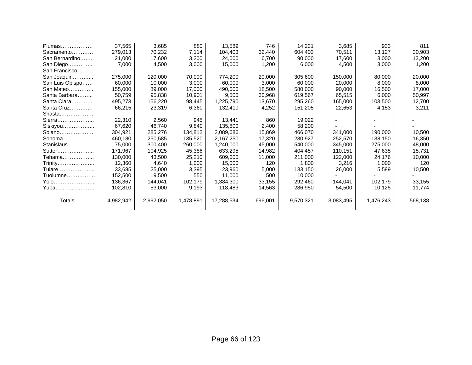| Plumas          | 37,565    | 3,685     | 880       | 13,589     | 746     | 14,231    | 3,685     | 933       | 811     |
|-----------------|-----------|-----------|-----------|------------|---------|-----------|-----------|-----------|---------|
| Sacramento      | 279,013   | 70,232    | 7,114     | 104,403    | 32,440  | 604,403   | 70,511    | 13,127    | 30,903  |
| San Bernardino  | 21,000    | 17,600    | 3,200     | 24,000     | 6,700   | 90,000    | 17,600    | 3,000     | 13,200  |
| San Diego       | 7,000     | 4,500     | 3,000     | 15,000     | 1,200   | 6,000     | 4,500     | 3,000     | 1,200   |
| San Francisco   |           |           |           |            |         |           |           |           |         |
| San Joaquin     | 275,000   | 120,000   | 70,000    | 774,200    | 20,000  | 305,600   | 150,000   | 80,000    | 20,000  |
| San Luis Obispo | 60,000    | 10,000    | 3,000     | 60,000     | 3,000   | 60,000    | 20,000    | 8,000     | 8,000   |
| San Mateo       | 155,000   | 89,000    | 17,000    | 490,000    | 18,500  | 580,000   | 90,000    | 16,500    | 17,000  |
| Santa Barbara   | 50,759    | 95,838    | 10,901    | 9,500      | 30,968  | 619,567   | 65,515    | 6,000     | 50,997  |
| Santa Clara     | 495,273   | 156,220   | 98,445    | 1,225,790  | 13,670  | 295,260   | 165,000   | 103,500   | 12,700  |
| Santa Cruz      | 66,215    | 23,319    | 6,360     | 132,410    | 4,252   | 151,205   | 22,653    | 4,153     | 3,211   |
| Shasta          |           |           |           |            |         |           |           |           |         |
| Sierra          | 22,310    | 2,560     | 945       | 13,441     | 860     | 19,022    |           |           |         |
| Siskiyou        | 67,620    | 46,740    | 9,840     | 135,800    | 2,400   | 58,200    |           |           |         |
| Solano          | 304,921   | 285,276   | 134,812   | 2,089,686  | 15,869  | 466,070   | 341,000   | 190,000   | 10,500  |
| Sonoma          | 460,180   | 250,585   | 135,520   | 2,167,250  | 17,320  | 230,927   | 252,570   | 138,150   | 16,350  |
| Stanislaus      | 75,000    | 300,400   | 260,000   | 1,240,000  | 45,000  | 540,000   | 345,000   | 275,000   | 48,000  |
| Sutter          | 171,967   | 104,925   | 45,386    | 633,295    | 14,982  | 404,457   | 110,151   | 47,635    | 15,731  |
| Tehama          | 130,000   | 43,500    | 25,210    | 609,000    | 11,000  | 211,000   | 122,000   | 24,176    | 10,000  |
| Trinity         | 12,360    | 4,640     | 1,000     | 15,000     | 120     | 1,800     | 3,216     | 1,000     | 120     |
| Tulare          | 33,685    | 25,000    | 3,395     | 23,960     | 5,000   | 133,150   | 26,000    | 5,589     | 10,500  |
| Tuolumne        | 152,500   | 19,500    | 550       | 11,000     | 500     | 10,000    |           |           |         |
| Yolo            | 136,367   | 144,041   | 102,179   | 1,384,300  | 33,155  | 292,460   | 144,041   | 102,179   | 33,155  |
| Yuba            | 102,810   | 53,000    | 9,193     | 118,483    | 14,563  | 286,950   | 54,500    | 10,125    | 11,774  |
|                 |           |           |           |            |         |           |           |           |         |
| Totals          | 4,982,942 | 2,992,050 | 1,478,891 | 17,288,534 | 696,001 | 9,570,321 | 3,083,495 | 1,476,243 | 568,138 |
|                 |           |           |           |            |         |           |           |           |         |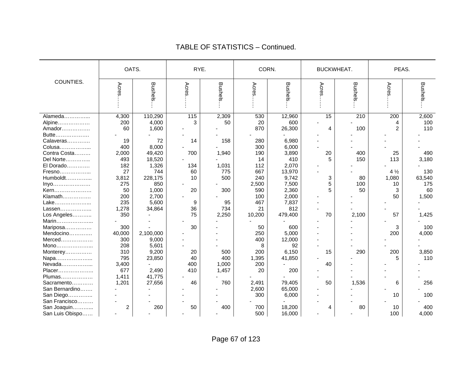|                        | OATS.          |           |       | RYE.           |        | CORN.   | BUCKWHEAT. |                | PEAS.          |         |
|------------------------|----------------|-----------|-------|----------------|--------|---------|------------|----------------|----------------|---------|
| COUNTIES.              | Acres          | Bushels   | Acres | <b>Bushels</b> | Acres  | Bushels | Acres      | <b>Bushels</b> | Acres          | Bushels |
| Alameda                | 4,300          | 110,290   | 115   | 2,309          | 530    | 12,960  | 15         | 210            | 200            | 2,600   |
| Alpine                 | 200            | 4,000     | 3     | 50             | 20     | 600     |            |                |                | 100     |
| Amador                 | 60             | 1,600     |       |                | 870    | 26,300  | 4          | 100            | $\overline{2}$ | 110     |
| Butte                  |                |           |       |                |        |         |            |                |                |         |
| Calaveras              | 19             | 72        | 14    | 158            | 280    | 6,980   |            |                |                |         |
|                        | 400            | 8,000     |       |                | 300    | 6,000   |            |                |                |         |
| Colusa<br>Contra Costa | 2,000          | 49,420    | 700   | 1,940          | 190    | 3,890   | 20         | 400            | 25             | 490     |
| Del Norte              | 493            | 18,520    |       |                | 14     | 410     | 5          | 150            | 113            | 3,180   |
| El Dorado              | 182            | 1,326     | 134   | 1,031          | 112    | 2,070   |            |                |                |         |
|                        | 27             | 744       | 60    | 775            | 667    | 13,970  |            |                | $4\frac{1}{2}$ | 130     |
| Fresno<br>Humboldt     |                | 228,175   | 10    | 500            | 240    | 9,742   | 3          | 80             |                | 63,540  |
|                        | 3,812          |           |       |                |        |         | 5          |                | 1,080          |         |
| Inyo                   | 275            | 850       |       |                | 2,500  | 7,500   |            | 100            | 10             | 175     |
| Kern                   | 50             | 1,000     | 20    | 300            | 590    | 2,360   | 5          | 50             | 3              | 60      |
| Klamath                | 200            | 2,700     |       |                | 100    | 2,000   |            |                | 50             | 1,500   |
| Lake                   | 235            | 5,600     | 9     | 95             | 467    | 7,837   |            |                |                |         |
| Lassen                 | 1,278          | 34,864    | 36    | 734            | 21     | 812     |            |                |                |         |
| Los Angeles            | 350            |           | 75    | 2,250          | 10,200 | 479,400 | 70         | 2,100          | 57             | 1,425   |
| Marin                  |                |           |       |                |        |         |            |                |                |         |
| Mariposa               | 300            |           | 30    |                | 50     | 600     |            |                | 3              | 100     |
| Mendocino              | 40,000         | 2,100,000 |       |                | 250    | 5,000   |            |                | 200            | 4,000   |
| Merced                 | 300            | 9,000     |       |                | 400    | 12,000  |            |                |                |         |
| Mono                   | 208            | 5,601     |       |                | 8      | 92      |            |                |                |         |
| Monterey               | 310            | 9,200     | 20    | 500            | 200    | 6,150   | 15         | 290            | 200            | 3,850   |
| Napa                   | 795            | 23,850    | 40    | 400            | 1,395  | 41,850  |            |                | 5              | 110     |
| Nevada                 | 3,400          |           | 400   | 1,000          | 200    |         | 40         |                |                |         |
| Placer                 | 677            | 2,490     | 410   | 1,457          | 20     | 200     |            |                |                |         |
| Plumas                 | 1,411          | 41,775    |       |                |        |         |            |                |                |         |
| Sacramento             | 1,201          | 27,656    | 46    | 760            | 2,491  | 79,405  | 50         | 1,536          | 6              | 256     |
| San Bernardino         |                |           |       |                | 2,600  | 65,000  |            |                |                |         |
| San Diego              |                |           |       |                | 300    | 6,000   |            |                | 10             | 100     |
| San Francisco          |                |           |       |                |        |         |            |                |                |         |
| San Joaquin            | $\overline{c}$ | 260       | 50    | 400            | 700    | 18,200  | 4          | 80             | 10             | 400     |
| San Luis Obispo        |                |           |       |                | 500    | 16,000  |            |                | 100            | 4,000   |

#### TABLE OF STATISTICS – Continued.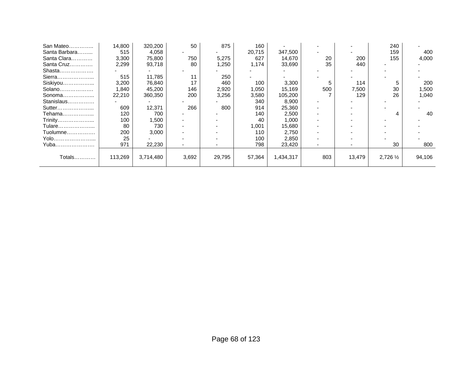| San Mateo     | 14,800  | 320,200   | 50    | 875    | 160    |           |                          |        | 240       |        |
|---------------|---------|-----------|-------|--------|--------|-----------|--------------------------|--------|-----------|--------|
| Santa Barbara | 515     | 4,058     |       |        | 20.715 | 347,500   |                          |        | 159       | 400    |
| Santa Clara   | 3,300   | 75,800    | 750   | 5,275  | 627    | 14,670    | 20                       | 200    | 155       | 4,000  |
| Santa Cruz    | 2,299   | 93,718    | 80    | 1,250  | 1,174  | 33,690    | 35                       | 440    |           |        |
| Shasta        |         |           |       |        |        |           |                          |        |           |        |
| Sierra        | 515     | 11,785    | 11    | 250    |        |           |                          |        |           |        |
| Siskiyou      | 3,200   | 76,840    | 17    | 460    | 100    | 3,300     |                          | 114    |           | 200    |
| Solano        | 1,840   | 45,200    | 146   | 2,920  | 1,050  | 15,169    | 500                      | 7,500  | 30        | 1,500  |
| Sonoma        | 22,210  | 360,350   | 200   | 3,256  | 3,580  | 105,200   |                          | 129    | 26        | 1,040  |
| Stanislaus    |         |           |       |        | 340    | 8,900     | $\overline{\phantom{a}}$ |        |           |        |
| Sutter        | 609     | 12,371    | 266   | 800    | 914    | 25,360    | $\overline{\phantom{0}}$ |        |           |        |
| Tehama        | 120     | 700       |       |        | 140    | 2,500     | $\overline{\phantom{0}}$ |        | 4         | 40     |
| Trinity       | 100     | 1,500     |       |        | 40     | 1,000     |                          |        |           |        |
| Tulare        | 80      | 730       |       |        | .001 ا | 15,680    |                          |        |           |        |
| Tuolumne      | 200     | 3,000     |       |        | 110    | 2,750     |                          |        |           |        |
| Yolo          | 25      |           |       |        | 100    | 2,850     |                          |        |           |        |
| Yuba          | 971     | 22,230    |       |        | 798    | 23,420    | $\overline{\phantom{0}}$ |        | 30        | 800    |
|               |         |           |       |        |        |           |                          |        |           |        |
| Totals        | 113,269 | 3,714,480 | 3,692 | 29,795 | 57,364 | 1,434,317 | 803                      | 13,479 | 2,726 1/2 | 94,106 |
|               |         |           |       |        |        |           |                          |        |           |        |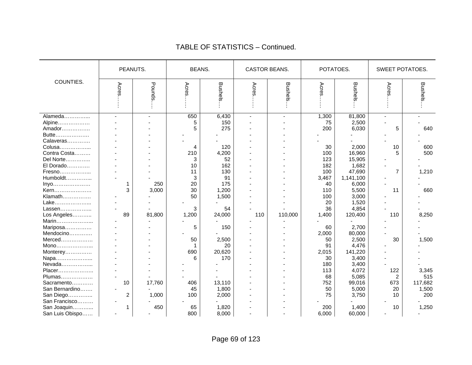|                                           | PEANUTS.            |              |                | <b>BEANS.</b>       |                | CASTOR BEANS.            | POTATOES.          |                              | SWEET POTATOES. |                         |  |
|-------------------------------------------|---------------------|--------------|----------------|---------------------|----------------|--------------------------|--------------------|------------------------------|-----------------|-------------------------|--|
| COUNTIES.                                 | Acres               | Pounds       | Acres          | Bushels             | Acres          | Bushels                  | Acres              | <b>Bushels</b>               | Acres           | <b>Bushels</b>          |  |
| Alameda<br>Alpine<br>Amador               |                     |              | 650<br>5<br>5  | 6,430<br>150<br>275 | $\blacksquare$ | $\overline{\phantom{a}}$ | 1,300<br>75<br>200 | 81,800<br>2,500<br>6,030     | 5               | 640                     |  |
| Butte<br>Calaveras<br>Colusa              |                     |              | 4              | 120                 |                |                          | 30                 | 2,000                        | $10$            | 600                     |  |
| Contra Costa<br>Del Norte<br>El Dorado    |                     |              | 210<br>3<br>10 | 4,200<br>52<br>162  |                |                          | 100<br>123<br>182  | 16,960<br>15,905<br>1,682    | 5               | 500                     |  |
| Fresno<br>Humboldt<br>Inyo                |                     | 250          | 11<br>3<br>20  | 130<br>91<br>175    |                |                          | 100<br>3,467<br>40 | 47,690<br>1,141,100<br>6,000 | $\overline{7}$  | 1,210                   |  |
| Kern<br>Klamath<br>Lake                   | 3                   | 3,000        | 30<br>50       | 1,200<br>1,500      |                |                          | 110<br>100<br>20   | 5,500<br>3,000<br>1,520      | 11              | 660                     |  |
| Lassen<br>Los Angeles<br>Marin            | 89                  | 81,800       | 3<br>1,200     | 54<br>24,000        | 110            | 110,000                  | 36<br>1,400        | 4,854<br>120,400             | 110             | 8,250                   |  |
| Mariposa<br>Mendocino<br>Merced           |                     |              | 5<br>50        | 150<br>2,500        |                |                          | 60<br>2,000<br>50  | 2,700<br>80,000<br>2,500     | 30              | 1,500                   |  |
| Mono<br>Monterey                          |                     |              | 1<br>690<br>6  | 20<br>20,620<br>170 |                |                          | 91<br>2,015<br>30  | 4,476<br>141,220             |                 |                         |  |
| Napa<br>Nevada<br>Placer                  |                     |              |                |                     |                |                          | 180<br>113         | 3,400<br>3,400<br>4,072      | 122             | 3,345                   |  |
| Plumas<br>Sacramento<br>San Bernardino    | 10                  | 17,760       | 406<br>45      | 13,110<br>1,800     |                |                          | 68<br>752<br>50    | 5,085<br>99,016<br>5,000     | 2<br>673<br>20  | 515<br>117,682<br>1,500 |  |
| San Diego<br>San Francisco<br>San Joaquin | $\overline{c}$<br>1 | 1,000<br>450 | 100<br>65      | 2,000<br>1,820      |                |                          | 75<br>200          | 3,750<br>1,400               | 10<br>10        | 200<br>1,250            |  |
| San Luis Obispo                           |                     |              | 800            | 8,000               |                |                          | 6,000              | 60,000                       |                 |                         |  |

#### TABLE OF STATISTICS – Continued.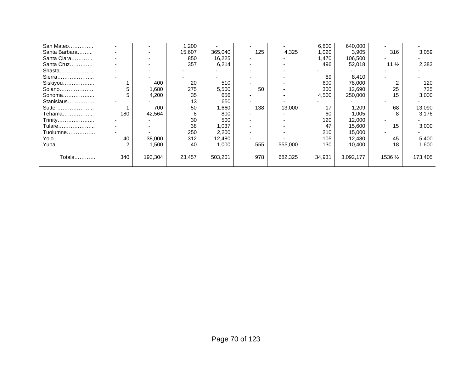| San Mateo     |     |         | 1,200  |         |     |         | 6,800  | 640,000   |                 |         |
|---------------|-----|---------|--------|---------|-----|---------|--------|-----------|-----------------|---------|
| Santa Barbara |     |         | 15,607 | 365,040 | 125 | 4,325   | 1,020  | 3,905     | 316             | 3,059   |
| Santa Clara   |     |         | 850    | 16,225  |     |         | 1,470  | 106,500   |                 |         |
| Santa Cruz    |     |         | 357    | 6,214   |     |         | 496    | 52,018    | $11\frac{1}{2}$ | 2,383   |
| Shasta        |     |         |        |         |     |         |        |           |                 |         |
| Sierra        |     |         |        |         |     |         | 89     | 8,410     |                 |         |
| Siskiyou      |     | 400     | 20     | 510     |     |         | 600    | 78,000    |                 | 120     |
| Solano        |     | 1,680   | 275    | 5,500   | 50  |         | 300    | 12,690    | 25              | 725     |
| Sonoma        |     | 4,200   | 35     | 656     |     |         | 4,500  | 250,000   | 15              | 3,000   |
| Stanislaus    |     |         | 13     | 650     |     |         |        |           |                 |         |
| Sutter        |     | 700     | 50     | .660    | 138 | 13,000  | 17     | 1,209     | 68              | 13,090  |
| Tehama        | 180 | 42,564  | 8      | 800     |     |         | 60     | 1,005     | 8               | 3,176   |
| Trinity       |     |         | 30     | 500     |     |         | 120    | 12,000    |                 |         |
| Tulare        |     |         | 38     | 1,037   |     |         | 47     | 15,600    | 15              | 3,000   |
| Tuolumne      |     |         | 250    | 2,200   |     |         | 210    | 15,000    |                 |         |
| Yolo          | 40  | 38,000  | 312    | 12,480  |     |         | 105    | 12,480    | 45              | 5,400   |
| Yuba          |     | 1,500   | 40     | 1,000   | 555 | 555,000 | 130    | 10,400    | 18              | 1,600   |
|               |     |         |        |         |     |         |        |           |                 |         |
| Totals…………    | 340 | 193,304 | 23,457 | 503,201 | 978 | 682,325 | 34,931 | 3,092,177 | 1536 1/2        | 173,405 |
|               |     |         |        |         |     |         |        |           |                 |         |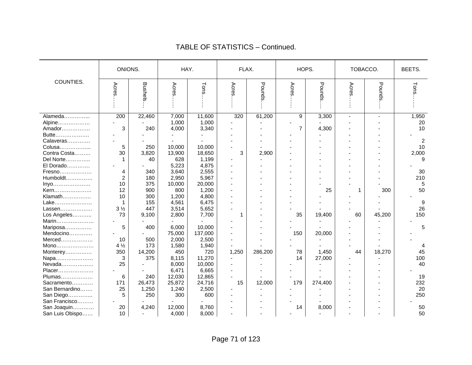|                 |                | ONIONS.        | HAY.   |         |       | FLAX.   |                | HOPS.   | TOBACCO. |        | BEETS.         |
|-----------------|----------------|----------------|--------|---------|-------|---------|----------------|---------|----------|--------|----------------|
| COUNTIES.       | Acres          | <b>Bushels</b> | Acres  | Tons    | Acres | Pounds  | Acres          | Pounds  | Acres    | Pounds | Tons           |
| Alameda         | 200            | 22,460         | 7,000  | 11,600  | 320   | 61,200  | 9              | 3,300   |          | ÷.     | 1,950          |
| Alpine          |                |                | 1,000  | 1,000   |       |         |                |         |          |        | 20             |
| Amador          | 3              | 240            | 4,000  | 3,340   |       |         | $\overline{7}$ | 4,300   |          |        | 10             |
| Butte           |                |                |        |         |       |         |                |         |          |        |                |
| Calaveras       |                |                |        |         |       |         |                |         |          |        | $\overline{2}$ |
| Colusa          | 5              | 250            | 10,000 | 10,000  |       |         |                |         |          |        | 10             |
| Contra Costa    | 30             | 3,820          | 13,900 | 18,650  | 3     | 2,900   |                |         |          |        | 2,000          |
| Del Norte       |                | 40             | 628    | 1,199   |       |         |                |         |          |        | 9              |
| El Dorado       |                |                | 5,223  | 4,875   |       |         |                |         |          |        |                |
| Fresno          | 4              | 340            | 3,640  | 2,555   |       |         |                |         |          |        | 30             |
| Humboldt        | $\overline{c}$ | 180            | 2,950  | 5,967   |       |         |                |         |          |        | 210            |
| Inyo            | 10             | 375            | 10,000 | 20,000  |       |         |                |         |          |        | 5              |
| Kern            | 12             | 900            | 800    | 1,200   |       |         |                | 25      | 1        | 300    | 50             |
| Klamath         | 10             | 300            | 1,200  | 4,800   |       |         |                |         |          |        |                |
| Lake            |                | 155            | 4,561  | 6,475   |       |         |                |         |          |        | 9              |
| Lassen          | 3 <sub>2</sub> | 447            | 3,514  | 5,652   |       |         |                |         |          |        | 26             |
| Los Angeles     | 73             | 9,100          | 2,800  | 7,700   | 1     |         | 35             | 19,400  | 60       | 45,200 | 150            |
| Marin           |                |                |        |         |       |         |                |         |          |        |                |
| Mariposa        | 5              | 400            | 6,000  | 10,000  |       |         |                |         |          |        | 5              |
| Mendocino       |                |                | 75,000 | 137,000 |       |         | 150            | 20,000  |          |        |                |
| Merced          | 10             | 500            | 2,000  | 2,500   |       |         |                |         |          |        |                |
| Mono            | $4\frac{1}{2}$ | 173            | 1,580  | 1,940   |       |         |                |         |          |        |                |
| Monterey        | 350            | 14,200         | 450    | 720     | 1,250 | 286,200 | 78             | 1,450   | 44       | 18,270 | 45             |
| Napa            | 3              | 375            | 8,115  | 11,270  |       |         | 14             | 27,000  |          |        | 100            |
| Nevada          | 25             |                | 8,000  | 10,000  |       |         |                |         |          |        | 40             |
| Placer          |                |                | 6,471  | 6,665   |       |         |                |         |          |        |                |
| Plumas          | 6              | 240            | 12,030 | 12,865  |       |         |                |         |          |        | 19             |
| Sacramento      | 171            | 26,473         | 25,872 | 24,716  | 15    | 12,000  | 179            | 274,400 |          |        | 232            |
| San Bernardino  | 25             | 1,250          | 1,240  | 2,500   |       |         |                |         |          |        | 20             |
| San Diego       | 5              | 250            | 300    | 600     |       |         |                |         |          |        | 250            |
| San Francisco   |                |                |        |         |       |         |                |         |          |        |                |
| San Joaquin     | 20             | 4,240          | 12,000 | 8,760   |       |         | 14             | 8,000   |          |        | 50             |
| San Luis Obispo | 10             | $\blacksquare$ | 4,000  | 8,000   |       |         |                |         |          |        | 50             |

#### TABLE OF STATISTICS – Continued.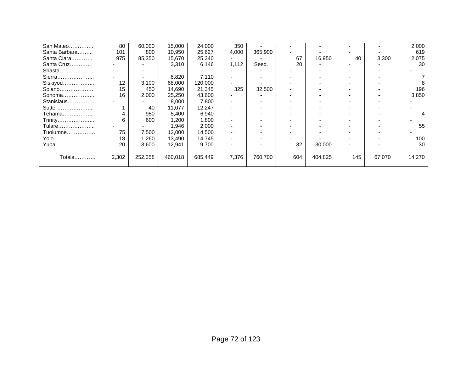| San Mateo     | 80    | 60,000  | 15,000  | 24,000  | 350   |         |     |         |     |        | 2,000  |
|---------------|-------|---------|---------|---------|-------|---------|-----|---------|-----|--------|--------|
| Santa Barbara | 101   | 800     | 10,950  | 25,627  | 4,000 | 365,900 |     |         |     |        | 619    |
| Santa Clara   | 975   | 85,350  | 15,670  | 25,340  |       |         | 67  | 16,950  | 40  | 3,300  | 2,075  |
| Santa Cruz    |       |         | 3,310   | 6,146   | 1,112 | Seed.   | 20  |         |     |        | 30     |
| Shasta        |       |         |         |         |       |         |     |         |     |        |        |
| Sierra        |       |         | 6,820   | 7,110   |       |         |     |         |     |        |        |
| Siskiyou      | 12    | 3,100   | 68,000  | 120,000 |       |         |     |         |     |        |        |
| Solano        | 15    | 450     | 14,690  | 21,345  | 325   | 32,500  |     |         |     |        | 196    |
| Sonoma        | 16    | 2,000   | 25,250  | 43,600  |       |         |     |         |     |        | 3,850  |
| Stanislaus    |       |         | 8,000   | 7,800   |       |         |     |         |     |        |        |
| Sutter        |       | 40      | 11,077  | 12,247  |       |         |     |         |     |        |        |
| Tehama        | 4     | 950     | 5,400   | 6,940   |       |         |     |         |     |        |        |
| Trinity       | 6     | 600     | 1,200   | 1,800   |       |         |     |         |     |        |        |
| Tulare        |       |         | 1,946   | 2,000   |       |         |     |         |     |        | 55     |
| Tuolumne      | 75    | 7,500   | 12,000  | 14,500  |       |         |     |         |     |        |        |
| Yolo          | 18    | 1,260   | 13,490  | 14,745  |       |         |     |         |     |        | 100    |
| Yuba          | 20    | 3,600   | 12,941  | 9,700   |       |         | 32  | 30,000  |     |        | 30     |
|               |       |         |         |         |       |         |     |         |     |        |        |
| Totals…………    | 2,302 | 252,358 | 460,018 | 685,449 | 7,376 | 760,700 | 604 | 404,825 | 145 | 67,070 | 14,270 |
|               |       |         |         |         |       |         |     |         |     |        |        |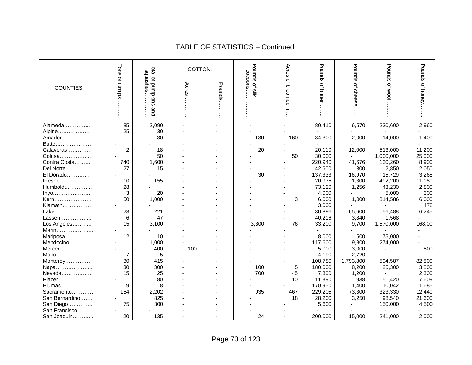|                        | Tons           | Total of pumpkins<br>sausahes | COTTON. |        | Pounds of silk<br>cocoons | Acres        | Pounds of butte   | Pounds        | Pounds          | Pounds of honey |
|------------------------|----------------|-------------------------------|---------|--------|---------------------------|--------------|-------------------|---------------|-----------------|-----------------|
|                        |                |                               |         |        |                           |              |                   |               |                 |                 |
| COUNTIES.              |                |                               | Acres   |        |                           |              |                   |               |                 |                 |
|                        | of turnips     |                               |         | Pounds |                           | of broomcorn |                   | of cheese     | <b>OF WOO</b>   |                 |
|                        |                |                               |         |        |                           |              |                   |               |                 |                 |
|                        |                |                               |         |        |                           |              |                   |               |                 |                 |
|                        |                | and                           |         |        |                           |              |                   |               |                 |                 |
|                        |                |                               |         |        |                           |              |                   |               |                 |                 |
| Alameda                | 85             | 2,090                         |         |        |                           |              | 80,410            | 6,570         | 230,600         | 2,960           |
| Alpine                 | 25             | 30                            |         |        |                           |              |                   |               |                 |                 |
| Amador                 |                | 30                            |         |        | 130                       | 160          | 34,300            | 2,000         | 14,000          | 1,400           |
| Butte                  |                |                               |         |        |                           |              |                   |               |                 |                 |
| Calaveras              | $\overline{c}$ | 18                            |         |        | 20                        |              | 20,110            | 12,000        | 513,000         | 11,200          |
| Colusa                 |                | 50                            |         |        |                           | 50           | 30,000            |               | 1,000,000       | 25,000          |
| Contra Costa           | 740<br>27      | 1,600<br>15                   |         |        |                           |              | 220,940           | 41,676        | 130,260         | 8,900           |
| Del Norte<br>El Dorado |                |                               |         |        | 30                        |              | 42,600<br>137,333 | 300<br>16,970 | 2,850<br>15,729 | 2,050<br>3,268  |
| Fresno                 | 10             | 155                           |         |        |                           |              | 20,975            | 1,300         | 492,200         | 11,180          |
| Humboldt               | 28             |                               |         |        |                           |              | 73,120            | 1,256         | 43,230          | 2,800           |
| Inyo                   | 3              | 20                            |         |        |                           |              | 4,000             |               | 5,000           | 300             |
| Kern                   | 50             | 1,000                         |         |        |                           | 3            | 6,000             | 1,000         | 814,586         | 6,000           |
| Klamath                |                |                               |         |        |                           |              | 3,000             |               |                 | 478             |
| Lake                   | 23             | 221                           |         |        |                           |              | 30,896            | 65,600        | 56,488          | 6,245           |
| Lassen                 | 6              | 47                            |         |        |                           |              | 40,216            | 3,840         | 1,568           |                 |
| Los Angeles            | 15             | 3,100                         |         |        | 3,300                     | 76           | 33,200            | 9,700         | 1,570,000       | 168,00          |
| Marin                  |                |                               |         |        |                           |              |                   |               |                 |                 |
| Mariposa               | 12             | 10                            |         |        |                           |              | 8,000             | 500           | 75,000          |                 |
| Mendocino              |                | 1,000                         |         |        |                           |              | 117,600           | 9,800         | 274,000         |                 |
| Merced                 |                | 400                           | 100     |        |                           |              | 5,000             | 3,000         |                 | 500             |
| Mono                   | 7              | 5                             |         |        |                           |              | 4,190             | 2,720         |                 |                 |
| Monterey               | 30             | 415                           |         |        |                           |              | 108,780           | 1,793,800     | 594,587         | 82,800          |
| Napa                   | 30             | 300                           |         |        | 100                       | 5            | 180,000           | 8,200         | 25,300          | 3,800           |
| Nevada                 | 15             | 25                            |         |        | 700                       | 45           | 7,300             | 1,200         |                 | 2,300           |
| Placer                 |                | 80                            |         |        |                           | 10           | 11,390            | 938           | 151,420         | 7,609           |
| Plumas                 | 9              | 8                             |         |        |                           |              | 170,950           | 1,400         | 10,042          | 1,685           |
| Sacramento             | 154            | 2,202                         |         |        | 935                       | 467          | 229,205           | 73,300        | 323,330         | 12,440          |
| San Bernardino         |                | 825                           |         |        |                           | 18           | 28,200            | 3,250         | 98,540          | 21,600          |
| San Diego              | 75             | 300                           |         |        |                           |              | 5,600             |               | 150,000         | 4,500           |
| San Francisco          |                |                               |         |        |                           |              |                   |               |                 |                 |
| San Joaquin            | 20             | 135                           |         |        | 24                        |              | 200,000           | 15,000        | 241,000         | 2,000           |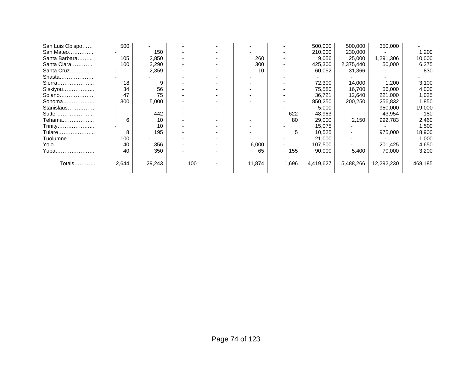| San Luis Obispo | 500   |        |     |        |       | 500,000   | 500,000   | 350,000    |         |
|-----------------|-------|--------|-----|--------|-------|-----------|-----------|------------|---------|
| San Mateo       |       | 150    |     |        |       | 210,000   | 230,000   |            | 1,200   |
| Santa Barbara   | 105   | 2,850  |     | 260    |       | 9,056     | 25,000    | 1,291,306  | 10,000  |
| Santa Clara     | 100   | 3,290  |     | 300    |       | 425,300   | 2,375,440 | 50,000     | 6,275   |
| Santa Cruz      |       | 2,359  |     | 10     |       | 60,052    | 31,366    |            | 830     |
| Shasta          |       |        |     |        |       |           |           |            |         |
| Sierra          | 18    | 9      |     |        |       | 72,300    | 14,000    | 1,200      | 3,100   |
| Siskiyou        | 34    | 56     |     |        |       | 75,580    | 16,700    | 56,000     | 4,000   |
| Solano          | 47    | 75     |     |        |       | 36,721    | 12,640    | 221,000    | 1,025   |
| Sonoma          | 300   | 5,000  |     |        |       | 850,250   | 200,250   | 256,832    | 1,850   |
| Stanislaus      |       |        |     |        |       | 5,000     |           | 950,000    | 19,000  |
| Sutter          |       | 442    |     |        | 622   | 48,963    |           | 43,954     | 180     |
| Tehama          | 6     | 10     |     |        | 80    | 29,000    | 2,150     | 992,783    | 2,460   |
| Trinity         |       | 10     |     |        |       | 15,075    |           |            | 1,500   |
| Tulare          | 8     | 195    |     |        | 5     | 10,525    |           | 975,000    | 18,900  |
| Tuolumne        | 100   |        |     |        |       | 21,000    |           |            | 1,000   |
| Yolo            | 40    | 356    |     | 6,000  |       | 107,500   |           | 201,425    | 4,650   |
| Yuba            | 40    | 350    |     | 65     | 155   | 90,000    | 5,400     | 70,000     | 3,200   |
|                 |       |        |     |        |       |           |           |            |         |
| Totals          | 2,644 | 29,243 | 100 | 11,874 | 1,696 | 4,419,627 | 5,488,266 | 12,292,230 | 468,185 |
|                 |       |        |     |        |       |           |           |            |         |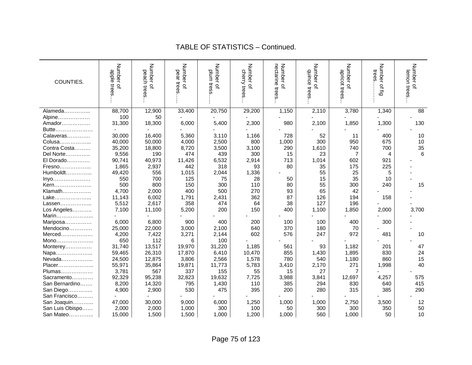| COUNTIES.       | Number<br>apple<br>trees<br>$\Omega$ | Number<br>peach trees<br>$\Omega$ | Number of<br>pear trees | Number of<br>plum tress | Number of<br>cherry trees | nectarine trees<br>Number of | Number of<br>quince<br>trees | Number of<br>apricot trees | Number<br>trees<br>of fig | Number of<br>lemon trees |
|-----------------|--------------------------------------|-----------------------------------|-------------------------|-------------------------|---------------------------|------------------------------|------------------------------|----------------------------|---------------------------|--------------------------|
| Alameda         | 88,700                               | 12,900                            | 33,400                  | 20,750                  | 29,200                    | 1,150                        | 2,110                        | 3,780                      | 1,340                     | 88                       |
| Alpine          | 100                                  | 50                                |                         |                         |                           |                              |                              |                            |                           |                          |
| Amador          | 31,300                               | 18,300                            | 6,000                   | 5,400                   | 2,300                     | 980                          | 2,100                        | 1,850                      | 1,300                     | 130                      |
| Butte           |                                      |                                   |                         |                         |                           |                              |                              |                            |                           |                          |
| Calaveras       | 30,000                               | 16,400                            | 5,360                   | 3,110                   | 1,166                     | 728                          | 52                           | 11                         | 400                       | 10                       |
| Colusa          | 40,000                               | 50,000                            | 4,000                   | 2,500                   | 800                       | 1,000                        | 300                          | 950                        | 675                       | 10                       |
| Contra Costa    | 35,200                               | 18,800                            | 8,720                   | 3,500                   | 3,100                     | 290                          | 1,610                        | 740                        | 700                       | 35                       |
| Del Norte       | 9,556                                | 190                               | 474                     | 439                     | 300                       | 15                           | 23                           | 7                          | 4                         | 6                        |
| El Dorado       | 90,741                               | 40,973                            | 11,426                  | 6,532                   | 2,914                     | 713                          | 1,014                        | 602                        | 921                       |                          |
| Fresno          | 1,865                                | 2,937                             | 442                     | 318                     | 93                        | 80                           | 35                           | 175                        | 225                       |                          |
| Humboldt        | 49,420                               | 556                               | 1,015                   | 2,044                   | 1,336                     |                              | 55                           | 25                         | 5                         |                          |
| Inyo            | 550                                  | 700                               | 125                     | 75                      | 28                        | 50                           | 15                           | 35                         | 10                        |                          |
| Kern            | 500                                  | 800                               | 150                     | 300                     | 110                       | 80                           | 55                           | 300                        | 240                       | 15                       |
| Klamath         | 4,700                                | 2,000                             | 400                     | 500                     | 270                       | 93                           | 65                           | 42                         |                           |                          |
| Lake            | 11,143                               | 6,002                             | 1,791                   | 2,431                   | 362                       | 87                           | 126                          | 194                        | 158                       |                          |
| Lassen          | 5,512                                | 2,617                             | 358                     | 474                     | 64                        | 38                           | 127                          | 196                        |                           |                          |
| Los Angeles     | 7,100                                | 11,100                            | 5,200                   | 200                     | 150                       | 400                          | 1,100                        | 1,850                      | 2,000                     | 3,700                    |
| Marin           |                                      |                                   |                         |                         |                           |                              |                              |                            |                           |                          |
| Mariposa        | 6,000                                | 6,800                             | 900                     | 400                     | 200                       | 100                          | 100                          | 400                        | 300                       |                          |
| Mendocino       | 25,000                               | 22,000                            | 3,000                   | 2,100                   | 640                       | 370                          | 180                          | 70                         |                           |                          |
| Merced          | 4,200                                | 7,422                             | 3,271                   | 2,144                   | 602                       | 576                          | 247                          | 972                        | 481                       | 10                       |
| Mono            | 650                                  | 112                               | 6                       | 100                     |                           |                              |                              |                            |                           |                          |
| Monterey        | 31,740                               | 13,517                            | 19,970                  | 31,220                  | 1,185                     | 561                          | 93                           | 1,182                      | 201                       | 47                       |
| Napa            | 59,465                               | 26,310                            | 17,870                  | 6,410                   | 10,470                    | 855                          | 1,430                        | 1,895                      | 830                       | 24                       |
| Nevada          | 24,500                               | 12,875                            | 3,806                   | 2,566                   | 1,578                     | 780                          | 540                          | 1,180                      | 860                       | 15                       |
| Placer          | 55,971                               | 35,864                            | 19,871                  | 11,773                  | 5,783                     | 3,410                        | 2,170                        | 271                        | 1,998                     | 40                       |
| Plumas          | 3,781                                | 567                               | 337                     | 155                     | 55                        | 15                           | 27                           | 7                          |                           |                          |
| Sacramento      | 92,329                               | 95,238                            | 32,823                  | 19,632                  | 7,725                     | 3,988                        | 3,841                        | 12,697                     | 4,257                     | 575                      |
| San Bernardino  | 8,200                                | 14,320                            | 795                     | 1,430                   | 110                       | 385                          | 294                          | 830                        | 640                       | 415                      |
| San Diego       | 4,900                                | 2,900                             | 530                     | 475                     | 395                       | 200                          | 280                          | 315                        | 385                       | 290                      |
| San Francisco   |                                      |                                   |                         |                         |                           |                              |                              |                            |                           |                          |
| San Joaquin     | 47,000                               | 30,000                            | 9,000                   | 6,000                   | 1,250                     | 1,000                        | 1,000                        | 2,750                      | 3,500                     | 12                       |
| San Luis Obispo | 2,000                                | 2,000                             | 1,000                   | 300                     | 100                       | 50                           | 300                          | 300                        | 350                       | 50                       |
| San Mateo       | 15,000                               | 1,500                             | 1,500                   | 1,000                   | 1,200                     | 1,000                        | 560                          | 1,000                      | 50                        | 10                       |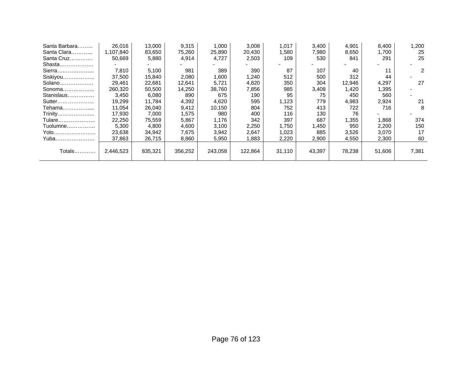| Santa Barbara | 26,016    | 13,000  | 9,315   | 1,000   | 3,008   | 1,017  | 3,400  | 4,901  | 8,400  | 1,200 |
|---------------|-----------|---------|---------|---------|---------|--------|--------|--------|--------|-------|
| Santa Clara   | 1,107,840 | 83,650  | 75,260  | 25,890  | 20,430  | 1,580  | 7,980  | 8,650  | 1,700  | 25    |
| Santa Cruz    | 50,669    | 5,880   | 4,914   | 4,727   | 2,503   | 109    | 530    | 841    | 291    | 25    |
| Shasta        |           |         |         |         |         |        |        |        |        |       |
| Sierra        | 7,810     | 5,100   | 981     | 389     | 390     | 87     | 107    | 40     | 11     | 2     |
| Siskiyou      | 37,500    | 15,840  | 2,080   | 1,600   | 1,240   | 512    | 500    | 312    | 44     |       |
| Solano        | 29.461    | 22,681  | 12,641  | 5,721   | 4,820   | 350    | 304    | 12,946 | 4,297  | 27    |
| Sonoma        | 260,320   | 50,500  | 14,250  | 38,760  | 7,856   | 985    | 3,408  | 1,420  | 1,395  |       |
| Stanislaus    | 3,450     | 6,080   | 890     | 675     | 190     | 95     | 75     | 450    | 560    |       |
| Sutter        | 19,299    | 11.784  | 4,392   | 4,620   | 595     | 1,123  | 779    | 4,983  | 2,924  | 21    |
| Tehama        | 11,054    | 26,040  | 9,412   | 10,150  | 804     | 752    | 413    | 722    | 716    | 8     |
| Trinity       | 17.930    | 7,000   | 1,575   | 980     | 400     | 116    | 130    | 76     |        |       |
| Tulare        | 22,250    | 75,559  | 5,867   | 1,176   | 342     | 397    | 687    | 1,355  | 1,868  | 374   |
| Tuolumne      | 5,300     | 4,800   | 4,600   | 3,100   | 2,250   | 1,750  | 450. ا | 950    | 2,200  | 150   |
| Yolo          | 23,638    | 34,942  | 7,675   | 3,942   | 2,647   | 1,023  | 885    | 3,526  | 3,070  | 17    |
| Yuba          | 37,863    | 26,715  | 8,860   | 5,950   | .883    | 2,220  | 2,900  | 4,550  | 2,300  | 60    |
|               |           |         |         |         |         |        |        |        |        |       |
| Totals        | 2,446,523 | 835,321 | 356,252 | 243,058 | 122,864 | 31,110 | 43,397 | 78,238 | 51,606 | 7,381 |
|               |           |         |         |         |         |        |        |        |        |       |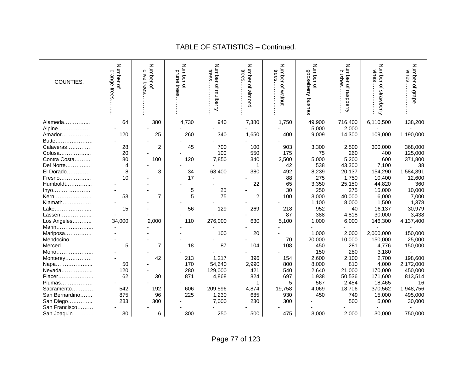| COUNTIES.      | Number of<br>orange<br>trees | Number of<br>olive<br>trees | Number of<br>prune<br>tree | Number of mulberry<br>tress | Number of almond<br>trees | Number of walnut<br>trees | Number of<br>gooseberry bushes | Number of raspberry<br>bushes | Number of strawberry<br>vines | Number of grape<br>vines |
|----------------|------------------------------|-----------------------------|----------------------------|-----------------------------|---------------------------|---------------------------|--------------------------------|-------------------------------|-------------------------------|--------------------------|
|                | 64                           |                             |                            | 940                         |                           |                           |                                | 716,400                       |                               |                          |
| Alameda        |                              | 380                         | 4,730                      |                             | 7,380                     | 1,750                     | 49,900                         |                               | 6,110,500                     | 138,200                  |
| Alpine         |                              |                             |                            |                             |                           |                           | 5,000                          | 2,000                         |                               |                          |
| Amador         | 120                          | 25                          | 260                        | 340                         | 1,650                     | 400                       | 9,009                          | 14,300                        | 109,000                       | 1,190,000                |
| Butte          |                              |                             |                            |                             |                           |                           |                                |                               |                               |                          |
| Calaveras      | 28                           | $\overline{\mathbf{c}}$     | 45                         | 700                         | 100                       | 903                       | 3,300                          | 2,500                         | 300,000                       | 368,000                  |
| Colusa         | 20                           |                             |                            | 100                         | 550                       | 175                       | 75                             | 260                           | 400                           | 125,000                  |
| Contra Costa   | 80                           | 100                         | 120                        | 7,850                       | 340                       | 2,500                     | 5,000                          | 5,200                         | 600                           | 371,800                  |
| Del Norte      | 4                            |                             |                            |                             | 1                         | 42                        | 538                            | 43,300                        | 7,100                         | 38                       |
| El Dorado      | 8                            | 3                           | 34                         | 63,400                      | 380                       | 492                       | 8,239                          | 20,137                        | 154,290                       | 1,584,391                |
| Fresno         | 10                           |                             | 17                         |                             |                           | 88                        | 275                            | 1,750                         | 10,400                        | 12,600                   |
| Humboldt       |                              |                             |                            |                             | 22                        | 65                        | 3,350                          | 25,150                        | 44,820                        | 360                      |
| Inyo           |                              |                             | 5                          | 25                          |                           | 30                        | 250                            | 275                           | 15,000                        | 10,000                   |
| Kern           | 53                           | $\overline{7}$              | 5                          | 75                          | 2                         | 100                       | 3,000                          | 40,000                        | 6,000                         | 7,000                    |
| Klamath        |                              |                             |                            |                             |                           |                           | 1,100                          | 8,000                         | 1,500                         | 1,378                    |
| Lake           | 15                           |                             | 56                         | 129                         | 269                       | 218                       | 952                            | 40                            | 16,137                        | 30,979                   |
| Lassen         |                              |                             |                            |                             |                           | 87                        | 388                            | 4,818                         | 30,000                        | 3,438                    |
| Los Angeles    | 34,000                       | 2,000                       | 110                        | 276,000                     | 630                       | 5,100                     | 1,000                          | 6,000                         | 146,300                       | 4,137,400                |
| Marin          |                              |                             |                            |                             |                           |                           |                                |                               |                               |                          |
| Mariposa       |                              |                             |                            | 100                         | 20                        |                           | 1,000                          | 2,000                         | 2,000,000                     | 150,000                  |
| Mendocino      |                              |                             |                            |                             |                           | 70                        | 20,000                         | 10,000                        | 150,000                       | 25,000                   |
| Merced         | 5                            | $\overline{7}$              | 18                         | 87                          | 104                       | 108                       | 450                            | 281                           | 4,776                         | 150,000                  |
| Mono           |                              |                             |                            |                             |                           |                           | 150                            | 280                           | 3,180                         |                          |
| Monterey       |                              | 42                          | 213                        | 1,217                       | 396                       | 154                       | 2,600                          | 2,100                         | 2,700                         | 198,600                  |
| Napa           | 50                           |                             | 170                        | 54,640                      | 2,990                     | 800                       | 8,000                          | 810                           | 4,000                         | 2,172,000                |
| Nevada         | 120                          |                             | 280                        | 129,000                     | 421                       | 540                       | 2,640                          | 21,000                        | 170,000                       | 450,000                  |
| Placer         | 62                           | 30                          | 871                        | 4,868                       | 824                       | 697                       | 1,938                          | 50,536                        | 171,600                       | 813,514                  |
| Plumas         |                              |                             |                            |                             | 1                         | 5                         | 567                            | 2,454                         | 18,465                        | 16                       |
| Sacramento     | 542                          | 192                         | 606                        | 209,596                     | 4,874                     | 19,758                    | 4,069                          | 18,706                        | 370,562                       | 1,948,756                |
| San Bernardino | 875                          | 96                          | 225                        | 1,230                       | 685                       | 930                       | 450                            | 749                           | 15,000                        | 495,000                  |
| San Diego      | 233                          | 300                         |                            | 7,000                       | 230                       | 300                       |                                | 500                           | 5,000                         | 30,000                   |
| San Francisco  |                              |                             |                            |                             |                           |                           |                                |                               |                               |                          |
| San Joaquin    | 30                           | 6                           | 300                        | 250                         | 500                       | 475                       | 3,000                          | 2,000                         | 30,000                        | 750,000                  |
|                |                              |                             |                            |                             |                           |                           |                                |                               |                               |                          |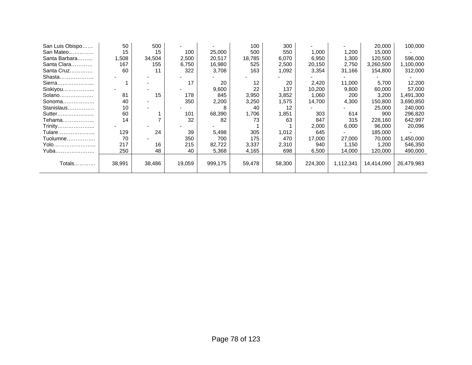| San Luis Obispo | 50     | 500    |        |         | 100    | 300    |         |           | 20,000     | 100,000    |
|-----------------|--------|--------|--------|---------|--------|--------|---------|-----------|------------|------------|
| San Mateo       | 15     | 15     | 100    | 25,000  | 500    | 550    | 1,000   | 1,200     | 15,000     |            |
| Santa Barbara   | 1,508  | 34,504 | 2,500  | 20,517  | 18,785 | 6,070  | 6,950   | 1,300     | 120,500    | 596,000    |
| Santa Clara     | 167    | 155    | 6,750  | 16,980  | 525    | 2,500  | 20,150  | 2,750     | 3,260,500  | 1,100,000  |
| Santa Cruz      | 60     | 11     | 322    | 3,708   | 163    | 1,092  | 3,354   | 31,166    | 154,800    | 312,000    |
| Shasta          |        |        |        |         |        |        |         |           |            |            |
| Sierra          |        |        | 17     | 20      | 12     | 20     | 2,420   | 11,000    | 5,700      | 12,200     |
| Siskiyou        |        |        |        | 9,600   | 22     | 137    | 10,200  | 9,800     | 60,000     | 57,000     |
| Solano          | 81     | 15     | 178    | 845     | 3,950  | 3,852  | 1,060   | 200       | 3,200      | 1,491,300  |
| Sonoma          | 40     |        | 350    | 2,200   | 3,250  | 1,575  | 14,700  | 4,300     | 150,800    | 3,690,850  |
| Stanislaus      | 10     |        |        |         | 40     | 12     |         |           | 25,000     | 240,000    |
| Sutter          | 60     |        | 101    | 68,390  | 1,706  | 1,851  | 303     | 614       | 900        | 296,820    |
| Tehama          | 14     |        | 32     | 82      | 73     | 63     | 847     | 315       | 228,160    | 642,997    |
| Trinity         |        |        |        |         |        |        | 2,000   | 6,000     | 96,000     | 20,096     |
| Tulare          | 129    | 24     | 39     | 5,498   | 305    | 1,012  | 645     |           | 185,000    |            |
| Tuolumne        | 70     |        | 350    | 700     | 175    | 470    | 17,000  | 27,000    | 70,000     | 450,000,   |
| Yolo            | 217    | 16     | 215    | 82,722  | 3,337  | 2,310  | 940     | 1,150     | 1,200      | 546,350    |
| Yuba            | 250    | 48     | 40     | 5,368   | 4,165  | 698    | 6,500   | 14,000    | 120,000    | 490,000    |
|                 |        |        |        |         |        |        |         |           |            |            |
| Totals          | 38,991 | 38,486 | 19,059 | 999,175 | 59,478 | 58,300 | 224,300 | 1,112,341 | 14,414,090 | 26,479,983 |
|                 |        |        |        |         |        |        |         |           |            |            |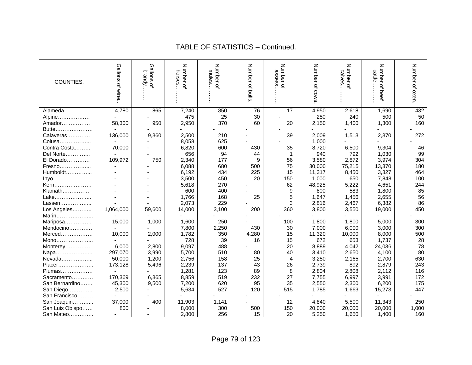| COUNTIES.                                            | Gallons of wine | Gallons<br>brandy.<br>$\Omega$ | Number of<br>horses | Number<br>mules<br>$\Omega$ | Number of bulls | Number<br>assess<br>$\mathbf{Q}$ | Number of cows | Number of<br>calves | Number of<br>cattle<br>beef | Number of oxen |
|------------------------------------------------------|-----------------|--------------------------------|---------------------|-----------------------------|-----------------|----------------------------------|----------------|---------------------|-----------------------------|----------------|
| Alameda                                              | 4,780           | 865                            | 7,240               | 850                         | 76              | 17                               | 4,950          | 2,618               | 1,690                       | 432            |
| Alpine                                               |                 |                                | 475                 | 25                          | 30              |                                  | 250            | 240                 | 500                         | 50             |
| Amador                                               | 58,300          | 950                            | 2,950               | 370                         | 60              | 20                               | 2,150          | 1,400               | 1,300                       | 160            |
| Butte                                                |                 |                                |                     |                             |                 |                                  |                |                     |                             |                |
| Calaveras                                            | 136,000         | 9,360                          | 2,500               | 210                         |                 | 39                               | 2,009          | 1,513               | 2,370                       | 272            |
| Colusa                                               |                 |                                | 8,058               | 625                         |                 |                                  | 1,000          |                     |                             |                |
| Contra Costa                                         | 70,000          |                                | 6,820               | 600                         | 430             | 35                               | 8,720          | 6,500               | 9,304                       | 46             |
| Del Norte                                            |                 |                                | 656                 | 94                          | 44              | 1                                | 940            | 792                 | 1,030                       | 99             |
| El Dorado                                            | 109,972         | 750                            | 2,340               | 177                         | 9               | 56                               | 3,580          | 2,872               | 3,974                       | 304            |
| Fresno                                               |                 |                                | 6,088               | 680                         | 500             | 75                               | 30,000         | 75,215              | 13,370                      | 180            |
| Humboldt                                             |                 |                                | 6,192               | 434                         | 225             | 15                               | 11,317         | 8,450               | 3,327                       | 464            |
| Inyo                                                 |                 |                                | 3,500               | 450                         | 20              | 150                              | 1,000          | 650                 | 7,848                       | 100            |
| Kern                                                 |                 |                                | 5,618               | 270                         |                 | 62                               | 48,925         | 5,222               | 4,651                       | 244            |
| Klamath                                              |                 |                                | 600                 | 400                         |                 | 9                                | 800            | 583                 | 1,800                       | 85             |
| Lake                                                 |                 |                                | 1,766               | 168                         | 25              | 5                                | 1,647          | 1,456               | 2,655                       | 56             |
| Lassen                                               |                 |                                | 2,073               | 229                         |                 | 3                                | 2,816          | 2,467               | 6,382                       | 86             |
| Los Angeles                                          | 1,064,000       | 59,600                         | 14,000              | 3,100                       | 200             | 360                              | 3,800          | 3,550               | 19,000                      | 450            |
| Marin                                                |                 |                                |                     |                             |                 |                                  |                |                     |                             |                |
| Mariposa                                             | 15,000          | 1,000                          | 1,600               | 250                         |                 | 100                              | 1,800          | 1,800               | 5,000                       | 300            |
| Mendocino                                            |                 |                                | 7,800               | 2,250                       | 430             | 30                               | 7,000          | 6,000               | 3,000                       | 300            |
| Merced                                               | 10,000          | 2,000                          | 1,782               | 350                         | 4,280           | 15                               | 11,320         | 10,000              | 8,000                       | 500            |
| $\mathsf{Mono}.\mathsf{}\mathsf{}\mathsf{}\mathsf{}$ |                 |                                | 728                 | 39                          | 16              | 15                               | 672            | 653                 | 1,737                       | 28             |
| Monterey                                             | 6,000           | 2,800                          | 9,097               | 488                         |                 | 20                               | 8,889          | 4,042               | 24,036                      | 78             |
| Napa                                                 | 297,070         | 3,990                          | 5,700               | 510                         | 80              | 40                               | 3,410          | 2,650               | 4,100                       | 80             |
| Nevada                                               | 50,000          | 1,200                          | 2,756               | 158                         | 25              | 4                                | 3,250          | 2,165               | 2,700                       | 630            |
| Placer                                               | 173,128         | 5,496                          | 2,239               | 137                         | 43              | 26                               | 2,739          | 892                 | 2,879                       | 243            |
| Plumas                                               |                 |                                | 1,281               | 123                         | 89              | 8                                | 2,804          | 2,808               | 2,112                       | 116            |
| Sacramento                                           | 170,369         | 6,365                          | 8,859               | 519                         | 232             | 27                               | 7,755          | 6,997               | 3,991                       | 172            |
| San Bernardino                                       | 45,300          | 9,500                          | 7,200               | 620                         | 95              | 35                               | 2,550          | 2,300               | 6,200                       | 175            |
| San Diego                                            | 2,500           |                                | 5,634               | 527                         | 120             | 515                              | 1,785          | 1,663               | 15,273                      | 447            |
| San Francisco                                        |                 |                                |                     |                             |                 |                                  |                |                     |                             |                |
| San Joaquin                                          | 37,000          | 400                            | 11,903              | 1,141                       |                 | 12                               | 4,840          | 5,500               | 11,343                      | 250            |
| San Luis Obispo                                      | 800             |                                | 8,000               | 300                         | 500             | 150                              | 20,000         | 20,000              | 20,000                      | 1,000          |
| San Mateo                                            |                 |                                | 2,800               | 256                         | 15              | 20                               | 5,250          | 1,650               | 1,400                       | 160            |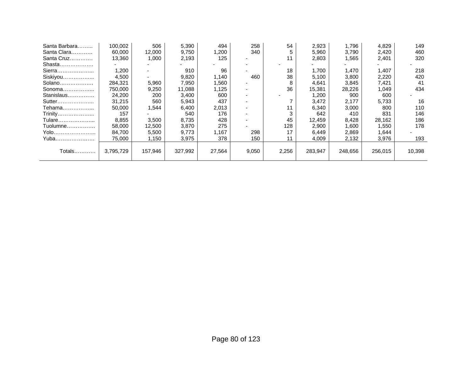| Santa Barbara | 100,002   | 506     | 5,390   | 494    | 258   | 54    | 2,923   | 1,796   | 4,829   | 149    |
|---------------|-----------|---------|---------|--------|-------|-------|---------|---------|---------|--------|
| Santa Clara   | 60,000    | 12,000  | 9,750   | 1,200  | 340   |       | 5,960   | 3,790   | 2,420   | 460    |
| Santa Cruz    | 13,360    | 1,000   | 2,193   | 125    |       | 11    | 2,803   | 1,565   | 2,401   | 320    |
| Shasta        |           |         |         |        |       |       |         |         |         |        |
| Sierra        | 1,200     |         | 910     | 96     |       | 18    | 1.700   | 1.470   | 1,407   | 218    |
| Siskiyou      | 4,500     |         | 9,820   | 1,140  | 460   | 38    | 5,100   | 3,800   | 2,220   | 420    |
| Solano        | 284,321   | 5,960   | 7,950   | 1,560  |       | 8     | 4,641   | 3,845   | 7,421   | 41     |
| Sonoma        | 750,000   | 9,250   | 11,088  | 1,125  |       | 36    | 15,381  | 28,226  | 1,049   | 434    |
| Stanislaus    | 24,200    | 200     | 3,400   | 600    |       |       | 1,200   | 900     | 600     |        |
| Sutter        | 31,215    | 560     | 5,943   | 437    |       |       | 3.472   | 2,177   | 5.733   | 16     |
| Tehama        | 50.000    | 1,544   | 6,400   | 2,013  |       | 11    | 6.340   | 3,000   | 800     | 110    |
| Trinity       | 157       |         | 540     | 176    |       |       | 642     | 410     | 831     | 146    |
| Tulare        | 8,855     | 3,500   | 8,735   | 428    |       | 45    | 12,459  | 8,428   | 28,162  | 186    |
| Tuolumne      | 58,000    | 12,500  | 3,870   | 275    |       | 128   | 2,900   | 1,600   | 1,550   | 178    |
| Yolo          | 84.700    | 5,500   | 9,773   | 1,167  | 298   | 17    | 6,449   | 2,869   | 1,644   |        |
| Yuba          | 75,000    | 1,150   | 3,975   | 378    | 150   | 11    | 4,009   | 2,132   | 3,976   | 193    |
|               |           |         |         |        |       |       |         |         |         |        |
| Totals        | 3,795,729 | 157,946 | 327,992 | 27,564 | 9,050 | 2,256 | 283,947 | 248,656 | 256.015 | 10,398 |
|               |           |         |         |        |       |       |         |         |         |        |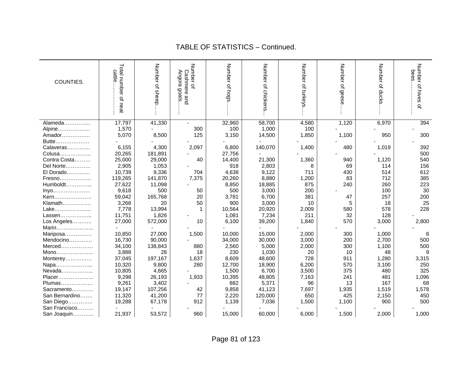#### cattle……………… Total number of neat Total number of neat Number of sheep... Number of sheep…… Angora goats…….. Cashmere and Number of Number of hogs Number of hogs….…. Number of chickens Number of chickens... Number of turkeys Number of turkeys.…. Number of geese. Number of geese…… Number of ducks Number of ducks…… bees………………. Number of hives of Number of hives of Angora bees. cattle... Cashmere and COUNTIES. goats. Alameda……………... | 17,797 | 41,330 | - | 32,960 | 58,700 | 4,580 | 1,120 | 6,970 | 394 Alpine……………… | 1,570 | - | 300 | 100 | 100 | 100 Amador…………… | 5,070 | 8,500 | 125 | 3,150 | 14,500 | 1,850 | 1,100 | 950 | 300 Butte……………… Calaveras…………. 6,155 4,300 2,097 6,800 140,070 1,400 480 1,019 392 Colusa……………... 20,265 181,891 - 27,756 - - - - 500 Contra Costa……… 25,000 29,000 40 14,400 21,300 1,360 940 1,120 540 Del Norte…………... │ 2,905 │ 1,053 │ 918 │ 2,803 │ 8 │ 69 │ 114 │ 156 El Dorado…………. 10,739 9,336 704 4,638 9,122 711 430 514 612 Fresno……………... 119,265 141,870 7,375 20,260 8,880 1,200 83 712 385 Humboldt……………. | 27,622 | 11,098 | - | 8,850 | 18,885 | 875 | 240 | 260 | 223 Inyo………………… 9,618 500 50 500 3,000 200 - 100 30 Kern……………… | 59,042 | 165,768 | 20 | 3,781 | 6,700 | 381 | 47 | 257 | 200 Klamath…………… | 3,268 | 20 | 50 | 900 | 3,000 | 10 | 5 | 18 | 25 Lake………………... 7,778 13,994 1 10,564 20,920 2,009 580 578 228 Lassen………………... | 11,751 | 1,826 | - | 1,081 | 7,234 | 211 | 32 | 128 Los Angeles……….. | 27,000 | 572,000 | 10 | 6,100 | 39,200 | 1,840 | 570 | 3,000 | 2,800 Marin..................... Mariposa…………… | 10,850 | 27,000 | 1,500 | 10,000 | 15,000 | 2,000 | 300 | 1,000 | 8 Mendocino…………. 16,730 90,000 - 34,000 30,000 3,000 200 2,700 500 Merced……………… | 34,100 | 138,843 | 880 | 2,560 | 5,000 | 2,000 | 300 | 1,100 | 500 Mono………………… | 3.888 | 28 | 18 | 230 | 10.030 | 20 | 10 | 48 | 9 Monterey…………… | 37,045 | 197,167 | 1,637 | 8,609 48,600 | 728 | 911 | 1,280 | 3,315<br>Napa…………………… | 10,320 | 9,800 | 280 | 12,700 | 18,900 | 6,200 | 570 | 3,100 | 250 Napa………………... 10,320 9,800 280 12,700 18,900 6,200 570 3,100 250 Nevada……………... 10,805 4,665 - 1,500 6,700 3,500 375 480 325 Placer…………………. 9.298 | 26.193 | 1.933 | 10.395 | 48.805 | 7.163 | 241 | 481 | 1.096 Plumas……………… | 9,261 | 3,402 | - | 882 | 5,371 | 96 | 13 | 167 | 68 Sacramento………… | 19,147 | 107,256 | 42 | 9,858 | 41,123 | 7,697 | 1,935 | 1,519 | 1,578 San Bernardino……. | 11,320 | 41,200 | 77 | 2,220 | 120,000 | 650 | 425 | 2,150 | 450 San Diego………….. | 19,288 | 67,178 | 912 | 1,139 | 7,036 | 1,500 | 1,100 | 900 | 500 San Francisco......... San Joaquin…………. | 21,937 | 53,572 | 960 | 15,000 | 6,000 | 1,500 | 2,000 | 1,000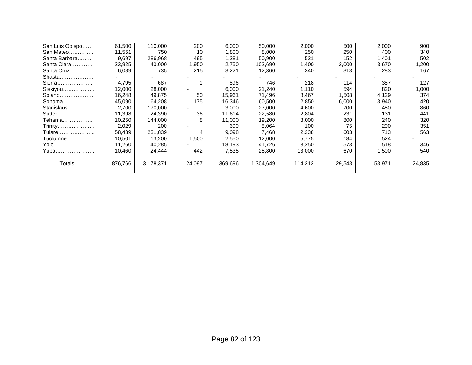| San Luis Obispo | 61,500  | 110,000   | 200                      | 6,000   | 50,000    | 2,000   | 500    | 2,000  | 900    |
|-----------------|---------|-----------|--------------------------|---------|-----------|---------|--------|--------|--------|
| San Mateo       | 11,551  | 750       | 10                       | 1,800   | 8,000     | 250     | 250    | 400    | 340    |
| Santa Barbara   | 9,697   | 286,968   | 495                      | 1,281   | 50,900    | 521     | 152    | 1,401  | 502    |
| Santa Clara     | 23,925  | 40,000    | 1,950                    | 2,750   | 102,690   | 1,400   | 3,000  | 3,670  | 1,200  |
| Santa Cruz      | 6,089   | 735       | 215                      | 3,221   | 12,360    | 340     | 313    | 283    | 167    |
| Shasta          |         |           |                          |         |           |         |        |        |        |
| Sierra          | 4,795   | 687       |                          | 896     | 746       | 218     | 114    | 387    | 127    |
| Siskiyou        | 12,000  | 28,000    | $\overline{\phantom{a}}$ | 6,000   | 21,240    | 1,110   | 594    | 820    | 1,000  |
| Solano          | 16,248  | 49,875    | 50                       | 15,961  | 71,496    | 8,467   | 1,508  | 4,129  | 374    |
| Sonoma          | 45,090  | 64,208    | 175                      | 16,346  | 60,500    | 2,850   | 6,000  | 3,940  | 420    |
| Stanislaus      | 2,700   | 170,000   |                          | 3,000   | 27,000    | 4,600   | 700    | 450    | 860    |
| Sutter          | 11,398  | 24,390    | 36                       | 11,614  | 22,580    | 2,804   | 231    | 131    | 441    |
| Tehama          | 10,250  | 144,000   | 8                        | 11,000  | 19,200    | 8,000   | 800    | 240    | 320    |
| Trinity         | 2,029   | 200       |                          | 600     | 8,064     | 100     | 75     | 200    | 351    |
| Tulare          | 58,439  | 231,839   | 4                        | 9,098   | 7,468     | 2,238   | 603    | 713    | 563    |
| Tuolumne        | 10,501  | 13,200    | 1,500                    | 2,550   | 12,000    | 5,775   | 184    | 524    |        |
| Yolo            | 11,260  | 40,285    |                          | 18,193  | 41,726    | 3,250   | 573    | 518    | 346    |
| Yuba            | 10,460  | 24,444    | 442                      | 7,535   | 25,800    | 13,000  | 670    | .500   | 540    |
|                 |         |           |                          |         |           |         |        |        |        |
| Totals          | 876.766 | 3,178,371 | 24,097                   | 369,696 | 1,304,649 | 114,212 | 29,543 | 53,971 | 24,835 |
|                 |         |           |                          |         |           |         |        |        |        |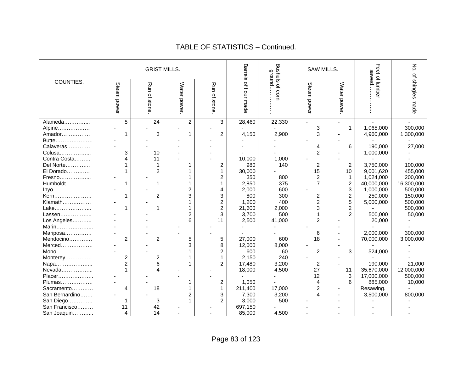|                |                |                         | <b>GRIST MILLS.</b> |                |                       | <b>Qround</b>   |                | SAW MILLS.     | sawed.        | λó.              |
|----------------|----------------|-------------------------|---------------------|----------------|-----------------------|-----------------|----------------|----------------|---------------|------------------|
| COUNTIES.      | Steam power    | Run of stone            | Water power         | Run of stone   | Barrels of flour made | Bushels of corn | Steam power    | Water power    | Feet of lumbe | of shingles made |
| Alameda        | $\overline{5}$ | 24                      | $\overline{2}$      | 3              | 28,460                | 22,330          |                |                |               |                  |
| Alpine         |                |                         |                     |                |                       |                 | 3              | $\mathbf{1}$   | 1,065,000     | 300,000          |
| Amador         |                | 3                       |                     | 2              | 4,150                 | 2,900           | 3              |                | 4,960,000     | 1,300,000        |
| Butte          |                |                         |                     |                |                       |                 |                |                |               |                  |
| Calaveras      |                |                         |                     |                |                       |                 | 4              | 6              | 190,000       | 27,000           |
| Colusa         | 3              | 10                      |                     |                |                       |                 | $\overline{c}$ |                | 1,000,000     |                  |
| Contra Costa   | 4              | 11                      |                     |                | 10,000                | 1,000           |                |                |               |                  |
| Del Norte      |                | $\mathbf{1}$            |                     | 2              | 980                   | 140             | 2              | $\overline{c}$ | 3,750,000     | 100,000          |
| El Dorado      |                | $\overline{2}$          |                     |                | 30,000                |                 | 15             | 10             | 9,001,620     | 455,000          |
| Fresno         |                |                         |                     | 2              | 350                   | 800             | 2              | $\mathbf 1$    | 1,024,000     | 200,000          |
| Humboldt       |                | 1                       |                     |                | 2,850                 | 375             | $\overline{7}$ | $\mathbf 2$    | 40,000,000    | 16,300,000       |
| Inyo           |                |                         | $\overline{c}$      | 4              | 2,000                 | 600             |                | 3              | 1,000,000     | 500,000          |
| Kern           |                | $\overline{2}$          | 3                   | 3              | 800                   | 300             | 2              | $\overline{c}$ | 250,000       | 150,000          |
| Klamath        |                |                         |                     | $\overline{c}$ | 1,200                 | 400             | $\overline{2}$ | 5              | 5,000,000     | 500,000          |
| Lake           |                | 1                       |                     | $\overline{2}$ | 21,600                | 2,000           | 3              | $\overline{2}$ |               | 500,000          |
| Lassen         |                |                         | 2                   | 3              | 3,700                 | 500             |                | $\overline{2}$ | 500,000       | 50,000           |
| Los Angeles    |                |                         | 6                   | 11             | 2,500                 | 41,000          | $\overline{2}$ |                | 20,000        |                  |
| Marin          |                |                         |                     |                |                       |                 |                |                |               |                  |
| Mariposa       |                |                         |                     |                |                       |                 | 6              |                | 2,000,000     | 300,000          |
| Mendocino      | $\overline{c}$ | $\overline{c}$          | 5                   | 5              | 27,000                | 600             | 18             |                | 70,000,000    | 3,000,000        |
| Merced         |                |                         | 3                   | 8              | 12,000                | 8,000           |                |                |               |                  |
| Mono           |                |                         |                     | 2              | 600                   | 60              | 2              | 3              | 524,000       |                  |
| Monterey       | 2              | $\overline{\mathbf{c}}$ |                     |                | 2,150                 | 240             |                |                |               |                  |
| Napa           | $\overline{2}$ | 6                       |                     | $\overline{2}$ | 17,480                | 3,200           | 2              |                | 190,000       | 21,000           |
| Nevada         |                | 4                       |                     |                | 18,000                | 4,500           | 27             | 11             | 35,670,000    | 12,000,000       |
| Placer         |                |                         |                     |                |                       |                 | 12             | 3              | 17,000,000    | 500,000          |
| Plumas         |                |                         |                     | 2              | 1,050                 |                 | 4              | 6              | 885,000       | 10,000           |
| Sacramento     | 4              | 18                      |                     |                | 211,400               | 17,000          | 2              |                | Resawing.     |                  |
| San Bernardino |                |                         | $\overline{2}$      | 3              | 7,300                 | 3,200           | 4              |                | 3,500,000     | 800,000          |
| San Diego      |                | 3                       |                     | $\overline{2}$ | 3,000                 | 500             |                |                |               |                  |
| San Francisco  | 11             | 42                      |                     |                | 697,150               |                 |                |                |               |                  |
| San Joaquin    | 4              | 14                      |                     |                | 85,000                | 4,500           |                |                |               |                  |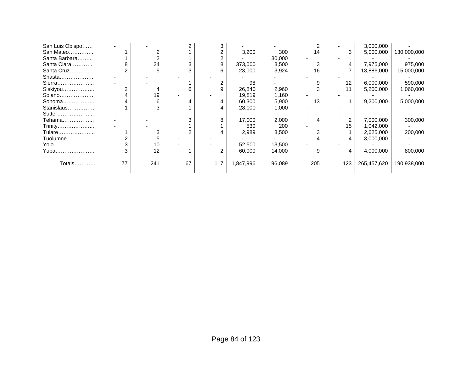| San Luis Obispo |    |     |    |     |           |         |     |     | 3,000,000   |             |
|-----------------|----|-----|----|-----|-----------|---------|-----|-----|-------------|-------------|
| San Mateo       |    |     |    |     | 3,200     | 300     | 14  | 3   | 5,000,000   | 130,000,000 |
| Santa Barbara   |    |     |    |     |           | 30,000  |     |     |             |             |
| Santa Clara     |    | 24  |    |     | 373,000   | 3,500   |     |     | 7,975,000   | 975,000     |
| Santa Cruz      |    | 5   |    |     | 23,000    | 3,924   | 16  |     | 13,886,000  | 15,000,000  |
| Shasta          |    |     |    |     |           |         |     |     |             |             |
| Sierra          |    |     |    |     | 98        |         |     | 12  | 6,000,000   | 590,000     |
| Siskiyou        |    | 4   | ค  |     | 26,840    | 2,960   |     |     | 5,200,000   | 1,060,000   |
| Solano          |    | 19  |    |     | 19,819    | 1,160   |     |     |             |             |
| Sonoma          |    | 6   |    |     | 60,300    | 5,900   | 13  |     | 9,200,000   | 5,000,000   |
| Stanislaus      |    |     |    |     | 28,000    | 1,000   |     |     |             |             |
| Sutter          |    |     |    |     |           |         |     |     |             |             |
| Tehama          |    |     |    |     | 17,000    | 2,000   |     |     | 7,000,000   | 300,000     |
| Trinity         |    |     |    |     | 530       | 200     |     | 15  | 1,042,000   |             |
| Tulare          |    |     |    |     | 2,989     | 3,500   |     |     | 2,625,000   | 200,000     |
| Tuolumne        |    |     |    |     |           |         |     | 4   | 3,000,000   |             |
| Yolo……………………    |    | 10  |    |     | 52,500    | 13,500  |     |     |             |             |
| Yuba            |    | 12  |    |     | 60,000    | 14,000  |     |     | 4,000,000   | 800,000     |
|                 |    |     |    |     |           |         |     |     |             |             |
| Totals…………      | 77 | 241 | 67 | 117 | 1,847,996 | 196,089 | 205 | 123 | 265,457,620 | 190,938,000 |
|                 |    |     |    |     |           |         |     |     |             |             |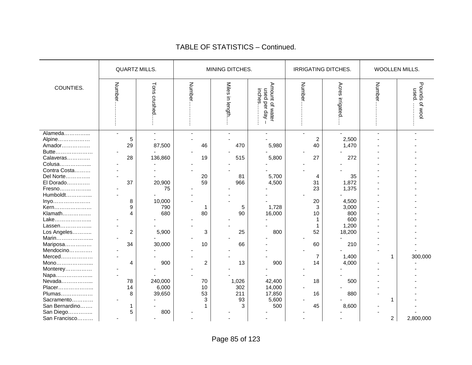|                | <b>QUARTZ MILLS.</b> |                 |                | MINING DITCHES. |                                             | IRRIGATING DITCHES. |                    | WOOLLEN MILLS. |                        |  |
|----------------|----------------------|-----------------|----------------|-----------------|---------------------------------------------|---------------------|--------------------|----------------|------------------------|--|
| COUNTIES.      | Numbe                | Tons<br>crushed | Numb<br>Ō      | Miles in length | Amount of water<br>used per day -<br>inches | Number              | Acres<br>irrigated | Numbe          | Pounds of wool<br>pesn |  |
| Alameda        | $\overline{a}$       | $\sim$          |                | $\overline{a}$  |                                             | $\overline{a}$      |                    |                |                        |  |
| Alpine         | 5                    |                 |                |                 |                                             | 2                   | 2,500              |                |                        |  |
| Amador         | 29                   | 87,500          | 46             | 470             | 5,980                                       | 40                  | 1,470              |                |                        |  |
| Butte          |                      |                 |                |                 |                                             |                     |                    |                |                        |  |
| Calaveras      | 28                   | 136,860         | 19             | 515             | 5,800                                       | 27                  | 272                |                |                        |  |
| Colusa         |                      |                 |                |                 |                                             |                     |                    |                |                        |  |
| Contra Costa   |                      |                 |                |                 |                                             |                     |                    |                |                        |  |
| Del Norte      |                      |                 | 20             | 81              | 5,700                                       | 4                   | 35                 |                |                        |  |
| El Dorado      | 37                   | 20,900          | 59             | 966             | 4,500                                       | 31                  | 1,872              |                |                        |  |
| Fresno         |                      | 75              |                |                 |                                             | 23                  | 1,375              |                |                        |  |
| Humboldt       |                      |                 |                |                 |                                             |                     |                    |                |                        |  |
| Inyo           | 8                    | 10,000          |                |                 |                                             | 20                  | 4,500              |                |                        |  |
| Kern           | 9                    | 790             |                | 5               | 1,728                                       | 3                   | 3,000              |                |                        |  |
| Klamath        | 4                    | 680             | 80             | 90              | 16,000                                      | 10                  | 800                |                |                        |  |
| Lake           |                      |                 |                |                 |                                             |                     | 600                |                |                        |  |
| Lassen         |                      |                 |                |                 |                                             |                     | 1,200              |                |                        |  |
| Los Angeles    | $\overline{c}$       | 5,900           | 3              | 25              | 800                                         | 52                  | 18,200             |                |                        |  |
| Marin          |                      |                 |                |                 |                                             |                     |                    |                |                        |  |
| Mariposa       | 34                   | 30,000          | 10             | 66              |                                             | 60                  | 210                |                |                        |  |
| Mendocino      |                      |                 |                |                 |                                             |                     |                    |                |                        |  |
| Merced         |                      |                 |                |                 |                                             | 7                   | 1,400              | 1              | 300,000                |  |
| Mono           | 4                    | 900             | $\overline{c}$ | 13              | 900                                         | 14                  | 4,000              |                |                        |  |
| Monterey       |                      |                 |                |                 |                                             |                     |                    |                |                        |  |
| Napa           |                      |                 |                |                 |                                             |                     |                    |                |                        |  |
| Nevada         | 78                   | 240,000         | 70             | 1,026           | 42,400                                      | 18                  | 500                |                |                        |  |
| Placer         | 14                   | 6,000           | 10             | 302             | 14,000                                      |                     |                    |                |                        |  |
| Plumas         | 8                    | 39,650          | 53             | 211             | 17,850                                      | 16                  | 880                |                |                        |  |
| Sacramento     |                      |                 | 3              | 93              | 5,600                                       |                     |                    |                |                        |  |
| San Bernardino |                      |                 |                | 3               | 500                                         | 45                  | 8,600              |                |                        |  |
| San Diego      | 5                    | 800             |                |                 |                                             |                     |                    |                |                        |  |
| San Francisco  |                      |                 |                |                 |                                             |                     |                    | $\overline{2}$ | 2,800,000              |  |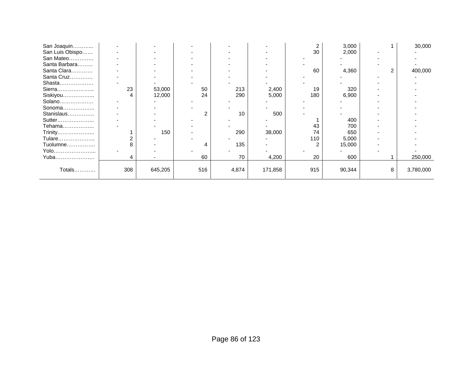| San Joaquin     |     |         |     |       |         |     | 3,000  | 30,000    |
|-----------------|-----|---------|-----|-------|---------|-----|--------|-----------|
| San Luis Obispo |     |         |     |       |         | 30  | 2,000  |           |
| San Mateo       |     |         |     |       |         |     |        |           |
| Santa Barbara   |     |         |     |       |         |     |        |           |
| Santa Clara     |     |         |     |       |         | 60  | 4,360  | 400,000   |
| Santa Cruz      |     |         |     |       |         |     |        |           |
| Shasta          |     |         |     |       |         |     |        |           |
| Sierra          | 23  | 53,000  | 50  | 213   | 2,400   | 19  | 320    |           |
| Siskiyou        | 4   | 12,000  | 24  | 290   | 5,000   | 180 | 6,900  |           |
| Solano          |     |         |     |       |         |     |        |           |
| Sonoma          |     |         |     |       |         |     |        |           |
| Stanislaus      |     |         |     | 10    | 500     |     |        |           |
| Sutter          |     |         |     |       |         |     | 400    |           |
| Tehama          |     |         |     |       |         | 43  | 700    |           |
| Trinity         |     | 150     |     | 290   | 38,000  | 74  | 650    |           |
| Tulare          |     |         |     |       |         | 110 | 5,000  |           |
| Tuolumne        |     |         |     | 135   |         |     | 15,000 |           |
| Yolo……………………    |     |         |     |       |         |     |        |           |
| Yuba……………………    |     |         | 60  | 70    | 4,200   | 20  | 600    | 250,000   |
|                 |     |         |     |       |         |     |        |           |
| Totals          | 308 | 645,205 | 516 | 4,874 | 171,858 | 915 | 90,344 | 3,780,000 |
|                 |     |         |     |       |         |     |        |           |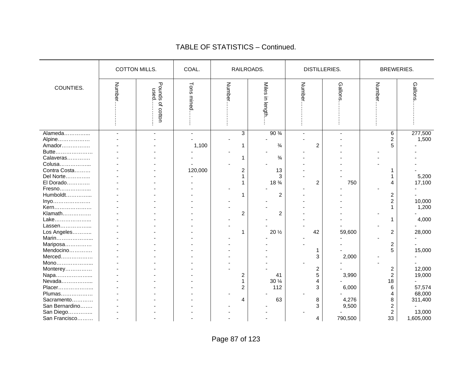|                | <b>COTTON MILLS.</b> |                          | COAL.         |                | RAILROADS.                | <b>DISTILLERIES.</b> |         | <b>BREWERIES.</b>       |           |
|----------------|----------------------|--------------------------|---------------|----------------|---------------------------|----------------------|---------|-------------------------|-----------|
| COUNTIES.      | Numbe                | Pounds of cotton<br>nsed | Tons<br>mined | Numb<br>ō      | <b>Miles</b><br>in length | Numbe                | Gallons | Numbe                   | Gallons   |
| Alameda        |                      |                          |               | 3              | 90 %                      |                      |         | 6                       | 277,500   |
| Alpine         |                      |                          |               |                |                           |                      |         | 2                       | 1,500     |
| Amador         |                      |                          | 1,100         | 1              | $\frac{3}{4}$             | 2                    |         | 5                       |           |
| Butte          |                      |                          |               |                |                           |                      |         |                         |           |
| Calaveras      |                      |                          |               |                | $\frac{3}{4}$             |                      |         |                         |           |
| Colusa         |                      |                          |               |                |                           |                      |         |                         |           |
| Contra Costa   |                      |                          | 120,000       | 2              | 13                        |                      |         |                         |           |
| Del Norte      |                      |                          |               | 1              | 3                         |                      |         |                         | 5,200     |
| El Dorado      |                      |                          |               |                | 18 %                      | $\overline{2}$       | 750     | 4                       | 17,100    |
| Fresno         |                      |                          |               |                |                           |                      |         |                         |           |
| Humboldt       |                      |                          |               | 1              | $\overline{c}$            |                      |         | $\overline{\mathbf{c}}$ |           |
| Inyo           |                      |                          |               |                |                           |                      |         | $\overline{c}$          | 10,000    |
| Kern           |                      |                          |               |                |                           |                      |         |                         | 1,200     |
| Klamath        |                      |                          |               | $\overline{c}$ | 2                         |                      |         |                         |           |
| Lake           |                      |                          |               |                |                           |                      |         | 1                       | 4,000     |
| Lassen         |                      |                          |               |                |                           |                      |         |                         |           |
| Los Angeles    |                      |                          |               | 1              | 20 $\frac{1}{2}$          | 42                   | 59,600  | 2                       | 28,000    |
| Marin          |                      |                          |               |                |                           |                      |         |                         |           |
| Mariposa       |                      |                          |               |                |                           |                      |         | $\overline{c}$          |           |
| Mendocino      |                      |                          |               |                |                           |                      |         | 5                       | 15,000    |
| Merced         |                      |                          |               |                |                           | 3                    | 2,000   |                         |           |
|                |                      |                          |               |                |                           |                      |         |                         |           |
| Mono           |                      |                          |               |                |                           |                      |         |                         | 12,000    |
| Monterey       |                      |                          |               |                |                           | 2<br>5               | 3,990   | 2<br>$\overline{c}$     | 19,000    |
| Napa           |                      |                          |               | 2              | 41                        |                      |         |                         |           |
| Nevada         |                      |                          |               | 1              | 30 $\frac{1}{4}$          | 4                    |         | 18                      |           |
| Placer         |                      |                          |               | 2              | 112                       | 3                    | 6,000   | 6                       | 57,574    |
| Plumas         |                      |                          |               |                |                           |                      |         | 4                       | 68,000    |
| Sacramento     |                      |                          |               | 4              | 63                        | 8                    | 4,276   | 8                       | 311,400   |
| San Bernardino |                      |                          |               |                |                           | 3                    | 9,500   | 2                       |           |
| San Diego      |                      |                          |               |                |                           |                      |         | $\overline{c}$          | 13,000    |
| San Francisco  | ٠                    |                          |               |                |                           | 4                    | 790,500 | 33                      | 1,605,000 |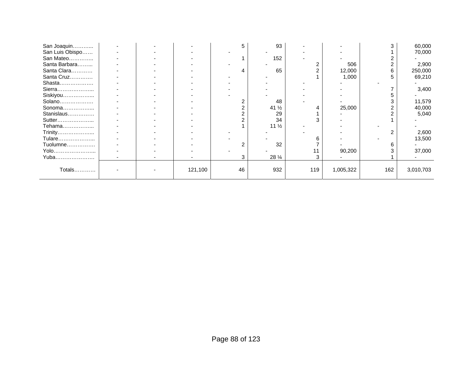| San Joaquin     |  |         |    | 93               |     |           |     | 60,000    |
|-----------------|--|---------|----|------------------|-----|-----------|-----|-----------|
| San Luis Obispo |  |         |    |                  |     |           |     | 70,000    |
| San Mateo       |  |         |    | 152              |     |           |     |           |
| Santa Barbara   |  |         |    |                  |     | 506       |     | 2,900     |
| Santa Clara     |  |         |    | 65               |     | 12,000    |     | 250,000   |
| Santa Cruz      |  |         |    |                  |     | 1,000     |     | 69,210    |
| Shasta          |  |         |    |                  |     |           |     |           |
| Sierra          |  |         |    |                  |     |           |     | 3,400     |
| Siskiyou        |  |         |    |                  |     |           |     |           |
| Solano          |  |         |    | 48               |     |           |     | 11,579    |
| Sonoma          |  |         |    | 41 $\frac{1}{2}$ |     | 25,000    |     | 40,000    |
| Stanislaus      |  |         |    | 29               |     |           |     | 5,040     |
| Sutter          |  |         |    | 34               |     |           |     |           |
| Tehama          |  |         |    | 11 $\frac{1}{2}$ |     |           |     |           |
| Trinity         |  |         |    |                  |     |           |     | 2,600     |
| Tulare          |  |         |    |                  |     |           |     | 13,500    |
| Tuolumne        |  |         |    | 32               |     |           |     |           |
| Yolo            |  |         |    |                  |     | 90,200    |     | 37,000    |
| Yuba            |  |         |    | 28 $\frac{1}{4}$ |     |           |     |           |
| Totals          |  | 121,100 | 46 | 932              | 119 | 1,005,322 | 162 | 3,010,703 |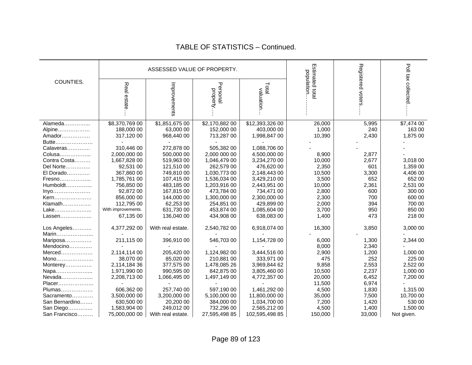|                     |                    | ASSESSED VALUE OF PROPERTY. |                      |                    |                               |                   |                    |
|---------------------|--------------------|-----------------------------|----------------------|--------------------|-------------------------------|-------------------|--------------------|
| COUNTIES.           | Real estate        | Improvements                | Personal<br>property | Total<br>valuation | Estimated total<br>population | Registered voters | Poll tax collected |
| Alameda             | \$8,370,769 00     | \$1,851,675 00              | \$2,170,882 00       | \$12,393,326 00    | 26,000                        | 5,995             | \$7,474 00         |
| Alpine              | 188,000 00         | 63,000 00                   | 152,000 00           | 403,000 00         | 1,000                         | 240               | 163 00             |
| Amador              | 317,120 00         | 968,440 00                  | 713,287 00           | 1,998,847 00       | 10,390                        | 2,430             | 1,875 00           |
| Butte               |                    |                             |                      |                    |                               |                   |                    |
| Calaveras           | 310,446 00         | 272,878 00                  | 505,382 00           | 1,088,706 00       |                               |                   |                    |
| Colusa              | 2,000,000 00       | 500,000 00                  | 2.000 000 00         | 4,500,000 00       | 8,900                         | 2,877             |                    |
| Contra Costa        | 1,667,828 00       | 519,963 00                  | 1,046,479 00         | 3,234,270 00       | 10,000                        | 2,677             | 3,018 00           |
| Del Norte           | 92,531 00          | 121,510 00                  | 262,579 00           | 476,620 00         | 2,350                         | 601               | 1,359 00           |
| El Dorado           | 367,860 00         | 749,810 00                  | 1,030,773 00         | 2,148,443 00       | 10,500                        | 3,300             | 4,406 00           |
| Fresno              | 1,785,761 00       | 107,415 00                  | 1,536,034 00         | 3,429,210 00       | 3,500                         | 652               | 652 00             |
| Humboldt            | 756,850 00         | 483,185 00                  | 1,203,916 00         | 2,443,951 00       | 10,000                        | 2,361             | 2,531 00           |
| Inyo                | 92,872 00          | 167,815 00                  | 473,784 00           | 734,471 00         | 2,800                         | 600               | 300 00             |
| Kern                | 856,000 00         | 144,000 00                  | 1,300,000 00         | 2,300,000 00       | 2,300                         | 700               | 600 00             |
| Klamath             | 112,795 00         | 62,253 00                   | 254,851 00           | 429,899 00         | 2,000                         | 394               | 700 00             |
| Lake                | With improvements. | 631,730 00                  | 453,874 00           | 1,085,604 00       | 3,700                         | 950               | 850 00             |
| Lassen              | 67,135 00          | 136,040 00                  | 434,908 00           | 638,083 00         | 1,400                         | 473               | 218 00             |
| Los Angeles         | 4,377,292 00       | With real estate.           | 2,540,782 00         | 6,918,074 00       | 16,300                        | 3,850             | 3,000 00           |
| Marin               |                    | 396,910 00                  | 546,703 00           | 1,154,728 00       |                               |                   | 2,344 00           |
| Mariposa            | 211,115 00         |                             |                      |                    | 6,000<br>8,000                | 1,300<br>2,340    |                    |
| Mendocino<br>Merced | 2,114,114 00       | 205,420 00                  | 1,124,982 00         | 3,444,516 00       | 2,900                         | 1,200             | 1,000 00           |
| Mono                | 38,070 00          | 85,020 00                   | 210,881 00           | 333,971 00         | 475                           | 252               | 225 00             |
| Monterey            | 2,114,184 36       | 377,575 00                  | 1,478,085 26         | 3,969,844 62       | 9,858                         | 2,553             | 2,522 00           |
| Napa                | 1,971,990 00       | 990,595 00                  | 842,875 00           | 3,805,460 00       | 10,500                        | 2,237             | 1,000 00           |
| Nevada              | 2,208,713 00       | 1,066,495 00                | 1,497,149 00         | 4,772,357 00       | 20,000                        | 6,452             | 7,200 00           |
| Placer              |                    |                             |                      |                    | 11,500                        | 6,974             |                    |
| Plumas              | 606,362 00         | 257,740 00                  | 597,190 00           | 1,461,292 00       | 4,500                         | 1,830             | 1,315 00           |
| Sacramento          | 3,500,000 00       | 3,200,000 00                | 5,100,000 00         | 11,800,000 00      | 35,000                        | 7,500             | 10,700 00          |
| San Bernardino      | 630.500 00         | 20,200 00                   | 384,000 00           | 1,034,700 00       | 7,200                         | 1,420             | 530 00             |
| San Diego           | 1,583,904 00       | 249,012 00                  | 732,296 00           | 2,565,212 00       | 4,500                         | 1,400             | 1,500 00           |
| San Francisco       | 75,000,000 00      | With real estate.           | 27,595,498 85        | 102,595,498 85     | 150,000                       | 33,000            | Not given.         |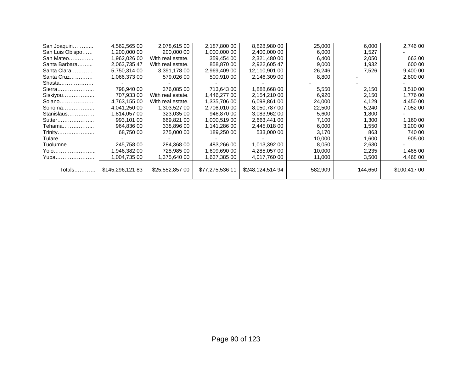| San Joaquin     | 4,562,565 00    | 2,078,615 00      | 2,187,800 00    | 8,828,980 00     | 25,000  | 6,000   | 2,746 00     |
|-----------------|-----------------|-------------------|-----------------|------------------|---------|---------|--------------|
| San Luis Obispo | 1,200,000 00    | 200,000 00        | 1,000,000 00    | 2,400,000 00     | 6,000   | 1,527   |              |
| San Mateo       | 1,962,026 00    | With real estate. | 359,454 00      | 2,321,480 00     | 6,400   | 2,050   | 663 00       |
| Santa Barbara   | 2,063,735 47    | With real estate. | 858,870 00      | 2,922,605 47     | 9,000   | 1,932   | 600 00       |
| Santa Clara     | 5,750,314 00    | 3,391,178 00      | 2,969,409 00    | 12,110,901 00    | 26,246  | 7,526   | 9,400 00     |
| Santa Cruz      | 1,066,373 00    | 579,026 00        | 500,910 00      | 2,146,309 00     | 8,800   |         | 2,800 00     |
| Shasta          |                 |                   |                 |                  |         |         |              |
| Sierra          | 798,940 00      | 376,085 00        | 713,643 00      | 1,888,668 00     | 5,550   | 2,150   | 3,510 00     |
| Siskiyou        | 707,933 00      | With real estate. | 1.446.277 00    | 2,154,210 00     | 6,920   | 2,150   | 1,776 00     |
| Solano          | 4.763.155 00    | With real estate. | 1.335.706 00    | 6,098,861 00     | 24,000  | 4,129   | 4,450 00     |
| Sonoma          | 4,041,250 00    | 1,303,527 00      | 2,706,010 00    | 8,050,787 00     | 22,500  | 5,240   | 7,052 00     |
| Stanislaus      | 1,814,057 00    | 323,035 00        | 946.870 00      | 3,083,962 00     | 5,600   | 1,800   |              |
| Sutter          | 993.101 00      | 669.821 00        | 1,000,519 00    | 2,663,441 00     | 7,100   | 1,300   | 1,160 00     |
| Tehama          | 964,836 00      | 338,896 00        | 1,141,286 00    | 2,445,018 00     | 6,000   | 1,550   | 3,200 00     |
| Trinity         | 68.750 00       | 275,000 00        | 189,250 00      | 533,000 00       | 3,170   | 863     | 740 00       |
| Tulare          |                 |                   |                 |                  | 10,000  | 1,600   | 905 00       |
| Tuolumne        | 245,758 00      | 284,368 00        | 483,266 00      | 1,013,392 00     | 8,050   | 2,630   |              |
| Yolo            | 1.946.382 00    | 728.985 00        | 1,609,690 00    | 4,285,057 00     | 10,000  | 2,235   | 1,465 00     |
| Yuba            | 1.004.735 00    | .375,640 00       | 1,637,385 00    | 4,017,760 00     | 11,000  | 3,500   | 4,468 00     |
| Totals          | \$145,296,12183 | \$25,552,857 00   | \$77,275,536 11 | \$248,124,514 94 | 582,909 | 144,650 | \$100,417 00 |
|                 |                 |                   |                 |                  |         |         |              |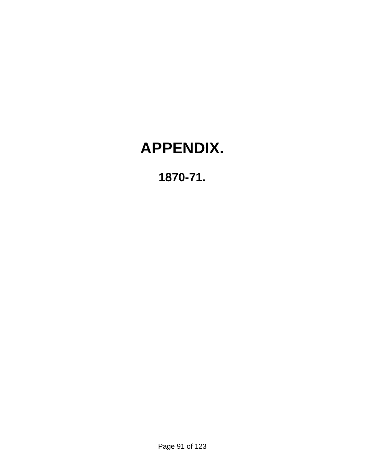# **APPENDIX.**

## **1870-71.**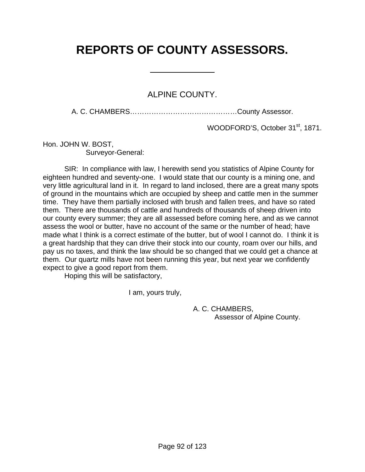## **REPORTS OF COUNTY ASSESSORS.**

 $\overline{a}$ 

ALPINE COUNTY.

A. C. CHAMBERS………………………………………County Assessor.

WOODFORD'S, October 31<sup>st</sup>, 1871.

Hon. JOHN W. BOST, Surveyor-General:

 SIR: In compliance with law, I herewith send you statistics of Alpine County for eighteen hundred and seventy-one. I would state that our county is a mining one, and very little agricultural land in it. In regard to land inclosed, there are a great many spots of ground in the mountains which are occupied by sheep and cattle men in the summer time. They have them partially inclosed with brush and fallen trees, and have so rated them. There are thousands of cattle and hundreds of thousands of sheep driven into our county every summer; they are all assessed before coming here, and as we cannot assess the wool or butter, have no account of the same or the number of head; have made what I think is a correct estimate of the butter, but of wool I cannot do. I think it is a great hardship that they can drive their stock into our county, roam over our hills, and pay us no taxes, and think the law should be so changed that we could get a chance at them. Our quartz mills have not been running this year, but next year we confidently expect to give a good report from them.

Hoping this will be satisfactory,

I am, yours truly,

 A. C. CHAMBERS, Assessor of Alpine County.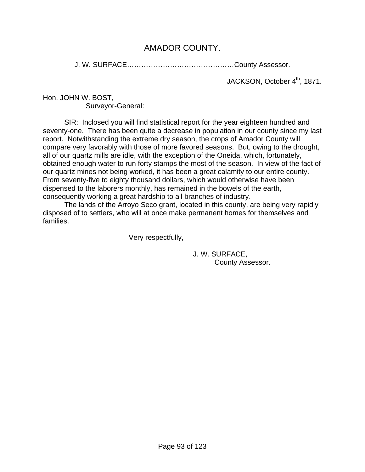## AMADOR COUNTY.

J. W. SURFACE………………………………………County Assessor.

JACKSON, October 4<sup>th</sup>, 1871.

Hon. JOHN W. BOST, Surveyor-General:

 SIR: Inclosed you will find statistical report for the year eighteen hundred and seventy-one. There has been quite a decrease in population in our county since my last report. Notwithstanding the extreme dry season, the crops of Amador County will compare very favorably with those of more favored seasons. But, owing to the drought, all of our quartz mills are idle, with the exception of the Oneida, which, fortunately, obtained enough water to run forty stamps the most of the season. In view of the fact of our quartz mines not being worked, it has been a great calamity to our entire county. From seventy-five to eighty thousand dollars, which would otherwise have been dispensed to the laborers monthly, has remained in the bowels of the earth, consequently working a great hardship to all branches of industry.

 The lands of the Arroyo Seco grant, located in this county, are being very rapidly disposed of to settlers, who will at once make permanent homes for themselves and families.

Very respectfully,

 J. W. SURFACE, County Assessor.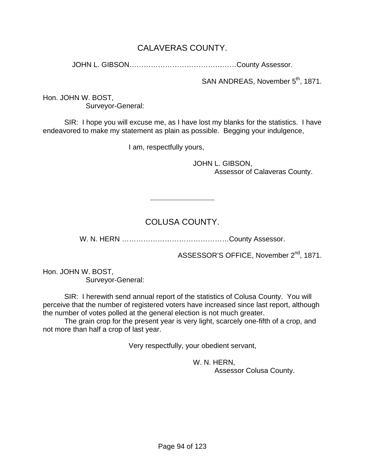## CALAVERAS COUNTY.

JOHN L. GIBSON………………………………………County Assessor.

SAN ANDREAS, November 5<sup>th</sup>, 1871.

Hon. JOHN W. BOST, Surveyor-General:

 SIR: I hope you will excuse me, as I have lost my blanks for the statistics. I have endeavored to make my statement as plain as possible. Begging your indulgence,

I am, respectfully yours,

 $\overline{a}$ 

 JOHN L. GIBSON, Assessor of Calaveras County.

## COLUSA COUNTY.

W. N. HERN ………………………………………County Assessor.

ASSESSOR'S OFFICE, November 2<sup>nd</sup>, 1871.

Hon. JOHN W. BOST, Surveyor-General:

 SIR: I herewith send annual report of the statistics of Colusa County. You will perceive that the number of registered voters have increased since last report, although the number of votes polled at the general election is not much greater.

 The grain crop for the present year is very light, scarcely one-fifth of a crop, and not more than half a crop of last year.

Very respectfully, your obedient servant,

 W. N. HERN, Assessor Colusa County.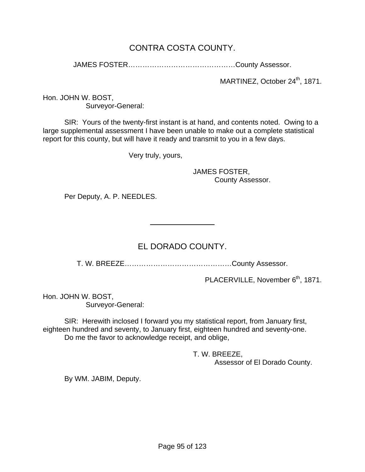## CONTRA COSTA COUNTY.

JAMES FOSTER………………………………………County Assessor.

MARTINEZ, October 24<sup>th</sup>, 1871.

Hon. JOHN W. BOST, Surveyor-General:

 SIR: Yours of the twenty-first instant is at hand, and contents noted. Owing to a large supplemental assessment I have been unable to make out a complete statistical report for this county, but will have it ready and transmit to you in a few days.

Very truly, yours,

 $\overline{a}$ 

 JAMES FOSTER, County Assessor.

Per Deputy, A. P. NEEDLES.

## EL DORADO COUNTY.

T. W. BREEZE………………………………………County Assessor.

PLACERVILLE, November 6<sup>th</sup>, 1871.

Hon. JOHN W. BOST, Surveyor-General:

 SIR: Herewith inclosed I forward you my statistical report, from January first, eighteen hundred and seventy, to January first, eighteen hundred and seventy-one. Do me the favor to acknowledge receipt, and oblige,

> T. W. BREEZE, Assessor of El Dorado County.

By WM. JABIM, Deputy.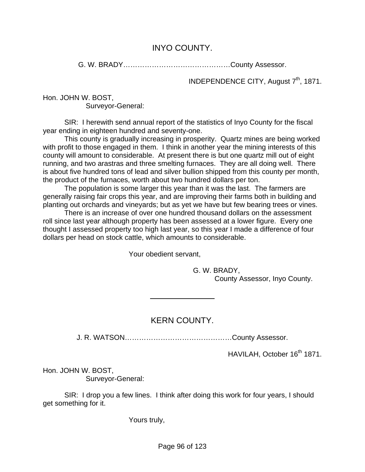## INYO COUNTY.

G. W. BRADY………………………………………County Assessor.

INDEPENDENCE CITY, August 7<sup>th</sup>, 1871.

Hon. JOHN W. BOST,

Surveyor-General:

 SIR: I herewith send annual report of the statistics of Inyo County for the fiscal year ending in eighteen hundred and seventy-one.

 This county is gradually increasing in prosperity. Quartz mines are being worked with profit to those engaged in them. I think in another year the mining interests of this county will amount to considerable. At present there is but one quartz mill out of eight running, and two arastras and three smelting furnaces. They are all doing well. There is about five hundred tons of lead and silver bullion shipped from this county per month, the product of the furnaces, worth about two hundred dollars per ton.

 The population is some larger this year than it was the last. The farmers are generally raising fair crops this year, and are improving their farms both in building and planting out orchards and vineyards; but as yet we have but few bearing trees or vines.

 There is an increase of over one hundred thousand dollars on the assessment roll since last year although property has been assessed at a lower figure. Every one thought I assessed property too high last year, so this year I made a difference of four dollars per head on stock cattle, which amounts to considerable.

Your obedient servant,

l

 G. W. BRADY, County Assessor, Inyo County.

## KERN COUNTY.

J. R. WATSON………………………………………County Assessor.

HAVILAH, October 16<sup>th</sup> 1871.

Hon. JOHN W. BOST, Surveyor-General:

 SIR: I drop you a few lines. I think after doing this work for four years, I should get something for it.

Yours truly,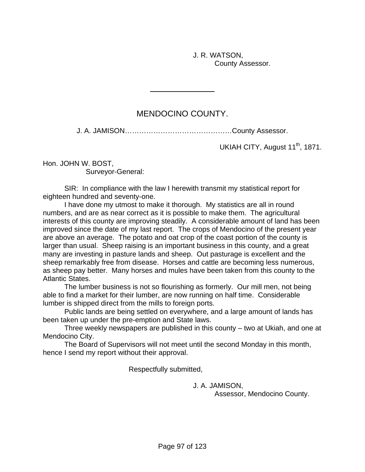J. R. WATSON, County Assessor.

## MENDOCINO COUNTY.

l

J. A. JAMISON………………………………………County Assessor.

UKIAH CITY, August 11<sup>th</sup>, 1871.

Hon. JOHN W. BOST,

Surveyor-General:

 SIR: In compliance with the law I herewith transmit my statistical report for eighteen hundred and seventy-one.

 I have done my utmost to make it thorough. My statistics are all in round numbers, and are as near correct as it is possible to make them. The agricultural interests of this county are improving steadily. A considerable amount of land has been improved since the date of my last report. The crops of Mendocino of the present year are above an average. The potato and oat crop of the coast portion of the county is larger than usual. Sheep raising is an important business in this county, and a great many are investing in pasture lands and sheep. Out pasturage is excellent and the sheep remarkably free from disease. Horses and cattle are becoming less numerous, as sheep pay better. Many horses and mules have been taken from this county to the Atlantic States.

 The lumber business is not so flourishing as formerly. Our mill men, not being able to find a market for their lumber, are now running on half time. Considerable lumber is shipped direct from the mills to foreign ports.

 Public lands are being settled on everywhere, and a large amount of lands has been taken up under the pre-emption and State laws.

 Three weekly newspapers are published in this county – two at Ukiah, and one at Mendocino City.

 The Board of Supervisors will not meet until the second Monday in this month, hence I send my report without their approval.

Respectfully submitted,

J. A. JAMISON,

Assessor, Mendocino County.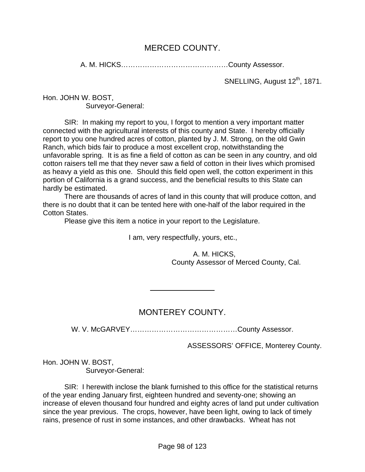#### MERCED COUNTY.

A. M. HICKS………………………………………County Assessor.

SNELLING, August 12<sup>th</sup>, 1871.

Hon. JOHN W. BOST, Surveyor-General:

 SIR: In making my report to you, I forgot to mention a very important matter connected with the agricultural interests of this county and State. I hereby officially report to you one hundred acres of cotton, planted by J. M. Strong, on the old Gwin Ranch, which bids fair to produce a most excellent crop, notwithstanding the unfavorable spring. It is as fine a field of cotton as can be seen in any country, and old cotton raisers tell me that they never saw a field of cotton in their lives which promised as heavy a yield as this one. Should this field open well, the cotton experiment in this portion of California is a grand success, and the beneficial results to this State can hardly be estimated.

 There are thousands of acres of land in this county that will produce cotton, and there is no doubt that it can be tented here with one-half of the labor required in the Cotton States.

Please give this item a notice in your report to the Legislature.

 $\overline{a}$ 

I am, very respectfully, yours, etc.,

 A. M. HICKS, County Assessor of Merced County, Cal.

## MONTEREY COUNTY.

W. V. McGARVEY………………………………………County Assessor.

ASSESSORS' OFFICE, Monterey County.

Hon. JOHN W. BOST, Surveyor-General:

 SIR: I herewith inclose the blank furnished to this office for the statistical returns of the year ending January first, eighteen hundred and seventy-one; showing an increase of eleven thousand four hundred and eighty acres of land put under cultivation since the year previous. The crops, however, have been light, owing to lack of timely rains, presence of rust in some instances, and other drawbacks. Wheat has not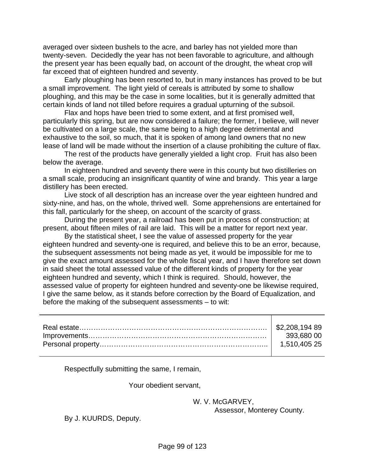averaged over sixteen bushels to the acre, and barley has not yielded more than twenty-seven. Decidedly the year has not been favorable to agriculture, and although the present year has been equally bad, on account of the drought, the wheat crop will far exceed that of eighteen hundred and seventy.

 Early ploughing has been resorted to, but in many instances has proved to be but a small improvement. The light yield of cereals is attributed by some to shallow ploughing, and this may be the case in some localities, but it is generally admitted that certain kinds of land not tilled before requires a gradual upturning of the subsoil.

 Flax and hops have been tried to some extent, and at first promised well, particularly this spring, but are now considered a failure; the former, I believe, will never be cultivated on a large scale, the same being to a high degree detrimental and exhaustive to the soil, so much, that it is spoken of among land owners that no new lease of land will be made without the insertion of a clause prohibiting the culture of flax.

 The rest of the products have generally yielded a light crop. Fruit has also been below the average.

 In eighteen hundred and seventy there were in this county but two distilleries on a small scale, producing an insignificant quantity of wine and brandy. This year a large distillery has been erected.

 Live stock of all description has an increase over the year eighteen hundred and sixty-nine, and has, on the whole, thrived well. Some apprehensions are entertained for this fall, particularly for the sheep, on account of the scarcity of grass.

 During the present year, a railroad has been put in process of construction; at present, about fifteen miles of rail are laid. This will be a matter for report next year.

 By the statistical sheet, I see the value of assessed property for the year eighteen hundred and seventy-one is required, and believe this to be an error, because, the subsequent assessments not being made as yet, it would be impossible for me to give the exact amount assessed for the whole fiscal year, and I have therefore set down in said sheet the total assessed value of the different kinds of property for the year eighteen hundred and seventy, which I think is required. Should, however, the assessed value of property for eighteen hundred and seventy-one be likewise required, I give the same below, as it stands before correction by the Board of Equalization, and before the making of the subsequent assessments – to wit:

| $-393,68000$ |
|--------------|
| 1.510.405 25 |
|              |

Respectfully submitting the same, I remain,

Your obedient servant,

W. V. McGARVEY,

Assessor, Monterey County.

By J. KUURDS, Deputy.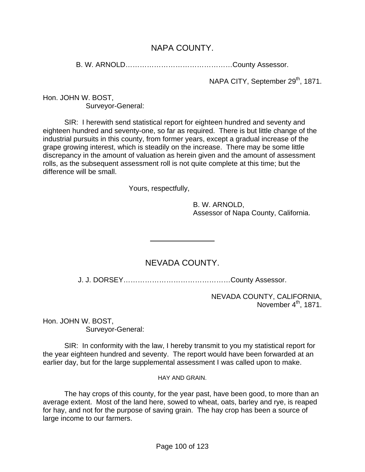## NAPA COUNTY.

B. W. ARNOLD………………………………………County Assessor.

NAPA CITY, September 29<sup>th</sup>, 1871.

Hon. JOHN W. BOST, Surveyor-General:

 SIR: I herewith send statistical report for eighteen hundred and seventy and eighteen hundred and seventy-one, so far as required. There is but little change of the industrial pursuits in this county, from former years, except a gradual increase of the grape growing interest, which is steadily on the increase. There may be some little discrepancy in the amount of valuation as herein given and the amount of assessment rolls, as the subsequent assessment roll is not quite complete at this time; but the difference will be small.

Yours, respectfully,

 $\overline{a}$ 

 B. W. ARNOLD, Assessor of Napa County, California.

## NEVADA COUNTY.

J. J. DORSEY………………………………………County Assessor.

NEVADA COUNTY, CALIFORNIA, November  $4<sup>th</sup>$ , 1871.

Hon. JOHN W. BOST, Surveyor-General:

 SIR: In conformity with the law, I hereby transmit to you my statistical report for the year eighteen hundred and seventy. The report would have been forwarded at an earlier day, but for the large supplemental assessment I was called upon to make.

HAY AND GRAIN.

 The hay crops of this county, for the year past, have been good, to more than an average extent. Most of the land here, sowed to wheat, oats, barley and rye, is reaped for hay, and not for the purpose of saving grain. The hay crop has been a source of large income to our farmers.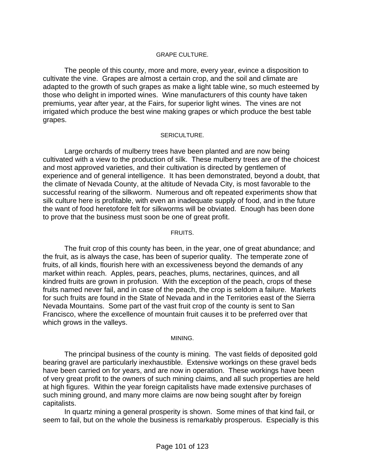#### GRAPE CULTURE.

 The people of this county, more and more, every year, evince a disposition to cultivate the vine. Grapes are almost a certain crop, and the soil and climate are adapted to the growth of such grapes as make a light table wine, so much esteemed by those who delight in imported wines. Wine manufacturers of this county have taken premiums, year after year, at the Fairs, for superior light wines. The vines are not irrigated which produce the best wine making grapes or which produce the best table grapes.

#### SERICULTURE.

 Large orchards of mulberry trees have been planted and are now being cultivated with a view to the production of silk. These mulberry trees are of the choicest and most approved varieties, and their cultivation is directed by gentlemen of experience and of general intelligence. It has been demonstrated, beyond a doubt, that the climate of Nevada County, at the altitude of Nevada City, is most favorable to the successful rearing of the silkworm. Numerous and oft repeated experiments show that silk culture here is profitable, with even an inadequate supply of food, and in the future the want of food heretofore felt for silkworms will be obviated. Enough has been done to prove that the business must soon be one of great profit.

#### FRUITS.

 The fruit crop of this county has been, in the year, one of great abundance; and the fruit, as is always the case, has been of superior quality. The temperate zone of fruits, of all kinds, flourish here with an excessiveness beyond the demands of any market within reach. Apples, pears, peaches, plums, nectarines, quinces, and all kindred fruits are grown in profusion. With the exception of the peach, crops of these fruits named never fail, and in case of the peach, the crop is seldom a failure. Markets for such fruits are found in the State of Nevada and in the Territories east of the Sierra Nevada Mountains. Some part of the vast fruit crop of the county is sent to San Francisco, where the excellence of mountain fruit causes it to be preferred over that which grows in the valleys.

#### MINING.

 The principal business of the county is mining. The vast fields of deposited gold bearing gravel are particularly inexhaustible. Extensive workings on these gravel beds have been carried on for years, and are now in operation. These workings have been of very great profit to the owners of such mining claims, and all such properties are held at high figures. Within the year foreign capitalists have made extensive purchases of such mining ground, and many more claims are now being sought after by foreign capitalists.

 In quartz mining a general prosperity is shown. Some mines of that kind fail, or seem to fail, but on the whole the business is remarkably prosperous. Especially is this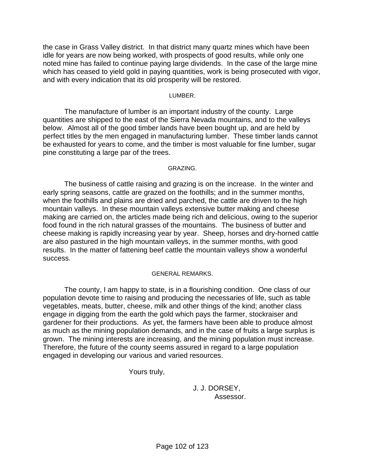the case in Grass Valley district. In that district many quartz mines which have been idle for years are now being worked, with prospects of good results, while only one noted mine has failed to continue paying large dividends. In the case of the large mine which has ceased to yield gold in paying quantities, work is being prosecuted with vigor, and with every indication that its old prosperity will be restored.

#### LUMBER.

 The manufacture of lumber is an important industry of the county. Large quantities are shipped to the east of the Sierra Nevada mountains, and to the valleys below. Almost all of the good timber lands have been bought up, and are held by perfect titles by the men engaged in manufacturing lumber. These timber lands cannot be exhausted for years to come, and the timber is most valuable for fine lumber, sugar pine constituting a large par of the trees.

#### GRAZING.

 The business of cattle raising and grazing is on the increase. In the winter and early spring seasons, cattle are grazed on the foothills; and in the summer months, when the foothills and plains are dried and parched, the cattle are driven to the high mountain valleys. In these mountain valleys extensive butter making and cheese making are carried on, the articles made being rich and delicious, owing to the superior food found in the rich natural grasses of the mountains. The business of butter and cheese making is rapidly increasing year by year. Sheep, horses and dry-horned cattle are also pastured in the high mountain valleys, in the summer months, with good results. In the matter of fattening beef cattle the mountain valleys show a wonderful success.

#### GENERAL REMARKS.

 The county, I am happy to state, is in a flourishing condition. One class of our population devote time to raising and producing the necessaries of life, such as table vegetables, meats, butter, cheese, milk and other things of the kind; another class engage in digging from the earth the gold which pays the farmer, stockraiser and gardener for their productions. As yet, the farmers have been able to produce almost as much as the mining population demands, and in the case of fruits a large surplus is grown. The mining interests are increasing, and the mining population must increase. Therefore, the future of the county seems assured in regard to a large population engaged in developing our various and varied resources.

Yours truly,

 J. J. DORSEY, Assessor.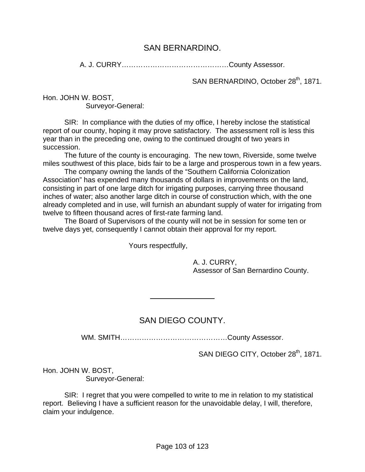#### SAN BERNARDINO.

A. J. CURRY………………………………………County Assessor.

SAN BERNARDINO, October 28<sup>th</sup>, 1871.

Hon. JOHN W. BOST, Surveyor-General:

 SIR: In compliance with the duties of my office, I hereby inclose the statistical report of our county, hoping it may prove satisfactory. The assessment roll is less this year than in the preceding one, owing to the continued drought of two years in succession.

 The future of the county is encouraging. The new town, Riverside, some twelve miles southwest of this place, bids fair to be a large and prosperous town in a few years.

 The company owning the lands of the "Southern California Colonization Association" has expended many thousands of dollars in improvements on the land, consisting in part of one large ditch for irrigating purposes, carrying three thousand inches of water; also another large ditch in course of construction which, with the one already completed and in use, will furnish an abundant supply of water for irrigating from twelve to fifteen thousand acres of first-rate farming land.

 The Board of Supervisors of the county will not be in session for some ten or twelve days yet, consequently I cannot obtain their approval for my report.

Yours respectfully,

 $\overline{a}$ 

 A. J. CURRY, Assessor of San Bernardino County.

## SAN DIEGO COUNTY.

WM. SMITH………………………………………County Assessor.

SAN DIEGO CITY, October 28<sup>th</sup>, 1871.

Hon. JOHN W. BOST, Surveyor-General:

 SIR: I regret that you were compelled to write to me in relation to my statistical report. Believing I have a sufficient reason for the unavoidable delay, I will, therefore, claim your indulgence.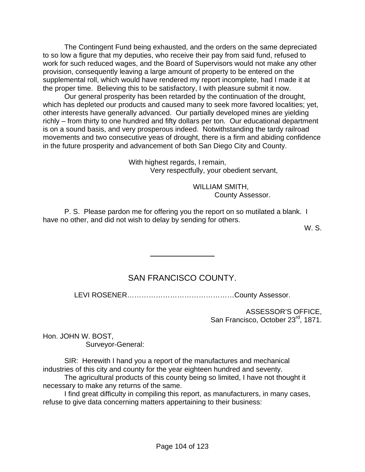The Contingent Fund being exhausted, and the orders on the same depreciated to so low a figure that my deputies, who receive their pay from said fund, refused to work for such reduced wages, and the Board of Supervisors would not make any other provision, consequently leaving a large amount of property to be entered on the supplemental roll, which would have rendered my report incomplete, had I made it at the proper time. Believing this to be satisfactory, I with pleasure submit it now.

 Our general prosperity has been retarded by the continuation of the drought, which has depleted our products and caused many to seek more favored localities; yet, other interests have generally advanced. Our partially developed mines are yielding richly – from thirty to one hundred and fifty dollars per ton. Our educational department is on a sound basis, and very prosperous indeed. Notwithstanding the tardy railroad movements and two consecutive yeas of drought, there is a firm and abiding confidence in the future prosperity and advancement of both San Diego City and County.

> With highest regards, I remain, Very respectfully, your obedient servant,

> > WILLIAM SMITH, County Assessor.

 P. S. Please pardon me for offering you the report on so mutilated a blank. I have no other, and did not wish to delay by sending for others.

l

W. S.

## SAN FRANCISCO COUNTY.

LEVI ROSENER………………………………………County Assessor.

ASSESSOR'S OFFICE, San Francisco, October 23<sup>rd</sup>, 1871.

Hon. JOHN W. BOST, Surveyor-General:

 SIR: Herewith I hand you a report of the manufactures and mechanical industries of this city and county for the year eighteen hundred and seventy.

 The agricultural products of this county being so limited, I have not thought it necessary to make any returns of the same.

 I find great difficulty in compiling this report, as manufacturers, in many cases, refuse to give data concerning matters appertaining to their business: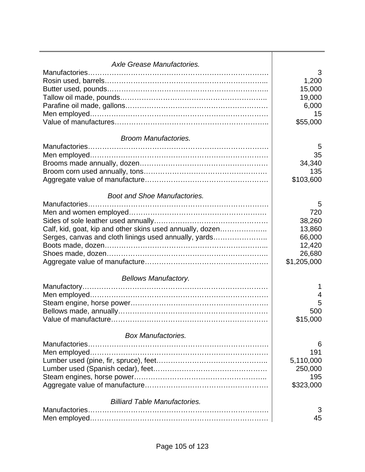| Axle Grease Manufactories.                                |                 |
|-----------------------------------------------------------|-----------------|
|                                                           | 3               |
|                                                           | 1,200<br>15,000 |
|                                                           | 19,000          |
|                                                           | 6,000           |
|                                                           | 15              |
|                                                           | \$55,000        |
|                                                           |                 |
| <b>Broom Manufactories.</b>                               |                 |
|                                                           | 5               |
|                                                           | 35              |
|                                                           | 34,340          |
|                                                           | 135             |
|                                                           | \$103,600       |
|                                                           |                 |
| <b>Boot and Shoe Manufactories.</b>                       |                 |
|                                                           | 5<br>720        |
|                                                           | 38,260          |
|                                                           |                 |
| Calf, kid, goat, kip and other skins used annually, dozen | 13,860          |
| Serges, canvas and cloth linings used annually, yards     | 66,000          |
|                                                           | 12,420          |
|                                                           | 26,680          |
|                                                           | \$1,205,000     |
| <b>Bellows Manufactory.</b>                               |                 |
|                                                           | 1               |
|                                                           | 4               |
|                                                           | 5               |
|                                                           | 500             |
| Value of manufacture                                      | \$15,000        |
|                                                           |                 |
| <b>Box Manufactories.</b>                                 |                 |
|                                                           | 6               |
|                                                           | 191             |
|                                                           | 5,110,000       |
|                                                           | 250,000         |
|                                                           | 195             |
|                                                           | \$323,000       |
| <b>Billiard Table Manufactories.</b>                      |                 |
| Manufactories.                                            | 3               |
|                                                           | 45              |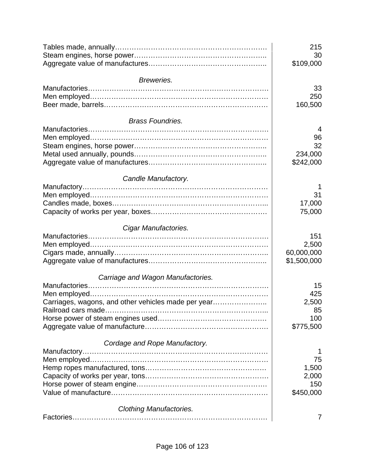|                                                     | 215<br>30<br>\$109,000 |
|-----------------------------------------------------|------------------------|
| Breweries.                                          |                        |
|                                                     | 33                     |
|                                                     | 250                    |
|                                                     | 160,500                |
|                                                     |                        |
| <b>Brass Foundries.</b>                             |                        |
|                                                     | 4                      |
|                                                     | 96                     |
|                                                     | 32                     |
|                                                     | 234,000                |
|                                                     | \$242,000              |
| Candle Manufactory.                                 |                        |
|                                                     |                        |
|                                                     | 31                     |
|                                                     | 17,000                 |
|                                                     | 75,000                 |
|                                                     |                        |
| Cigar Manufactories.                                |                        |
|                                                     | 151                    |
|                                                     | 2,500                  |
|                                                     | 60,000,000             |
|                                                     | \$1,500,000            |
| Carriage and Wagon Manufactories.                   |                        |
|                                                     | 15                     |
|                                                     | 425                    |
| Carriages, wagons, and other vehicles made per year | 2,500                  |
|                                                     | 85                     |
|                                                     | 100                    |
|                                                     | \$775,500              |
|                                                     |                        |
| Cordage and Rope Manufactory.                       |                        |
|                                                     |                        |
|                                                     | 75                     |
|                                                     | 1,500                  |
|                                                     | 2,000                  |
|                                                     | 150                    |
|                                                     | \$450,000              |
| <b>Clothing Manufactories.</b>                      |                        |
|                                                     | 7                      |
|                                                     |                        |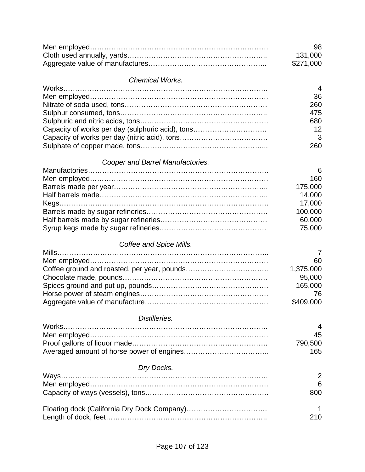|                                                  | 98<br>131,000<br>\$271,000 |
|--------------------------------------------------|----------------------------|
| <b>Chemical Works.</b>                           |                            |
|                                                  | 4                          |
|                                                  | 36                         |
|                                                  | 260                        |
|                                                  | 475                        |
|                                                  | 680                        |
| Capacity of works per day (sulphuric acid), tons | 12                         |
|                                                  | 3                          |
|                                                  | 260                        |
| Cooper and Barrel Manufactories.                 |                            |
|                                                  | 6                          |
|                                                  | 160                        |
|                                                  | 175,000                    |
|                                                  | 14,000                     |
|                                                  | 17,000                     |
|                                                  | 100,000                    |
|                                                  | 60,000                     |
|                                                  | 75,000                     |
| Coffee and Spice Mills.                          |                            |
|                                                  | $\prime$                   |
|                                                  | 60                         |
|                                                  | 1,375,000                  |
|                                                  | 95,000                     |
|                                                  | 165,000                    |
|                                                  | 76                         |
|                                                  | \$409,000                  |
| Distilleries.                                    |                            |
| Works                                            | 4                          |
|                                                  | 45                         |
|                                                  | 790,500                    |
|                                                  | 165                        |
| Dry Docks.                                       |                            |
|                                                  | 2                          |
|                                                  | 6                          |
|                                                  | 800                        |
|                                                  | 1                          |
|                                                  | 210                        |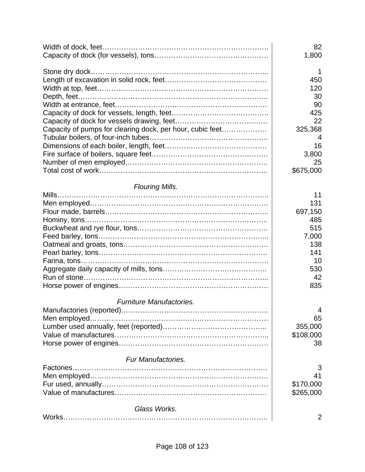|                                                           | 82<br>1,800 |
|-----------------------------------------------------------|-------------|
|                                                           | $\mathbf 1$ |
|                                                           | 450         |
|                                                           | 120         |
|                                                           | 30          |
|                                                           | 90          |
|                                                           | 425         |
|                                                           | 22          |
| Capacity of pumps for clearing dock, per hour, cubic feet | 325,368     |
|                                                           | 4           |
|                                                           | 16          |
|                                                           | 3,800       |
|                                                           | 25          |
|                                                           | \$675,000   |
| Flouring Mills.                                           |             |
|                                                           | 11          |
|                                                           | 131         |
|                                                           | 697,150     |
|                                                           | 485         |
|                                                           | 515         |
|                                                           | 7,000       |
|                                                           | 138         |
|                                                           | 141         |
|                                                           | 10          |
|                                                           | 530         |
|                                                           | 42          |
|                                                           | 835         |
| Furniture Manufactories.                                  |             |
|                                                           | 4           |
|                                                           | 65          |
|                                                           | 355,000     |
|                                                           | \$108,000   |
|                                                           | 38          |
| Fur Manufactories.                                        |             |
|                                                           | 3           |
|                                                           | 41          |
|                                                           | \$170,000   |
|                                                           | \$265,000   |
| Glass Works.                                              |             |
|                                                           | 2           |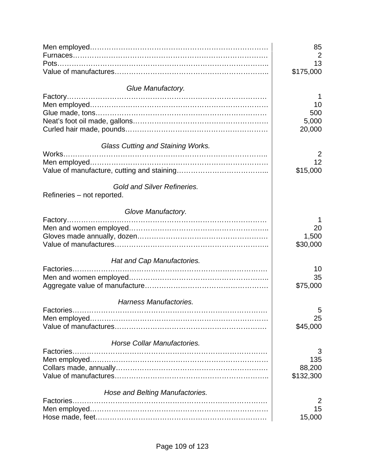|                                    | 85        |
|------------------------------------|-----------|
|                                    | 2<br>13   |
|                                    | \$175,000 |
|                                    |           |
| Glue Manufactory.                  |           |
|                                    |           |
|                                    | 10        |
|                                    | 500       |
|                                    | 5,000     |
|                                    | 20,000    |
| Glass Cutting and Staining Works.  |           |
|                                    | 2         |
|                                    | 12        |
|                                    | \$15,000  |
| <b>Gold and Silver Refineries.</b> |           |
| Refineries – not reported.         |           |
| Glove Manufactory.                 |           |
|                                    | 1         |
|                                    | 20        |
|                                    | 1,500     |
|                                    | \$30,000  |
| Hat and Cap Manufactories.         |           |
|                                    | 10        |
|                                    | 35        |
|                                    | \$75,000  |
| Harness Manufactories.             |           |
|                                    | 5         |
|                                    | 25        |
|                                    | \$45,000  |
| Horse Collar Manufactories.        |           |
|                                    | 3         |
|                                    | 135       |
|                                    | 88,200    |
|                                    | \$132,300 |
| Hose and Belting Manufactories.    |           |
| Factories                          | 2         |
|                                    | 15        |
|                                    | 15,000    |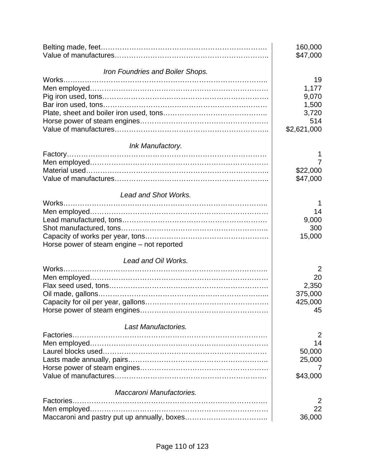|                                            | 160,000<br>\$47,000 |
|--------------------------------------------|---------------------|
| Iron Foundries and Boiler Shops.           |                     |
|                                            | 19                  |
|                                            | 1,177               |
|                                            | 9,070               |
|                                            | 1,500               |
|                                            | 3,720               |
|                                            | 514                 |
|                                            | \$2,621,000         |
| Ink Manufactory.                           |                     |
|                                            |                     |
|                                            | 7                   |
|                                            | \$22,000            |
|                                            | \$47,000            |
| <b>Lead and Shot Works.</b>                |                     |
|                                            |                     |
|                                            | 14                  |
|                                            | 9,000               |
|                                            | 300                 |
|                                            | 15,000              |
| Horse power of steam engine – not reported |                     |
| Lead and Oil Works.                        |                     |
|                                            | $\overline{2}$      |
|                                            | 20                  |
|                                            | 2,350               |
|                                            | 375,000             |
|                                            | 425,000             |
|                                            | 45                  |
| Last Manufactories.                        |                     |
|                                            | 2                   |
|                                            | 14                  |
|                                            | 50,000              |
|                                            | 25,000              |
|                                            |                     |
|                                            | \$43,000            |
| Maccaroni Manufactories.                   |                     |
|                                            | 2                   |
|                                            | 22                  |
|                                            | 36,000              |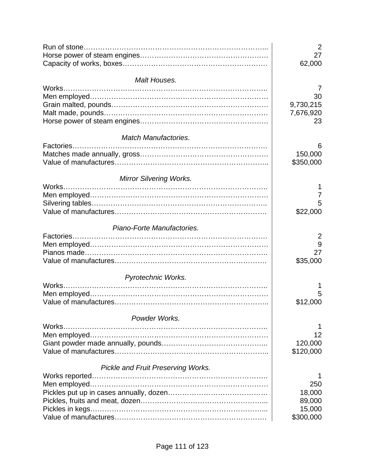| Malt Houses.<br>$\prime$<br>30<br>9,730,215<br>7,676,920<br>23<br><b>Match Manufactories.</b><br>b<br>150,000<br>\$350,000<br><b>Mirror Silvering Works.</b><br>5<br>\$22,000<br>Piano-Forte Manufactories.<br>2<br>9<br>27<br>\$35,000<br>Pyrotechnic Works.<br>Works.<br>5<br>\$12,000<br>Powder Works.<br>12<br>120,000<br>\$120,000<br><b>Pickle and Fruit Preserving Works.</b> |        | 2<br>27<br>62,000 |
|--------------------------------------------------------------------------------------------------------------------------------------------------------------------------------------------------------------------------------------------------------------------------------------------------------------------------------------------------------------------------------------|--------|-------------------|
|                                                                                                                                                                                                                                                                                                                                                                                      |        |                   |
|                                                                                                                                                                                                                                                                                                                                                                                      |        |                   |
|                                                                                                                                                                                                                                                                                                                                                                                      |        |                   |
|                                                                                                                                                                                                                                                                                                                                                                                      |        |                   |
|                                                                                                                                                                                                                                                                                                                                                                                      |        |                   |
|                                                                                                                                                                                                                                                                                                                                                                                      |        |                   |
|                                                                                                                                                                                                                                                                                                                                                                                      |        |                   |
|                                                                                                                                                                                                                                                                                                                                                                                      |        |                   |
|                                                                                                                                                                                                                                                                                                                                                                                      |        |                   |
|                                                                                                                                                                                                                                                                                                                                                                                      |        |                   |
|                                                                                                                                                                                                                                                                                                                                                                                      |        |                   |
|                                                                                                                                                                                                                                                                                                                                                                                      |        |                   |
|                                                                                                                                                                                                                                                                                                                                                                                      | Works  |                   |
|                                                                                                                                                                                                                                                                                                                                                                                      |        |                   |
|                                                                                                                                                                                                                                                                                                                                                                                      |        |                   |
|                                                                                                                                                                                                                                                                                                                                                                                      |        |                   |
|                                                                                                                                                                                                                                                                                                                                                                                      |        |                   |
|                                                                                                                                                                                                                                                                                                                                                                                      |        |                   |
|                                                                                                                                                                                                                                                                                                                                                                                      |        |                   |
|                                                                                                                                                                                                                                                                                                                                                                                      |        |                   |
|                                                                                                                                                                                                                                                                                                                                                                                      |        |                   |
|                                                                                                                                                                                                                                                                                                                                                                                      |        |                   |
|                                                                                                                                                                                                                                                                                                                                                                                      |        |                   |
|                                                                                                                                                                                                                                                                                                                                                                                      |        |                   |
|                                                                                                                                                                                                                                                                                                                                                                                      |        |                   |
|                                                                                                                                                                                                                                                                                                                                                                                      |        |                   |
|                                                                                                                                                                                                                                                                                                                                                                                      |        |                   |
|                                                                                                                                                                                                                                                                                                                                                                                      |        |                   |
|                                                                                                                                                                                                                                                                                                                                                                                      | Works. |                   |
|                                                                                                                                                                                                                                                                                                                                                                                      |        |                   |
|                                                                                                                                                                                                                                                                                                                                                                                      |        |                   |
|                                                                                                                                                                                                                                                                                                                                                                                      |        |                   |
|                                                                                                                                                                                                                                                                                                                                                                                      |        |                   |
|                                                                                                                                                                                                                                                                                                                                                                                      |        |                   |
|                                                                                                                                                                                                                                                                                                                                                                                      |        | 250               |
| 18,000                                                                                                                                                                                                                                                                                                                                                                               |        |                   |
| 89,000                                                                                                                                                                                                                                                                                                                                                                               |        |                   |
| 15,000                                                                                                                                                                                                                                                                                                                                                                               |        |                   |
| \$300,000                                                                                                                                                                                                                                                                                                                                                                            |        |                   |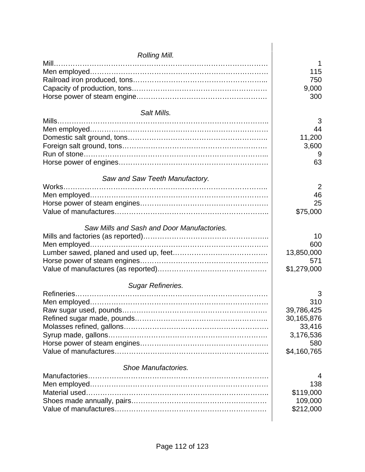| Rolling Mill.                              |             |
|--------------------------------------------|-------------|
|                                            | 1           |
|                                            | 115         |
|                                            | 750         |
|                                            | 9,000       |
|                                            | 300         |
| Salt Mills.                                |             |
|                                            | 3           |
|                                            | 44          |
|                                            | 11,200      |
|                                            | 3,600       |
|                                            | 9           |
|                                            | 63          |
| Saw and Saw Teeth Manufactory.             |             |
|                                            | 2           |
|                                            | 46          |
|                                            | 25          |
|                                            | \$75,000    |
| Saw Mills and Sash and Door Manufactories. |             |
|                                            | 10          |
|                                            | 600         |
|                                            | 13,850,000  |
|                                            | 571         |
|                                            | \$1,279,000 |
| Sugar Refineries.                          |             |
|                                            | 3           |
|                                            | 310         |
|                                            | 39,786,425  |
|                                            | 30,165,876  |
|                                            | 33,416      |
|                                            | 3,176,536   |
|                                            | 580         |
|                                            | \$4,160,765 |
| Shoe Manufactories.                        |             |
|                                            | 4           |
|                                            | 138         |
|                                            | \$119,000   |
|                                            | 109,000     |
|                                            | \$212,000   |
|                                            |             |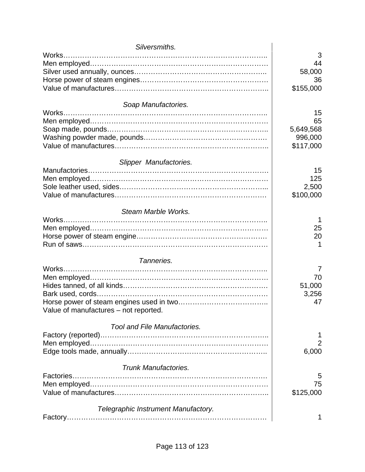| Silversmiths.                         |           |
|---------------------------------------|-----------|
| Works                                 | 3         |
|                                       | 44        |
|                                       | 58,000    |
|                                       | 36        |
|                                       | \$155,000 |
|                                       |           |
| Soap Manufactories.                   |           |
| Works                                 | 15        |
|                                       | 65        |
|                                       | 5,649,568 |
|                                       | 996,000   |
|                                       | \$117,000 |
|                                       |           |
| Slipper Manufactories.                |           |
|                                       | 15        |
|                                       | 125       |
|                                       | 2,500     |
|                                       | \$100,000 |
|                                       |           |
| Steam Marble Works.                   |           |
|                                       |           |
|                                       | 25        |
|                                       | 20        |
|                                       |           |
|                                       |           |
| Tanneries.                            |           |
|                                       | 7         |
|                                       | 70        |
|                                       | 51,000    |
|                                       | 3,256     |
|                                       | 47        |
| Value of manufactures – not reported. |           |
| Tool and File Manufactories.          |           |
|                                       |           |
|                                       | 1         |
|                                       | 2         |
|                                       | 6,000     |
| <b>Trunk Manufactories.</b>           |           |
|                                       | 5         |
|                                       | 75        |
|                                       | \$125,000 |
|                                       |           |
| Telegraphic Instrument Manufactory.   |           |
|                                       |           |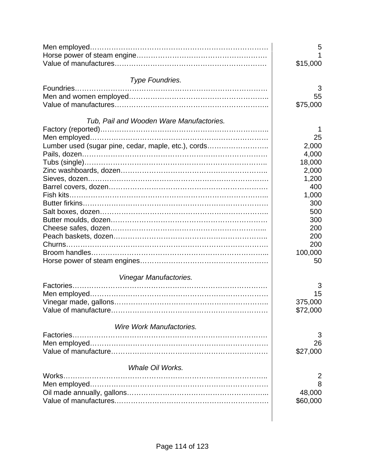|                                                     | 5<br>\$15,000 |
|-----------------------------------------------------|---------------|
| Type Foundries.                                     |               |
|                                                     | 3             |
|                                                     | 55            |
|                                                     | \$75,000      |
| Tub, Pail and Wooden Ware Manufactories.            |               |
|                                                     |               |
|                                                     | 25            |
| Lumber used (sugar pine, cedar, maple, etc.), cords | 2,000         |
|                                                     | 4,000         |
|                                                     | 18,000        |
|                                                     | 2,000         |
|                                                     | 1,200         |
|                                                     |               |
|                                                     | 400           |
|                                                     | 1,000         |
|                                                     | 300           |
|                                                     | 500           |
|                                                     | 300           |
|                                                     | 200           |
|                                                     | 200           |
|                                                     | 200           |
|                                                     | 100,000       |
|                                                     | 50            |
| Vinegar Manufactories.                              |               |
|                                                     | 3             |
|                                                     | 15            |
|                                                     | 375,000       |
|                                                     | \$72,000      |
| Wire Work Manufactories.                            |               |
|                                                     | 3             |
|                                                     | 26            |
|                                                     | \$27,000      |
| <b>Whale Oil Works.</b>                             |               |
| Works.                                              |               |
|                                                     | 2             |
|                                                     | 8             |
|                                                     | 48,000        |
|                                                     | \$60,000      |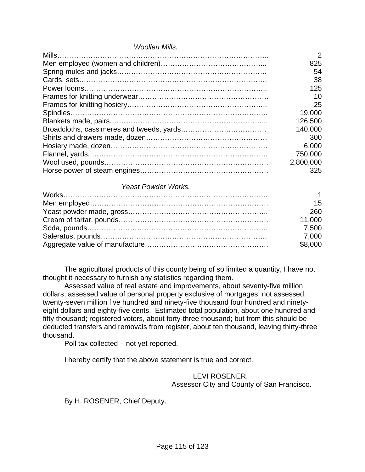| <b>Woollen Mills.</b>      |           |
|----------------------------|-----------|
|                            | 2         |
|                            | 825       |
|                            | 54        |
|                            | 38        |
|                            | 125       |
|                            | 10        |
|                            | 25        |
| Spindles.                  | 19,000    |
|                            | 126,500   |
|                            | 140,000   |
|                            | 300       |
|                            | 6,000     |
|                            | 750,000   |
|                            | 2,800,000 |
|                            | 325       |
|                            |           |
| <b>Yeast Powder Works.</b> |           |
|                            |           |
|                            | 15        |
|                            | 260       |
|                            | 11,000    |
|                            | 7,500     |
|                            | 7,000     |
|                            | \$8,000   |
|                            |           |

 The agricultural products of this county being of so limited a quantity, I have not thought it necessary to furnish any statistics regarding them.

 Assessed value of real estate and improvements, about seventy-five million dollars; assessed value of personal property exclusive of mortgages, not assessed, twenty-seven million five hundred and ninety-five thousand four hundred and ninetyeight dollars and eighty-five cents. Estimated total population, about one hundred and fifty thousand; registered voters, about forty-three thousand; but from this should be deducted transfers and removals from register, about ten thousand, leaving thirty-three thousand.

Poll tax collected – not yet reported.

I hereby certify that the above statement is true and correct.

 LEVI ROSENER, Assessor City and County of San Francisco.

By H. ROSENER, Chief Deputy.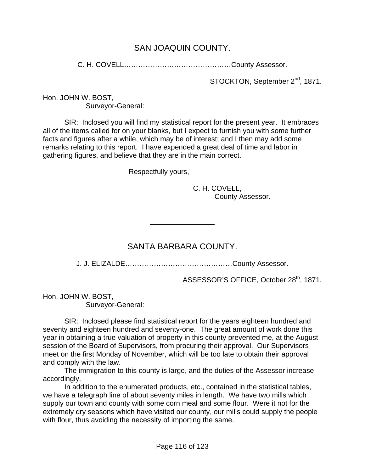#### SAN JOAQUIN COUNTY.

C. H. COVELL………………………………………County Assessor.

STOCKTON, September 2<sup>nd</sup>, 1871.

Hon. JOHN W. BOST, Surveyor-General:

 SIR: Inclosed you will find my statistical report for the present year. It embraces all of the items called for on your blanks, but I expect to furnish you with some further facts and figures after a while, which may be of interest; and I then may add some remarks relating to this report. I have expended a great deal of time and labor in gathering figures, and believe that they are in the main correct.

Respectfully yours,

 $\overline{a}$ 

 C. H. COVELL, County Assessor.

### SANTA BARBARA COUNTY.

J. J. ELIZALDE………………………………………County Assessor.

ASSESSOR'S OFFICE, October 28<sup>th</sup>, 1871.

Hon. JOHN W. BOST, Surveyor-General:

 SIR: Inclosed please find statistical report for the years eighteen hundred and seventy and eighteen hundred and seventy-one. The great amount of work done this year in obtaining a true valuation of property in this county prevented me, at the August session of the Board of Supervisors, from procuring their approval. Our Supervisors meet on the first Monday of November, which will be too late to obtain their approval and comply with the law.

 The immigration to this county is large, and the duties of the Assessor increase accordingly.

 In addition to the enumerated products, etc., contained in the statistical tables, we have a telegraph line of about seventy miles in length. We have two mills which supply our town and county with some corn meal and some flour. Were it not for the extremely dry seasons which have visited our county, our mills could supply the people with flour, thus avoiding the necessity of importing the same.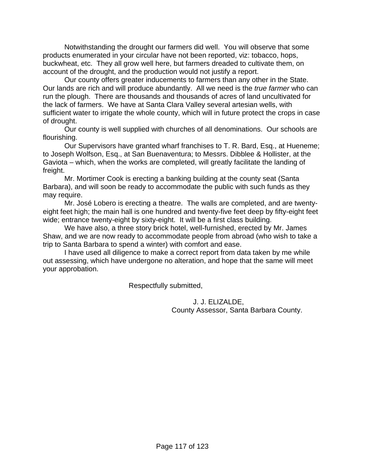Notwithstanding the drought our farmers did well. You will observe that some products enumerated in your circular have not been reported, viz: tobacco, hops, buckwheat, etc. They all grow well here, but farmers dreaded to cultivate them, on account of the drought, and the production would not justify a report.

 Our county offers greater inducements to farmers than any other in the State. Our lands are rich and will produce abundantly. All we need is the *true farmer* who can run the plough. There are thousands and thousands of acres of land uncultivated for the lack of farmers. We have at Santa Clara Valley several artesian wells, with sufficient water to irrigate the whole county, which will in future protect the crops in case of drought.

 Our county is well supplied with churches of all denominations. Our schools are flourishing.

 Our Supervisors have granted wharf franchises to T. R. Bard, Esq., at Hueneme; to Joseph Wolfson, Esq., at San Buenaventura; to Messrs. Dibblee & Hollister, at the Gaviota – which, when the works are completed, will greatly facilitate the landing of freight.

 Mr. Mortimer Cook is erecting a banking building at the county seat (Santa Barbara), and will soon be ready to accommodate the public with such funds as they may require.

 Mr. José Lobero is erecting a theatre. The walls are completed, and are twentyeight feet high; the main hall is one hundred and twenty-five feet deep by fifty-eight feet wide; entrance twenty-eight by sixty-eight. It will be a first class building.

 We have also, a three story brick hotel, well-furnished, erected by Mr. James Shaw, and we are now ready to accommodate people from abroad (who wish to take a trip to Santa Barbara to spend a winter) with comfort and ease.

 I have used all diligence to make a correct report from data taken by me while out assessing, which have undergone no alteration, and hope that the same will meet your approbation.

Respectfully submitted,

 J. J. ELIZALDE, County Assessor, Santa Barbara County.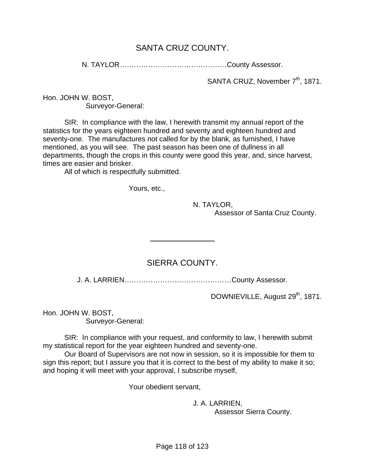## SANTA CRUZ COUNTY.

N. TAYLOR………………………………………County Assessor.

SANTA CRUZ, November 7<sup>th</sup>, 1871.

Hon. JOHN W. BOST, Surveyor-General:

 SIR: In compliance with the law, I herewith transmit my annual report of the statistics for the years eighteen hundred and seventy and eighteen hundred and seventy-one. The manufactures not called for by the blank, as furnished, I have mentioned, as you will see. The past season has been one of dullness in all departments, though the crops in this county were good this year, and, since harvest, times are easier and brisker.

All of which is respectfully submitted.

Yours, etc.,

 $\overline{a}$ 

N. TAYLOR,

Assessor of Santa Cruz County.

### SIERRA COUNTY.

J. A. LARRIEN………………………………………County Assessor.

DOWNIEVILLE, August 29<sup>th</sup>, 1871.

Hon. JOHN W. BOST, Surveyor-General:

 SIR: In compliance with your request, and conformity to law, I herewith submit my statistical report for the year eighteen hundred and seventy-one.

 Our Board of Supervisors are not now in session, so it is impossible for them to sign this report; but I assure you that it is correct to the best of my ability to make it so; and hoping it will meet with your approval, I subscribe myself,

Your obedient servant,

 J. A. LARRIEN, Assessor Sierra County.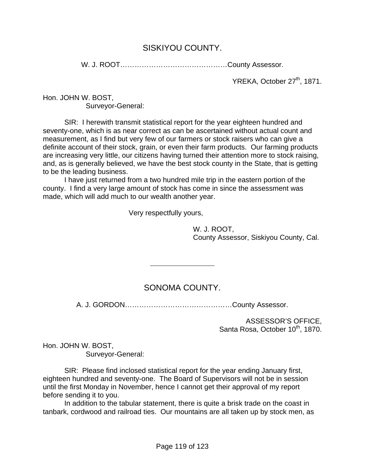#### SISKIYOU COUNTY.

W. J. ROOT………………………………………County Assessor.

YREKA, October 27<sup>th</sup>, 1871.

Hon. JOHN W. BOST, Surveyor-General:

 SIR: I herewith transmit statistical report for the year eighteen hundred and seventy-one, which is as near correct as can be ascertained without actual count and measurement, as I find but very few of our farmers or stock raisers who can give a definite account of their stock, grain, or even their farm products. Our farming products are increasing very little, our citizens having turned their attention more to stock raising, and, as is generally believed, we have the best stock county in the State, that is getting to be the leading business.

 I have just returned from a two hundred mile trip in the eastern portion of the county. I find a very large amount of stock has come in since the assessment was made, which will add much to our wealth another year.

Very respectfully yours,

 $\overline{a}$ 

 W. J. ROOT, County Assessor, Siskiyou County, Cal.

### SONOMA COUNTY.

A. J. GORDON………………………………………County Assessor.

ASSESSOR'S OFFICE, Santa Rosa, October 10<sup>th</sup>, 1870.

Hon. JOHN W. BOST, Surveyor-General:

 SIR: Please find inclosed statistical report for the year ending January first, eighteen hundred and seventy-one. The Board of Supervisors will not be in session until the first Monday in November, hence I cannot get their approval of my report before sending it to you.

 In addition to the tabular statement, there is quite a brisk trade on the coast in tanbark, cordwood and railroad ties. Our mountains are all taken up by stock men, as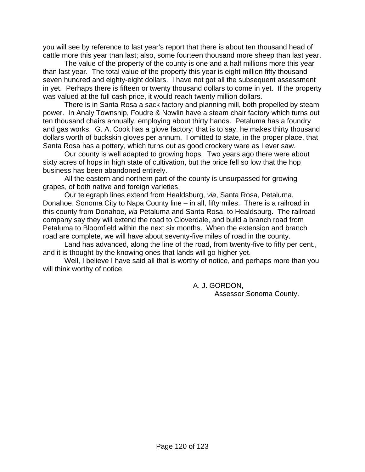you will see by reference to last year's report that there is about ten thousand head of cattle more this year than last; also, some fourteen thousand more sheep than last year.

 The value of the property of the county is one and a half millions more this year than last year. The total value of the property this year is eight million fifty thousand seven hundred and eighty-eight dollars. I have not got all the subsequent assessment in yet. Perhaps there is fifteen or twenty thousand dollars to come in yet. If the property was valued at the full cash price, it would reach twenty million dollars.

 There is in Santa Rosa a sack factory and planning mill, both propelled by steam power. In Analy Township, Foudre & Nowlin have a steam chair factory which turns out ten thousand chairs annually, employing about thirty hands. Petaluma has a foundry and gas works. G. A. Cook has a glove factory; that is to say, he makes thirty thousand dollars worth of buckskin gloves per annum. I omitted to state, in the proper place, that Santa Rosa has a pottery, which turns out as good crockery ware as I ever saw.

 Our county is well adapted to growing hops. Two years ago there were about sixty acres of hops in high state of cultivation, but the price fell so low that the hop business has been abandoned entirely.

 All the eastern and northern part of the county is unsurpassed for growing grapes, of both native and foreign varieties.

 Our telegraph lines extend from Healdsburg, *via*, Santa Rosa, Petaluma, Donahoe, Sonoma City to Napa County line – in all, fifty miles. There is a railroad in this county from Donahoe, *via* Petaluma and Santa Rosa, to Healdsburg. The railroad company say they will extend the road to Cloverdale, and build a branch road from Petaluma to Bloomfield within the next six months. When the extension and branch road are complete, we will have about seventy-five miles of road in the county.

 Land has advanced, along the line of the road, from twenty-five to fifty per cent., and it is thought by the knowing ones that lands will go higher yet.

 Well, I believe I have said all that is worthy of notice, and perhaps more than you will think worthy of notice.

> A. J. GORDON, Assessor Sonoma County.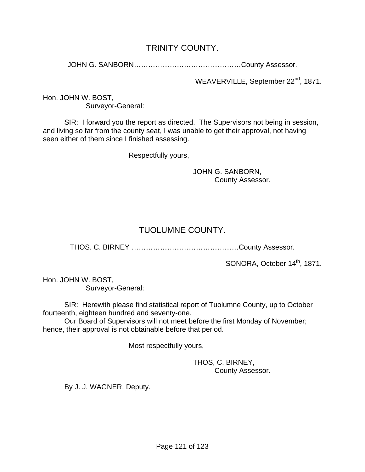### TRINITY COUNTY.

JOHN G. SANBORN………………………………………County Assessor.

WEAVERVILLE, September 22<sup>nd</sup>, 1871.

Hon. JOHN W. BOST, Surveyor-General:

 SIR: I forward you the report as directed. The Supervisors not being in session, and living so far from the county seat, I was unable to get their approval, not having seen either of them since I finished assessing.

Respectfully yours,

 $\overline{a}$ 

 JOHN G. SANBORN, County Assessor.

# TUOLUMNE COUNTY.

THOS. C. BIRNEY ………………………………………County Assessor.

SONORA, October 14<sup>th</sup>, 1871.

Hon. JOHN W. BOST, Surveyor-General:

 SIR: Herewith please find statistical report of Tuolumne County, up to October fourteenth, eighteen hundred and seventy-one.

 Our Board of Supervisors will not meet before the first Monday of November; hence, their approval is not obtainable before that period.

Most respectfully yours,

#### THOS, C. BIRNEY, County Assessor.

By J. J. WAGNER, Deputy.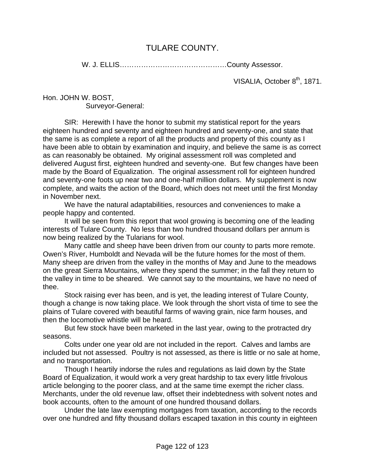### TULARE COUNTY.

W. J. ELLIS………………………………………County Assessor.

VISALIA, October 8<sup>th</sup>, 1871.

Hon. JOHN W. BOST, Surveyor-General:

 SIR: Herewith I have the honor to submit my statistical report for the years eighteen hundred and seventy and eighteen hundred and seventy-one, and state that the same is as complete a report of all the products and property of this county as I have been able to obtain by examination and inquiry, and believe the same is as correct as can reasonably be obtained. My original assessment roll was completed and delivered August first, eighteen hundred and seventy-one. But few changes have been made by the Board of Equalization. The original assessment roll for eighteen hundred and seventy-one foots up near two and one-half million dollars. My supplement is now complete, and waits the action of the Board, which does not meet until the first Monday in November next.

 We have the natural adaptabilities, resources and conveniences to make a people happy and contented.

 It will be seen from this report that wool growing is becoming one of the leading interests of Tulare County. No less than two hundred thousand dollars per annum is now being realized by the Tularians for wool.

 Many cattle and sheep have been driven from our county to parts more remote. Owen's River, Humboldt and Nevada will be the future homes for the most of them. Many sheep are driven from the valley in the months of May and June to the meadows on the great Sierra Mountains, where they spend the summer; in the fall they return to the valley in time to be sheared. We cannot say to the mountains, we have no need of thee.

 Stock raising ever has been, and is yet, the leading interest of Tulare County, though a change is now taking place. We look through the short vista of time to see the plains of Tulare covered with beautiful farms of waving grain, nice farm houses, and then the locomotive whistle will be heard.

 But few stock have been marketed in the last year, owing to the protracted dry seasons.

 Colts under one year old are not included in the report. Calves and lambs are included but not assessed. Poultry is not assessed, as there is little or no sale at home, and no transportation.

 Though I heartily indorse the rules and regulations as laid down by the State Board of Equalization, it would work a very great hardship to tax every little frivolous article belonging to the poorer class, and at the same time exempt the richer class. Merchants, under the old revenue law, offset their indebtedness with solvent notes and book accounts, often to the amount of one hundred thousand dollars.

 Under the late law exempting mortgages from taxation, according to the records over one hundred and fifty thousand dollars escaped taxation in this county in eighteen